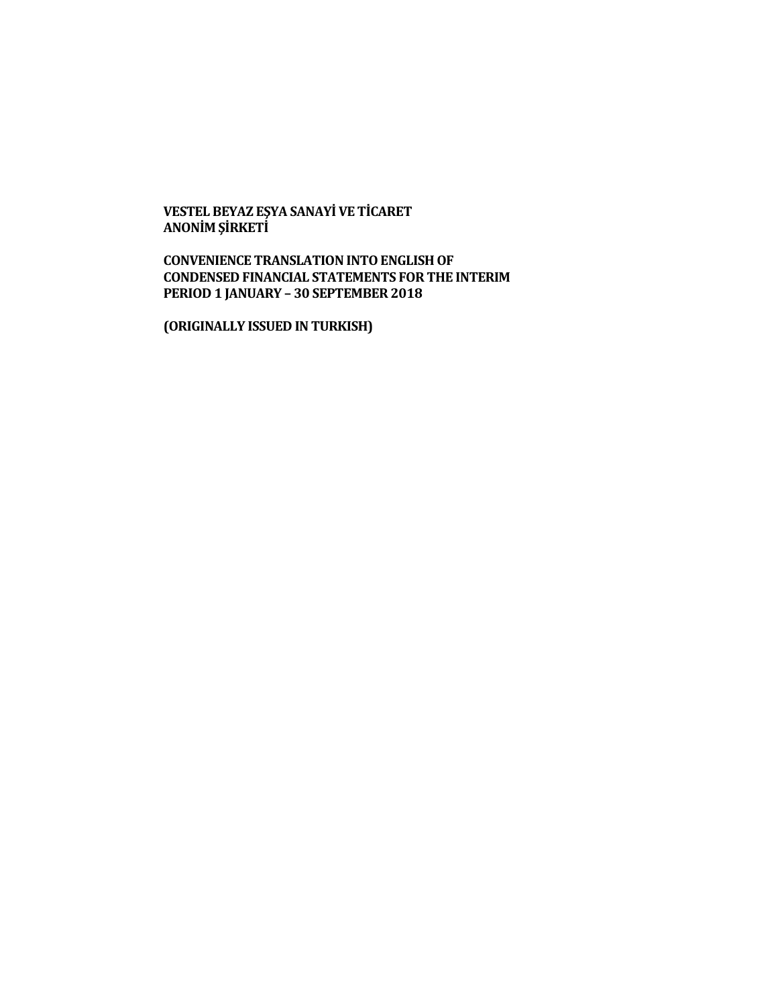**VESTEL BEYAZ EŞYA SANAYİ VE TİCARET ANONİM ŞİRKETİ**

**CONVENIENCE TRANSLATION INTO ENGLISH OF CONDENSED FINANCIAL STATEMENTS FOR THE INTERIM PERIOD 1 JANUARY – 30 SEPTEMBER 2018**

**(ORIGINALLY ISSUED IN TURKISH)**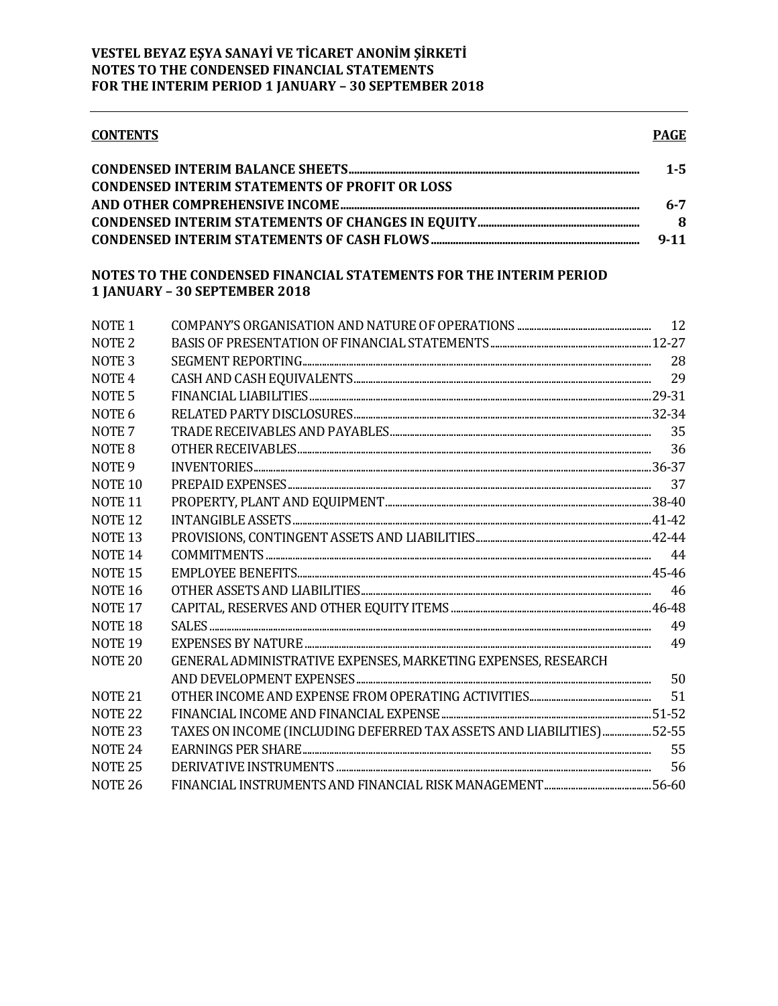| <b>CONTENTS</b>    |                                                                                                     | <b>PAGE</b> |
|--------------------|-----------------------------------------------------------------------------------------------------|-------------|
|                    |                                                                                                     | $1 - 5$     |
|                    | <b>CONDENSED INTERIM STATEMENTS OF PROFIT OR LOSS</b>                                               |             |
|                    |                                                                                                     | $6 - 7$     |
|                    |                                                                                                     | 8           |
|                    |                                                                                                     | $9 - 11$    |
|                    | NOTES TO THE CONDENSED FINANCIAL STATEMENTS FOR THE INTERIM PERIOD<br>1 JANUARY - 30 SEPTEMBER 2018 |             |
| NOTE <sub>1</sub>  |                                                                                                     | 12          |
| NOTE <sub>2</sub>  |                                                                                                     |             |
| NOTE <sub>3</sub>  |                                                                                                     | 28          |
| NOTE <sub>4</sub>  |                                                                                                     | 29          |
| NOTE <sub>5</sub>  |                                                                                                     |             |
| NOTE <sub>6</sub>  |                                                                                                     |             |
| NOTE <sub>7</sub>  |                                                                                                     | 35          |
| NOTE <sub>8</sub>  |                                                                                                     | 36          |
| NOTE <sub>9</sub>  |                                                                                                     |             |
| NOTE <sub>10</sub> |                                                                                                     | 37          |
| NOTE <sub>11</sub> |                                                                                                     |             |
| NOTE <sub>12</sub> |                                                                                                     |             |
| NOTE <sub>13</sub> |                                                                                                     |             |
| NOTE <sub>14</sub> |                                                                                                     | 44          |
| NOTE <sub>15</sub> |                                                                                                     |             |
| <b>NOTE 16</b>     |                                                                                                     | 46          |
| NOTE <sub>17</sub> |                                                                                                     |             |
| NOTE <sub>18</sub> |                                                                                                     | 49          |
| NOTE <sub>19</sub> |                                                                                                     | 49          |
| NOTE <sub>20</sub> | GENERAL ADMINISTRATIVE EXPENSES, MARKETING EXPENSES, RESEARCH                                       |             |
|                    |                                                                                                     | 50          |
| NOTE <sub>21</sub> |                                                                                                     | 51          |
| NOTE <sub>22</sub> |                                                                                                     |             |
| NOTE <sub>23</sub> | TAXES ON INCOME (INCLUDING DEFERRED TAX ASSETS AND LIABILITIES) 52-55                               |             |
| NOTE <sub>24</sub> |                                                                                                     | 55          |
| NOTE <sub>25</sub> |                                                                                                     | 56          |
| NOTE <sub>26</sub> |                                                                                                     |             |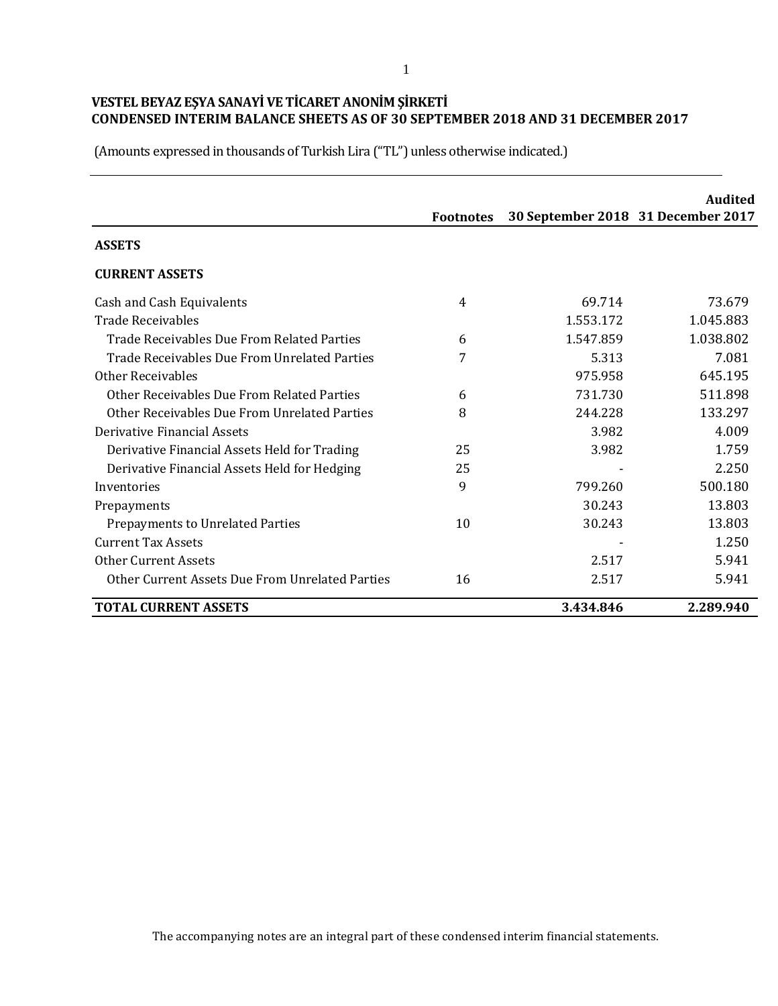(Amounts expressed in thousands of Turkish Lira ("TL") unless otherwise indicated.)

|                                                 |                  |                                    | Audited   |
|-------------------------------------------------|------------------|------------------------------------|-----------|
|                                                 | <b>Footnotes</b> | 30 September 2018 31 December 2017 |           |
| <b>ASSETS</b>                                   |                  |                                    |           |
| <b>CURRENT ASSETS</b>                           |                  |                                    |           |
| Cash and Cash Equivalents                       | 4                | 69.714                             | 73.679    |
| <b>Trade Receivables</b>                        |                  | 1.553.172                          | 1.045.883 |
| Trade Receivables Due From Related Parties      | 6                | 1.547.859                          | 1.038.802 |
| Trade Receivables Due From Unrelated Parties    | 7                | 5.313                              | 7.081     |
| Other Receivables                               |                  | 975.958                            | 645.195   |
| Other Receivables Due From Related Parties      | 6                | 731.730                            | 511.898   |
| Other Receivables Due From Unrelated Parties    | 8                | 244.228                            | 133.297   |
| Derivative Financial Assets                     |                  | 3.982                              | 4.009     |
| Derivative Financial Assets Held for Trading    | 25               | 3.982                              | 1.759     |
| Derivative Financial Assets Held for Hedging    | 25               |                                    | 2.250     |
| Inventories                                     | 9                | 799.260                            | 500.180   |
| Prepayments                                     |                  | 30.243                             | 13.803    |
| Prepayments to Unrelated Parties                | 10               | 30.243                             | 13.803    |
| <b>Current Tax Assets</b>                       |                  |                                    | 1.250     |
| <b>Other Current Assets</b>                     |                  | 2.517                              | 5.941     |
| Other Current Assets Due From Unrelated Parties | 16               | 2.517                              | 5.941     |
| <b>TOTAL CURRENT ASSETS</b>                     |                  | 3.434.846                          | 2.289.940 |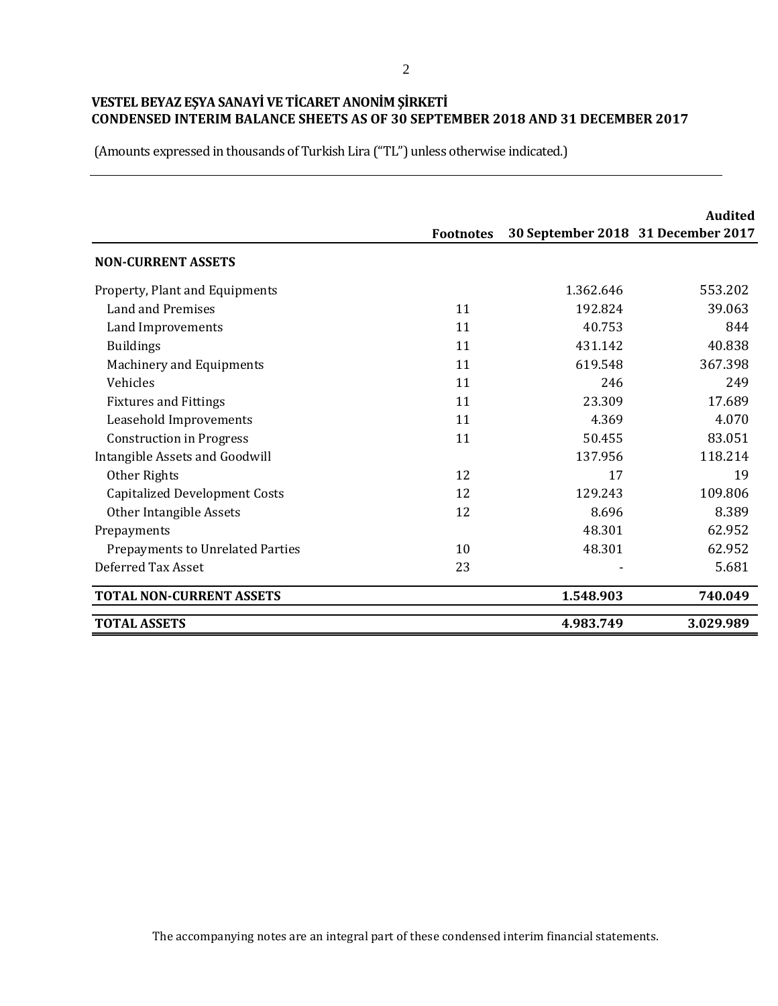(Amounts expressed in thousands of Turkish Lira ("TL") unless otherwise indicated.)

|                                      |                  |                                    | Audited   |
|--------------------------------------|------------------|------------------------------------|-----------|
|                                      | <b>Footnotes</b> | 30 September 2018 31 December 2017 |           |
| <b>NON-CURRENT ASSETS</b>            |                  |                                    |           |
| Property, Plant and Equipments       |                  | 1.362.646                          | 553.202   |
| Land and Premises                    | 11               | 192.824                            | 39.063    |
| Land Improvements                    | 11               | 40.753                             | 844       |
| <b>Buildings</b>                     | 11               | 431.142                            | 40.838    |
| Machinery and Equipments             | 11               | 619.548                            | 367.398   |
| Vehicles                             | 11               | 246                                | 249       |
| <b>Fixtures and Fittings</b>         | 11               | 23.309                             | 17.689    |
| Leasehold Improvements               | 11               | 4.369                              | 4.070     |
| <b>Construction in Progress</b>      | 11               | 50.455                             | 83.051    |
| Intangible Assets and Goodwill       |                  | 137.956                            | 118.214   |
| Other Rights                         | 12               | 17                                 | 19        |
| <b>Capitalized Development Costs</b> | 12               | 129.243                            | 109.806   |
| Other Intangible Assets              | 12               | 8.696                              | 8.389     |
| Prepayments                          |                  | 48.301                             | 62.952    |
| Prepayments to Unrelated Parties     | 10               | 48.301                             | 62.952    |
| Deferred Tax Asset                   | 23               |                                    | 5.681     |
| <b>TOTAL NON-CURRENT ASSETS</b>      |                  | 1.548.903                          | 740.049   |
| <b>TOTAL ASSETS</b>                  |                  | 4.983.749                          | 3.029.989 |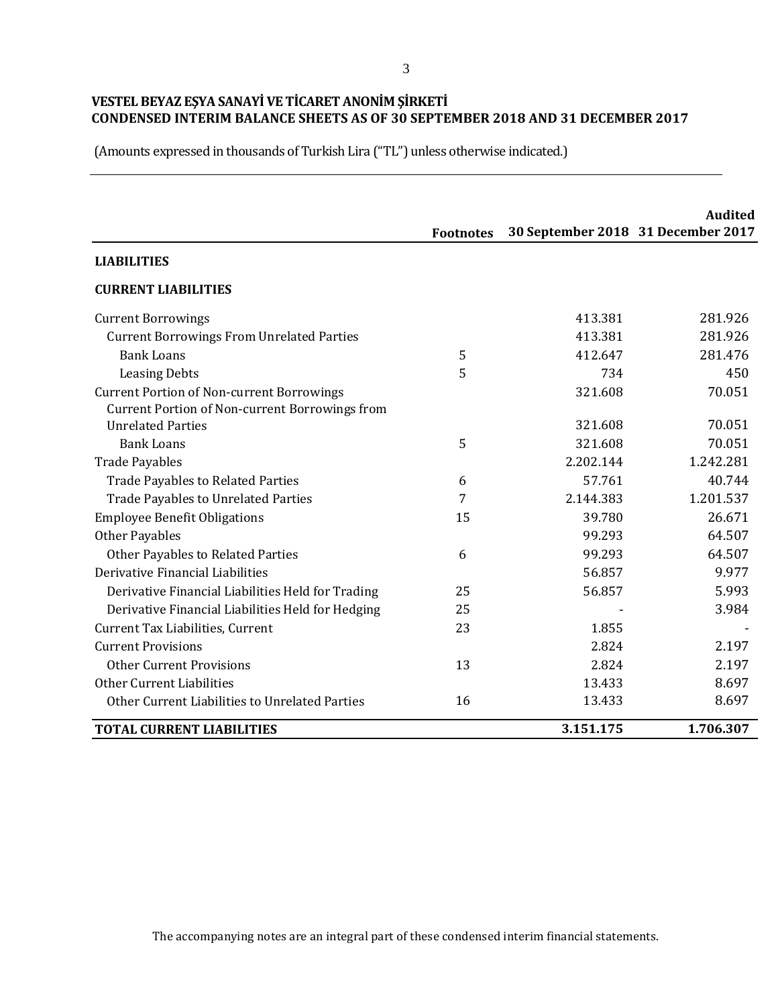(Amounts expressed in thousands of Turkish Lira ("TL") unless otherwise indicated.)

|                                                   | <b>Footnotes</b> | 30 September 2018 31 December 2017 | <b>Audited</b> |
|---------------------------------------------------|------------------|------------------------------------|----------------|
| <b>LIABILITIES</b>                                |                  |                                    |                |
| <b>CURRENT LIABILITIES</b>                        |                  |                                    |                |
| <b>Current Borrowings</b>                         |                  | 413.381                            | 281.926        |
| <b>Current Borrowings From Unrelated Parties</b>  |                  | 413.381                            | 281.926        |
| <b>Bank Loans</b>                                 | 5                | 412.647                            | 281.476        |
| <b>Leasing Debts</b>                              | 5                | 734                                | 450            |
| <b>Current Portion of Non-current Borrowings</b>  |                  | 321.608                            | 70.051         |
| Current Portion of Non-current Borrowings from    |                  |                                    |                |
| <b>Unrelated Parties</b>                          |                  | 321.608                            | 70.051         |
| <b>Bank Loans</b>                                 | 5                | 321.608                            | 70.051         |
| <b>Trade Payables</b>                             |                  | 2.202.144                          | 1.242.281      |
| <b>Trade Payables to Related Parties</b>          | 6                | 57.761                             | 40.744         |
| <b>Trade Payables to Unrelated Parties</b>        | 7                | 2.144.383                          | 1.201.537      |
| <b>Employee Benefit Obligations</b>               | 15               | 39.780                             | 26.671         |
| <b>Other Payables</b>                             |                  | 99.293                             | 64.507         |
| Other Payables to Related Parties                 | 6                | 99.293                             | 64.507         |
| Derivative Financial Liabilities                  |                  | 56.857                             | 9.977          |
| Derivative Financial Liabilities Held for Trading | 25               | 56.857                             | 5.993          |
| Derivative Financial Liabilities Held for Hedging | 25               |                                    | 3.984          |
| Current Tax Liabilities, Current                  | 23               | 1.855                              |                |
| <b>Current Provisions</b>                         |                  | 2.824                              | 2.197          |
| <b>Other Current Provisions</b>                   | 13               | 2.824                              | 2.197          |
| Other Current Liabilities                         |                  | 13.433                             | 8.697          |
| Other Current Liabilities to Unrelated Parties    | 16               | 13.433                             | 8.697          |
| <b>TOTAL CURRENT LIABILITIES</b>                  |                  | 3.151.175                          | 1.706.307      |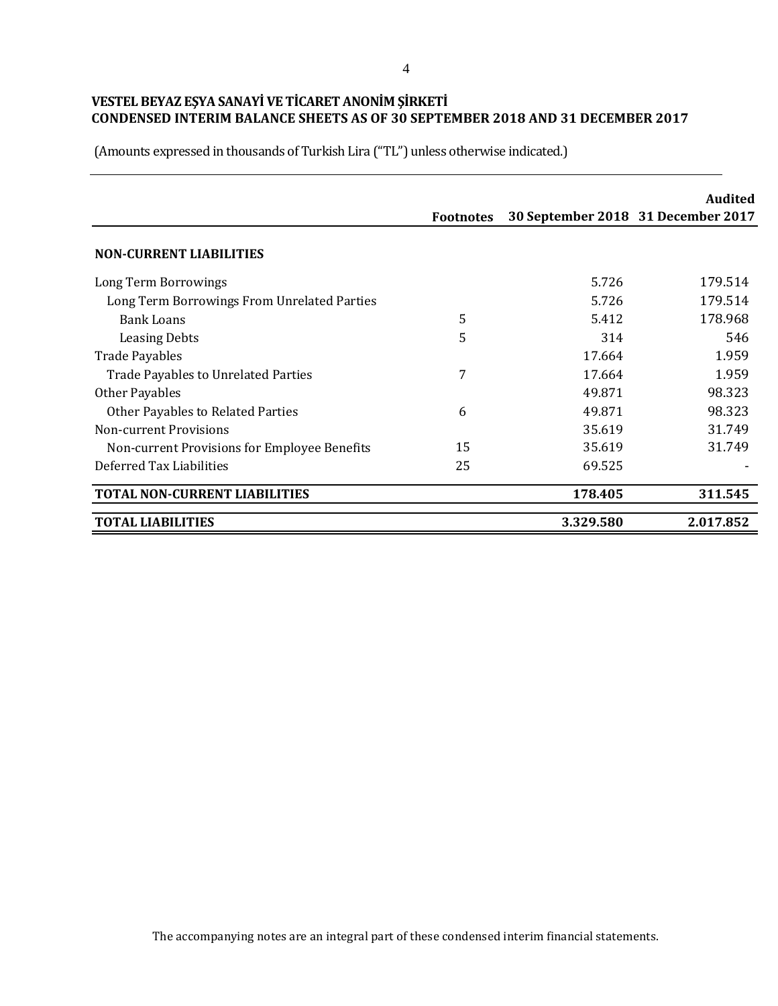(Amounts expressed in thousands of Turkish Lira ("TL") unless otherwise indicated.)

|                                              |                  |                                    | Audited   |
|----------------------------------------------|------------------|------------------------------------|-----------|
|                                              | <b>Footnotes</b> | 30 September 2018 31 December 2017 |           |
| <b>NON-CURRENT LIABILITIES</b>               |                  |                                    |           |
| Long Term Borrowings                         |                  | 5.726                              | 179.514   |
| Long Term Borrowings From Unrelated Parties  |                  | 5.726                              | 179.514   |
| <b>Bank Loans</b>                            | 5                | 5.412                              | 178.968   |
| <b>Leasing Debts</b>                         | 5                | 314                                | 546       |
| <b>Trade Payables</b>                        |                  | 17.664                             | 1.959     |
| <b>Trade Payables to Unrelated Parties</b>   | 7                | 17.664                             | 1.959     |
| Other Payables                               |                  | 49.871                             | 98.323    |
| <b>Other Payables to Related Parties</b>     | 6                | 49.871                             | 98.323    |
| Non-current Provisions                       |                  | 35.619                             | 31.749    |
| Non-current Provisions for Employee Benefits | 15               | 35.619                             | 31.749    |
| Deferred Tax Liabilities                     | 25               | 69.525                             |           |
| <b>TOTAL NON-CURRENT LIABILITIES</b>         |                  | 178.405                            | 311.545   |
| <b>TOTAL LIABILITIES</b>                     |                  | 3.329.580                          | 2.017.852 |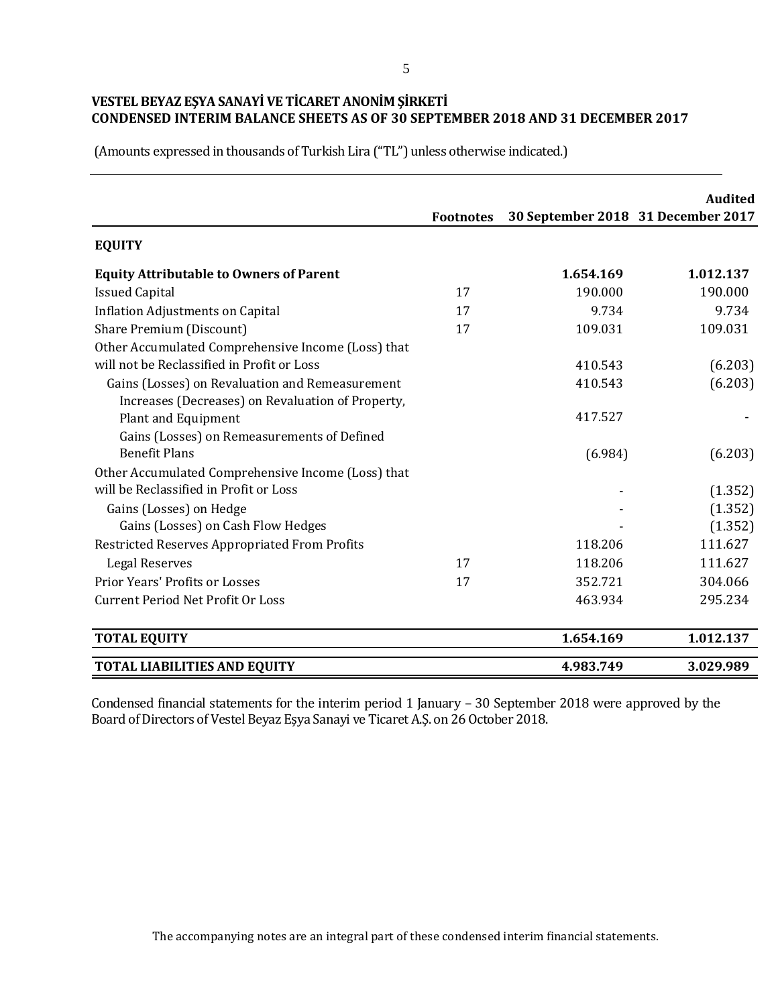(Amounts expressed in thousands of Turkish Lira ("TL") unless otherwise indicated.)

|                                                    | <b>Footnotes</b> | 30 September 2018 31 December 2017 | <b>Audited</b> |
|----------------------------------------------------|------------------|------------------------------------|----------------|
| <b>EQUITY</b>                                      |                  |                                    |                |
| <b>Equity Attributable to Owners of Parent</b>     |                  | 1.654.169                          | 1.012.137      |
| <b>Issued Capital</b>                              | 17               | 190.000                            | 190.000        |
| <b>Inflation Adjustments on Capital</b>            | 17               | 9.734                              | 9.734          |
| Share Premium (Discount)                           | 17               | 109.031                            | 109.031        |
| Other Accumulated Comprehensive Income (Loss) that |                  |                                    |                |
| will not be Reclassified in Profit or Loss         |                  | 410.543                            | (6.203)        |
| Gains (Losses) on Revaluation and Remeasurement    |                  | 410.543                            | (6.203)        |
| Increases (Decreases) on Revaluation of Property,  |                  |                                    |                |
| <b>Plant and Equipment</b>                         |                  | 417.527                            |                |
| Gains (Losses) on Remeasurements of Defined        |                  |                                    |                |
| <b>Benefit Plans</b>                               |                  | (6.984)                            | (6.203)        |
| Other Accumulated Comprehensive Income (Loss) that |                  |                                    |                |
| will be Reclassified in Profit or Loss             |                  |                                    | (1.352)        |
| Gains (Losses) on Hedge                            |                  |                                    | (1.352)        |
| Gains (Losses) on Cash Flow Hedges                 |                  |                                    | (1.352)        |
| Restricted Reserves Appropriated From Profits      |                  | 118.206                            | 111.627        |
| Legal Reserves                                     | 17               | 118.206                            | 111.627        |
| <b>Prior Years' Profits or Losses</b>              | 17               | 352.721                            | 304.066        |
| <b>Current Period Net Profit Or Loss</b>           |                  | 463.934                            | 295.234        |
| <b>TOTAL EQUITY</b>                                |                  | 1.654.169                          | 1.012.137      |
| <b>TOTAL LIABILITIES AND EQUITY</b>                |                  | 4.983.749                          | 3.029.989      |

Condensed financial statements for the interim period 1 January – 30 September 2018 were approved by the Board of Directors of Vestel Beyaz Eşya Sanayi ve Ticaret A.Ş. on 26 October 2018.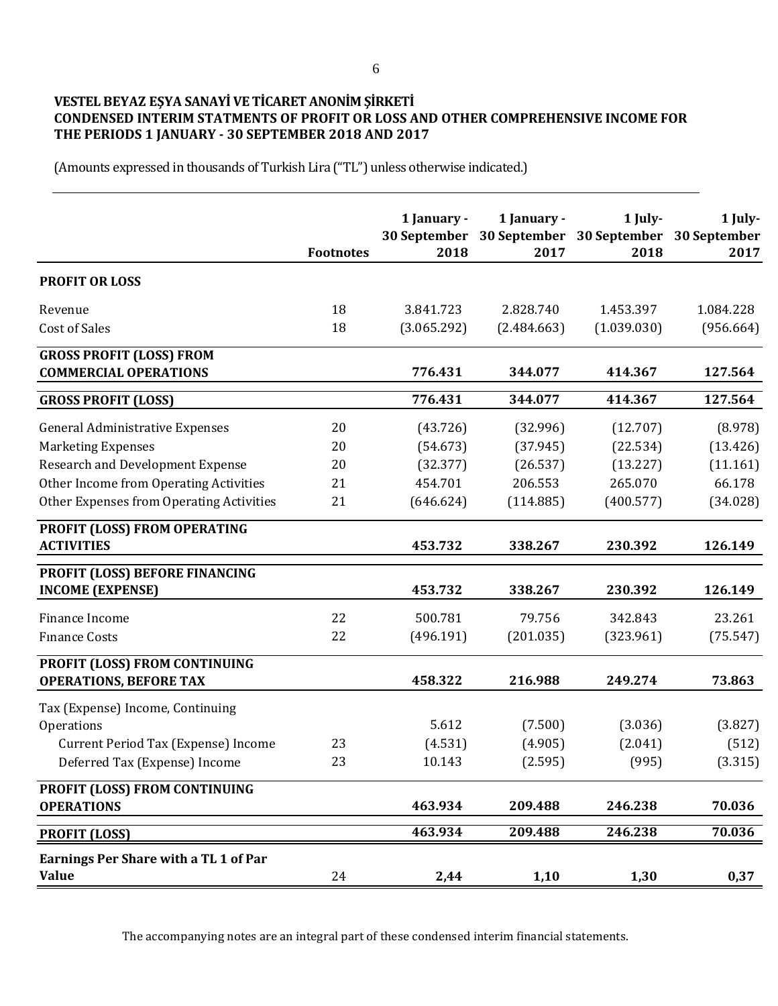# **VESTEL BEYAZ EŞYA SANAYİ VE TİCARET ANONİM ŞİRKETİ CONDENSED INTERIM STATMENTS OF PROFIT OR LOSS AND OTHER COMPREHENSIVE INCOME FOR THE PERIODS 1 JANUARY - 30 SEPTEMBER 2018 AND 2017**

(Amounts expressed in thousands of Turkish Lira ("TL") unless otherwise indicated.)

|                                                                      | <b>Footnotes</b> | 1 January -<br>30 September<br>2018 | 1 January -<br>2017 | 1 July-<br>30 September 30 September 30 September<br>2018 | 1 July-<br>2017  |
|----------------------------------------------------------------------|------------------|-------------------------------------|---------------------|-----------------------------------------------------------|------------------|
| <b>PROFIT OR LOSS</b>                                                |                  |                                     |                     |                                                           |                  |
| Revenue                                                              | 18               | 3.841.723                           | 2.828.740           | 1.453.397                                                 | 1.084.228        |
| <b>Cost of Sales</b>                                                 | 18               | (3.065.292)                         | (2.484.663)         | (1.039.030)                                               | (956.664)        |
| <b>GROSS PROFIT (LOSS) FROM</b><br><b>COMMERCIAL OPERATIONS</b>      |                  | 776.431                             | 344.077             | 414.367                                                   | 127.564          |
| <b>GROSS PROFIT (LOSS)</b>                                           |                  | 776.431                             | 344.077             | 414.367                                                   | 127.564          |
| <b>General Administrative Expenses</b>                               | 20               | (43.726)                            | (32.996)            | (12.707)                                                  | (8.978)          |
| <b>Marketing Expenses</b>                                            | 20               | (54.673)                            | (37.945)            | (22.534)                                                  | (13.426)         |
| Research and Development Expense                                     | 20               | (32.377)                            | (26.537)            | (13.227)                                                  | (11.161)         |
| Other Income from Operating Activities                               | 21               | 454.701                             | 206.553             | 265.070                                                   | 66.178           |
| Other Expenses from Operating Activities                             | 21               | (646.624)                           | (114.885)           | (400.577)                                                 | (34.028)         |
| PROFIT (LOSS) FROM OPERATING<br><b>ACTIVITIES</b>                    |                  | 453.732                             | 338.267             | 230.392                                                   | 126.149          |
|                                                                      |                  |                                     |                     |                                                           |                  |
| PROFIT (LOSS) BEFORE FINANCING<br><b>INCOME (EXPENSE)</b>            |                  | 453.732                             | 338.267             | 230.392                                                   | 126.149          |
| Finance Income                                                       | 22               | 500.781                             | 79.756              | 342.843                                                   | 23.261           |
| <b>Finance Costs</b>                                                 | 22               | (496.191)                           | (201.035)           | (323.961)                                                 | (75.547)         |
| PROFIT (LOSS) FROM CONTINUING<br><b>OPERATIONS, BEFORE TAX</b>       |                  | 458.322                             | 216.988             | 249.274                                                   | 73.863           |
|                                                                      |                  |                                     |                     |                                                           |                  |
| Tax (Expense) Income, Continuing<br>Operations                       |                  | 5.612                               | (7.500)             | (3.036)                                                   | (3.827)          |
|                                                                      | 23               |                                     | (4.905)             | (2.041)                                                   |                  |
| Current Period Tax (Expense) Income<br>Deferred Tax (Expense) Income | 23               | (4.531)<br>10.143                   | (2.595)             | (995)                                                     | (512)<br>(3.315) |
|                                                                      |                  |                                     |                     |                                                           |                  |
| PROFIT (LOSS) FROM CONTINUING<br><b>OPERATIONS</b>                   |                  | 463.934                             | 209.488             | 246.238                                                   | 70.036           |
| <b>PROFIT (LOSS)</b>                                                 |                  | 463.934                             | 209.488             | 246.238                                                   | 70.036           |
| Earnings Per Share with a TL 1 of Par<br><b>Value</b>                | 24               | 2,44                                | 1,10                | 1,30                                                      | 0,37             |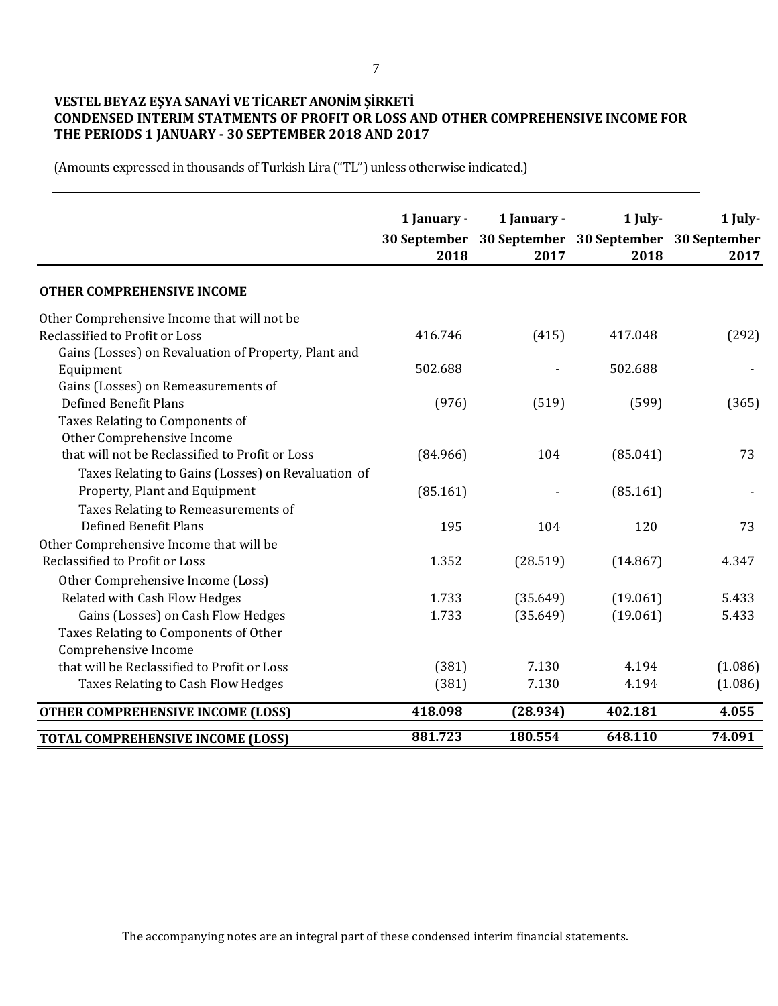# **VESTEL BEYAZ EŞYA SANAYİ VE TİCARET ANONİM ŞİRKETİ CONDENSED INTERIM STATMENTS OF PROFIT OR LOSS AND OTHER COMPREHENSIVE INCOME FOR THE PERIODS 1 JANUARY - 30 SEPTEMBER 2018 AND 2017**

(Amounts expressed in thousands of Turkish Lira ("TL") unless otherwise indicated.)

|                                                      | 1 January - | 1 January -                                         | 1 July-  | 1 July- |
|------------------------------------------------------|-------------|-----------------------------------------------------|----------|---------|
|                                                      |             | 30 September 30 September 30 September 30 September |          |         |
|                                                      | 2018        | 2017                                                | 2018     | 2017    |
|                                                      |             |                                                     |          |         |
| <b>OTHER COMPREHENSIVE INCOME</b>                    |             |                                                     |          |         |
| Other Comprehensive Income that will not be          |             |                                                     |          |         |
| Reclassified to Profit or Loss                       | 416.746     | (415)                                               | 417.048  | (292)   |
| Gains (Losses) on Revaluation of Property, Plant and |             |                                                     |          |         |
| Equipment                                            | 502.688     |                                                     | 502.688  |         |
| Gains (Losses) on Remeasurements of                  |             |                                                     |          |         |
| <b>Defined Benefit Plans</b>                         | (976)       | (519)                                               | (599)    | (365)   |
| Taxes Relating to Components of                      |             |                                                     |          |         |
| Other Comprehensive Income                           |             |                                                     |          |         |
| that will not be Reclassified to Profit or Loss      | (84.966)    | 104                                                 | (85.041) | 73      |
| Taxes Relating to Gains (Losses) on Revaluation of   |             |                                                     |          |         |
| Property, Plant and Equipment                        | (85.161)    |                                                     | (85.161) |         |
| Taxes Relating to Remeasurements of                  |             |                                                     |          |         |
| Defined Benefit Plans                                | 195         | 104                                                 | 120      | 73      |
| Other Comprehensive Income that will be              |             |                                                     |          |         |
| Reclassified to Profit or Loss                       | 1.352       | (28.519)                                            | (14.867) | 4.347   |
| Other Comprehensive Income (Loss)                    |             |                                                     |          |         |
| Related with Cash Flow Hedges                        | 1.733       | (35.649)                                            | (19.061) | 5.433   |
| Gains (Losses) on Cash Flow Hedges                   | 1.733       | (35.649)                                            | (19.061) | 5.433   |
| Taxes Relating to Components of Other                |             |                                                     |          |         |
| Comprehensive Income                                 |             |                                                     |          |         |
| that will be Reclassified to Profit or Loss          | (381)       | 7.130                                               | 4.194    | (1.086) |
| Taxes Relating to Cash Flow Hedges                   | (381)       | 7.130                                               | 4.194    | (1.086) |
| <b>OTHER COMPREHENSIVE INCOME (LOSS)</b>             | 418.098     | (28.934)                                            | 402.181  | 4.055   |
| <b>TOTAL COMPREHENSIVE INCOME (LOSS)</b>             | 881.723     | 180.554                                             | 648.110  | 74.091  |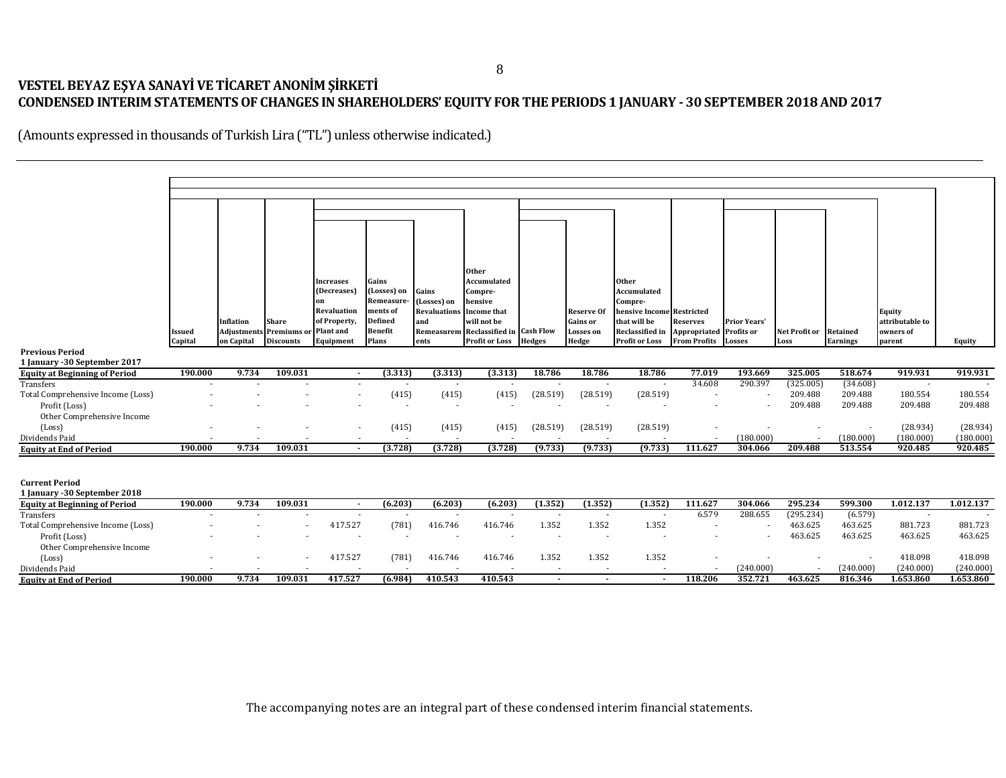# **VESTEL BEYAZ EŞYA SANAYİ VE TİCARET ANONİM ŞİRKETİ CONDENSED INTERIM STATEMENTS OF CHANGES IN SHAREHOLDERS' EQUITY FOR THE PERIODS 1 JANUARY - 30 SEPTEMBER 2018 AND 2017**

(Amounts expressed in thousands of Turkish Lira ("TL") unless otherwise indicated.)

|                                                                       |               |             |                  |                          |                                  |                          | <b>Other</b>                         |                          |                          |                                                                                              |                          |                          |               |                 |                 |                      |
|-----------------------------------------------------------------------|---------------|-------------|------------------|--------------------------|----------------------------------|--------------------------|--------------------------------------|--------------------------|--------------------------|----------------------------------------------------------------------------------------------|--------------------------|--------------------------|---------------|-----------------|-----------------|----------------------|
|                                                                       |               |             |                  | <b>Increases</b>         | Gains                            |                          | Accumulated                          |                          |                          | Other                                                                                        |                          |                          |               |                 |                 |                      |
|                                                                       |               |             |                  | (Decreases)<br>on        | (Losses) on<br><b>Remeasure-</b> | Gains<br>(Losses) on     | Compre-<br>hensive                   |                          |                          | Accumulated<br>Compre-                                                                       |                          |                          |               |                 |                 |                      |
|                                                                       |               |             |                  | Revaluation              | ments of                         | <b>Revaluations</b>      | <b>Income that</b>                   |                          | <b>Reserve Of</b>        | hensive Income Restricted                                                                    |                          |                          |               |                 | Equity          |                      |
|                                                                       |               | Inflation   | <b>Share</b>     | of Property,             | <b>Defined</b>                   | and                      | will not be                          |                          | <b>Gains or</b>          | that will be                                                                                 | <b>Reserves</b>          | <b>Prior Years'</b>      |               |                 | attributable to |                      |
|                                                                       | <b>Issued</b> | Adjustments | Premiums or      | Plant and                | <b>Benefit</b>                   |                          | Remeasurem Reclassified in Cash Flow |                          | <b>Losses</b> on         | Reclassified in                                                                              | Appropriated             | <b>Profits or</b>        | Net Profit or | <b>Retained</b> | owners of       |                      |
|                                                                       | Capital       | on Capital  | <b>Discounts</b> | Equipment                | Plans                            | ents                     | <b>Profit or Loss</b>                | <b>Hedges</b>            | Hedge                    | <b>Profit or Loss</b>                                                                        | <b>From Profits</b>      | <b>Losses</b>            | Loss          | <b>Earnings</b> | parent          | Equity               |
| <b>Previous Period</b>                                                |               |             |                  |                          |                                  |                          |                                      |                          |                          |                                                                                              |                          |                          |               |                 |                 |                      |
| 1 January - 30 September 2017<br><b>Equity at Beginning of Period</b> | 190.000       | 9.734       | 109.031          | $\sim$                   | (3.313)                          | (3.313)                  | (3.313)                              | 18.786                   | 18.786                   | 18.786                                                                                       | 77.019                   | 193.669                  | 325.005       | 518.674         | 919.931         | 919.931              |
| Transfers                                                             |               |             |                  |                          |                                  | $\sim$                   |                                      | $\overline{\phantom{a}}$ | $\sim$                   | $\sim$                                                                                       | 34.608                   | 290.397                  | (325.005)     | (34.608)        | $\sim$          |                      |
| Total Comprehensive Income (Loss)                                     |               |             |                  |                          | (415)                            | (415)                    | (415)                                | (28.519)                 | (28.519)                 | (28.519)                                                                                     |                          |                          | 209.488       | 209.488         | 180.554         | 180.554              |
| Profit (Loss)                                                         |               |             |                  |                          |                                  | $\overline{\phantom{a}}$ |                                      |                          |                          |                                                                                              |                          | $\overline{a}$           | 209.488       | 209.488         | 209.488         | 209.488              |
| Other Comprehensive Income                                            |               |             |                  |                          |                                  |                          |                                      |                          |                          |                                                                                              |                          |                          |               |                 |                 |                      |
| (Loss)                                                                |               |             |                  |                          | (415)                            | (415)                    | (415)                                | (28.519)                 | (28.519)                 | (28.519)                                                                                     | $\overline{\phantom{a}}$ |                          |               |                 | (28.934)        | (28.934)             |
| Dividends Paid                                                        |               |             |                  |                          | (3.728)                          |                          | (3.728)                              | (9.733)                  | (9.733)                  | (9.733)                                                                                      |                          | (180.000)                |               | (180.000)       | (180.000)       | (180.000)<br>920.485 |
| <b>Equity at End of Period</b>                                        | 190.000       | 9.734       | 109.031          |                          |                                  | (3.728)                  |                                      |                          |                          |                                                                                              | 111.627                  | 304.066                  | 209.488       | 513.554         | 920.485         |                      |
|                                                                       |               |             |                  |                          |                                  |                          |                                      |                          |                          |                                                                                              |                          |                          |               |                 |                 |                      |
| <b>Current Period</b>                                                 |               |             |                  |                          |                                  |                          |                                      |                          |                          |                                                                                              |                          |                          |               |                 |                 |                      |
| 1 January - 30 September 2018                                         |               |             |                  |                          |                                  |                          |                                      |                          |                          |                                                                                              |                          |                          |               |                 |                 |                      |
| <b>Equity at Beginning of Period</b>                                  | 190.000       | 9.734       | 109.031          | $\sim$                   | (6.203)                          | (6.203)                  | (6.203)                              | (1.352)                  | (1.352)                  | (1.352)                                                                                      | 111.627                  | 304.066                  | 295.234       | 599.300         | 1.012.137       | 1.012.137            |
| <b>Transfers</b>                                                      |               |             |                  | $\overline{\phantom{a}}$ |                                  | $\overline{\phantom{a}}$ |                                      | $\overline{\phantom{a}}$ | $\sim$                   | $\blacksquare$                                                                               | 6.579                    | 288.655                  | (295.234)     | (6.579)         | $\sim$          |                      |
| Total Comprehensive Income (Loss)                                     |               |             |                  | 417.527                  | (781)                            | 416.746                  | 416.746                              | 1.352                    | 1.352                    | 1.352                                                                                        |                          |                          | 463.625       | 463.625         | 881.723         | 881.723              |
| Profit (Loss)                                                         |               |             |                  | $\blacksquare$           |                                  | $\blacksquare$           |                                      | $\sim$                   | $\overline{\phantom{a}}$ | $\overline{\phantom{a}}$                                                                     | $\overline{\phantom{a}}$ | $\overline{\phantom{a}}$ | 463.625       | 463.625         | 463.625         | 463.625              |
| Other Comprehensive Income<br>(Loss)                                  |               |             |                  | 417.527                  | (781)                            | 416.746                  | 416.746                              | 1.352                    | 1.352                    | 1.352                                                                                        | $\overline{\phantom{a}}$ | $\overline{\phantom{a}}$ |               |                 | 418.098         | 418.098              |
| Dividends Paid                                                        |               |             |                  |                          |                                  |                          |                                      |                          |                          |                                                                                              |                          | (240.000)                |               | (240.000)       | (240.000)       | (240.000)            |
| <b>Equity at End of Period</b>                                        | 190.000       | 9.734       | 109.031          | 417.527                  | (6.984)                          | 410.543                  | 410.543                              | $\blacksquare$           | $\sim$                   | $\sim$                                                                                       | 118.206                  | 352.721                  | 463.625       | 816.346         | 1.653.860       | 1.653.860            |
|                                                                       |               |             |                  |                          |                                  |                          |                                      |                          |                          |                                                                                              |                          |                          |               |                 |                 |                      |
|                                                                       |               |             |                  |                          |                                  |                          |                                      |                          |                          |                                                                                              |                          |                          |               |                 |                 |                      |
|                                                                       |               |             |                  |                          |                                  |                          |                                      |                          |                          |                                                                                              |                          |                          |               |                 |                 |                      |
|                                                                       |               |             |                  |                          |                                  |                          |                                      |                          |                          |                                                                                              |                          |                          |               |                 |                 |                      |
|                                                                       |               |             |                  |                          |                                  |                          |                                      |                          |                          |                                                                                              |                          |                          |               |                 |                 |                      |
|                                                                       |               |             |                  |                          |                                  |                          |                                      |                          |                          |                                                                                              |                          |                          |               |                 |                 |                      |
|                                                                       |               |             |                  |                          |                                  |                          |                                      |                          |                          |                                                                                              |                          |                          |               |                 |                 |                      |
|                                                                       |               |             |                  |                          |                                  |                          |                                      |                          |                          |                                                                                              |                          |                          |               |                 |                 |                      |
|                                                                       |               |             |                  |                          |                                  |                          |                                      |                          |                          |                                                                                              |                          |                          |               |                 |                 |                      |
|                                                                       |               |             |                  |                          |                                  |                          |                                      |                          |                          | The accompanying notes are an integral part of these condensed interim financial statements. |                          |                          |               |                 |                 |                      |
|                                                                       |               |             |                  |                          |                                  |                          |                                      |                          |                          |                                                                                              |                          |                          |               |                 |                 |                      |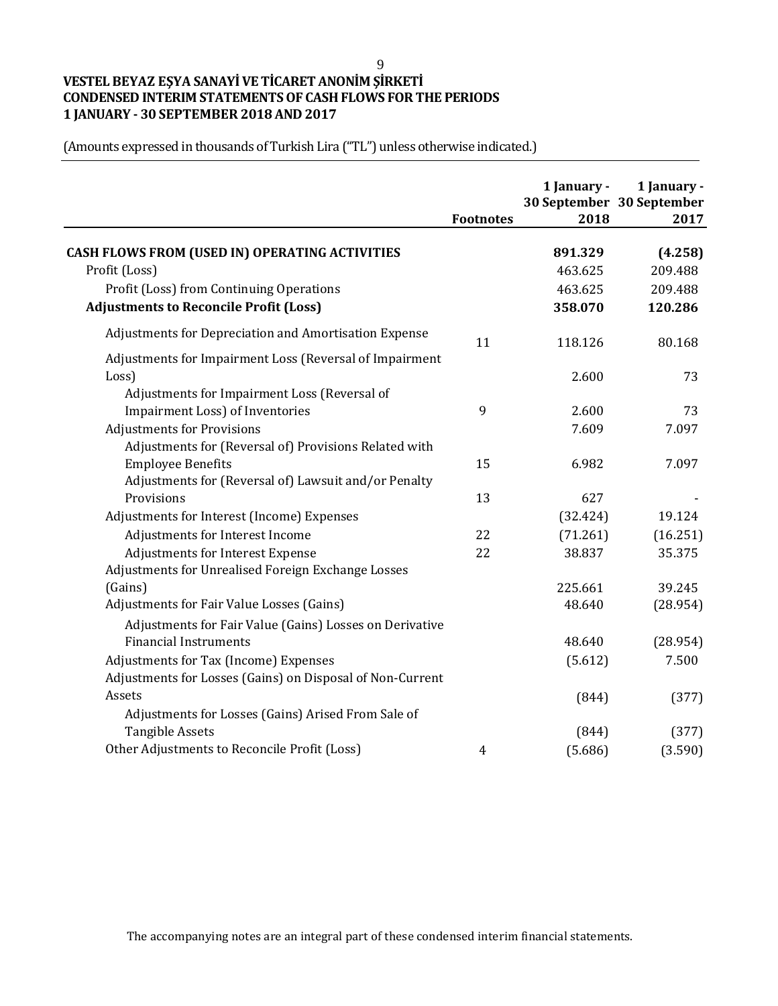# **VESTEL BEYAZ EŞYA SANAYİ VE TİCARET ANONİM ŞİRKETİ CONDENSED INTERIM STATEMENTS OF CASH FLOWS FOR THE PERIODS 1 JANUARY - 30 SEPTEMBER 2018 AND 2017**

(Amounts expressed in thousands of Turkish Lira ("TL") unless otherwise indicated.)

|                                                           | <b>Footnotes</b> | 1 January -<br>2018 | 1 January -<br>30 September 30 September<br>2017 |
|-----------------------------------------------------------|------------------|---------------------|--------------------------------------------------|
| <b>CASH FLOWS FROM (USED IN) OPERATING ACTIVITIES</b>     |                  | 891.329             |                                                  |
| Profit (Loss)                                             |                  | 463.625             | (4.258)<br>209.488                               |
| Profit (Loss) from Continuing Operations                  |                  | 463.625             | 209.488                                          |
| <b>Adjustments to Reconcile Profit (Loss)</b>             |                  | 358.070             | 120.286                                          |
|                                                           |                  |                     |                                                  |
| Adjustments for Depreciation and Amortisation Expense     | 11               | 118.126             | 80.168                                           |
| Adjustments for Impairment Loss (Reversal of Impairment   |                  |                     |                                                  |
| Loss)                                                     |                  | 2.600               | 73                                               |
| Adjustments for Impairment Loss (Reversal of              |                  |                     |                                                  |
| Impairment Loss) of Inventories                           | 9                | 2.600               | 73                                               |
| <b>Adjustments for Provisions</b>                         |                  | 7.609               | 7.097                                            |
| Adjustments for (Reversal of) Provisions Related with     |                  |                     |                                                  |
| <b>Employee Benefits</b>                                  | 15               | 6.982               | 7.097                                            |
| Adjustments for (Reversal of) Lawsuit and/or Penalty      |                  |                     |                                                  |
| Provisions                                                | 13               | 627                 |                                                  |
| Adjustments for Interest (Income) Expenses                |                  | (32.424)            | 19.124                                           |
| Adjustments for Interest Income                           | 22               | (71.261)            | (16.251)                                         |
| Adjustments for Interest Expense                          | 22               | 38.837              | 35.375                                           |
| Adjustments for Unrealised Foreign Exchange Losses        |                  |                     |                                                  |
| (Gains)                                                   |                  | 225.661             | 39.245                                           |
| Adjustments for Fair Value Losses (Gains)                 |                  | 48.640              | (28.954)                                         |
| Adjustments for Fair Value (Gains) Losses on Derivative   |                  |                     |                                                  |
| <b>Financial Instruments</b>                              |                  | 48.640              | (28.954)                                         |
| Adjustments for Tax (Income) Expenses                     |                  | (5.612)             | 7.500                                            |
| Adjustments for Losses (Gains) on Disposal of Non-Current |                  |                     |                                                  |
| Assets                                                    |                  | (844)               | (377)                                            |
| Adjustments for Losses (Gains) Arised From Sale of        |                  |                     |                                                  |
| <b>Tangible Assets</b>                                    |                  | (844)               | (377)                                            |
| Other Adjustments to Reconcile Profit (Loss)              | 4                | (5.686)             | (3.590)                                          |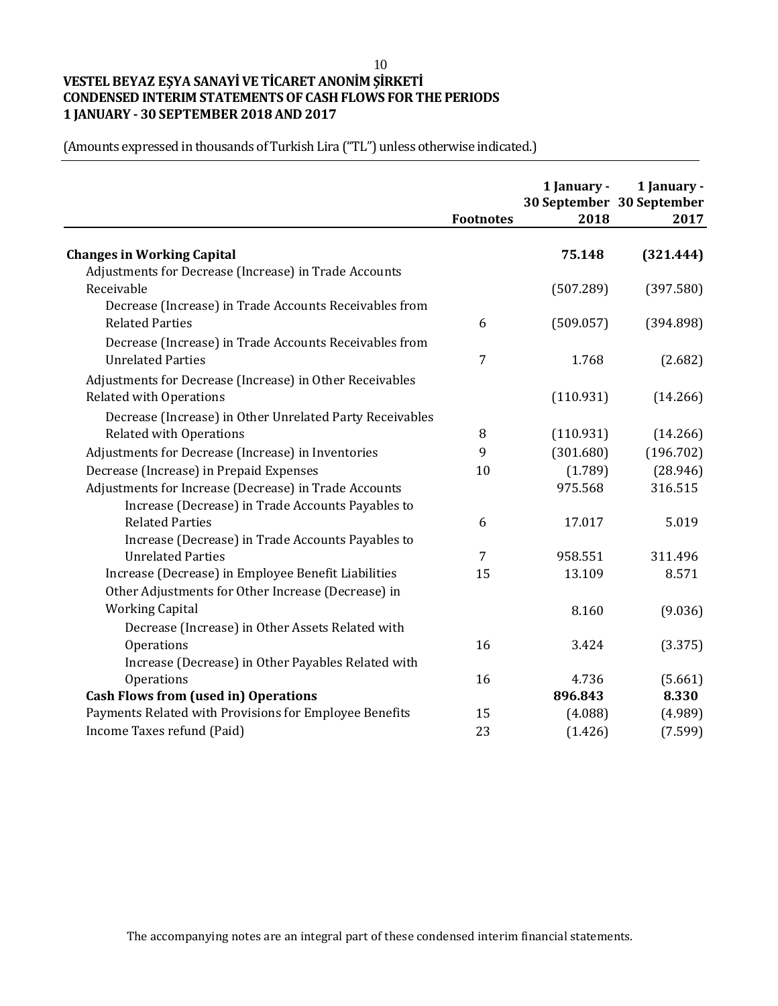# **VESTEL BEYAZ EŞYA SANAYİ VE TİCARET ANONİM ŞİRKETİ CONDENSED INTERIM STATEMENTS OF CASH FLOWS FOR THE PERIODS 1 JANUARY - 30 SEPTEMBER 2018 AND 2017**

(Amounts expressed in thousands of Turkish Lira ("TL") unless otherwise indicated.)

|                                                          | <b>Footnotes</b> | 1 January -<br>2018 | 1 January -<br>30 September 30 September<br>2017 |
|----------------------------------------------------------|------------------|---------------------|--------------------------------------------------|
| <b>Changes in Working Capital</b>                        |                  | 75.148              | (321.444)                                        |
| Adjustments for Decrease (Increase) in Trade Accounts    |                  |                     |                                                  |
| Receivable                                               |                  | (507.289)           | (397.580)                                        |
| Decrease (Increase) in Trade Accounts Receivables from   |                  |                     |                                                  |
| <b>Related Parties</b>                                   | 6                | (509.057)           | (394.898)                                        |
| Decrease (Increase) in Trade Accounts Receivables from   |                  |                     |                                                  |
| <b>Unrelated Parties</b>                                 | 7                | 1.768               | (2.682)                                          |
| Adjustments for Decrease (Increase) in Other Receivables |                  |                     |                                                  |
| <b>Related with Operations</b>                           |                  | (110.931)           | (14.266)                                         |
| Decrease (Increase) in Other Unrelated Party Receivables |                  |                     |                                                  |
| <b>Related with Operations</b>                           | 8                | (110.931)           | (14.266)                                         |
| Adjustments for Decrease (Increase) in Inventories       | 9                | (301.680)           | (196.702)                                        |
| Decrease (Increase) in Prepaid Expenses                  | 10               | (1.789)             | (28.946)                                         |
| Adjustments for Increase (Decrease) in Trade Accounts    |                  | 975.568             | 316.515                                          |
| Increase (Decrease) in Trade Accounts Payables to        |                  |                     |                                                  |
| <b>Related Parties</b>                                   | 6                | 17.017              | 5.019                                            |
| Increase (Decrease) in Trade Accounts Payables to        |                  |                     |                                                  |
| <b>Unrelated Parties</b>                                 | $\overline{7}$   | 958.551             | 311.496                                          |
| Increase (Decrease) in Employee Benefit Liabilities      | 15               | 13.109              | 8.571                                            |
| Other Adjustments for Other Increase (Decrease) in       |                  |                     |                                                  |
| <b>Working Capital</b>                                   |                  | 8.160               | (9.036)                                          |
| Decrease (Increase) in Other Assets Related with         |                  |                     |                                                  |
| Operations                                               | 16               | 3.424               | (3.375)                                          |
| Increase (Decrease) in Other Payables Related with       |                  |                     |                                                  |
| Operations                                               | 16               | 4.736               | (5.661)                                          |
| <b>Cash Flows from (used in) Operations</b>              |                  | 896.843             | 8.330                                            |
| Payments Related with Provisions for Employee Benefits   | 15               | (4.088)             | (4.989)                                          |
| Income Taxes refund (Paid)                               | 23               | (1.426)             | (7.599)                                          |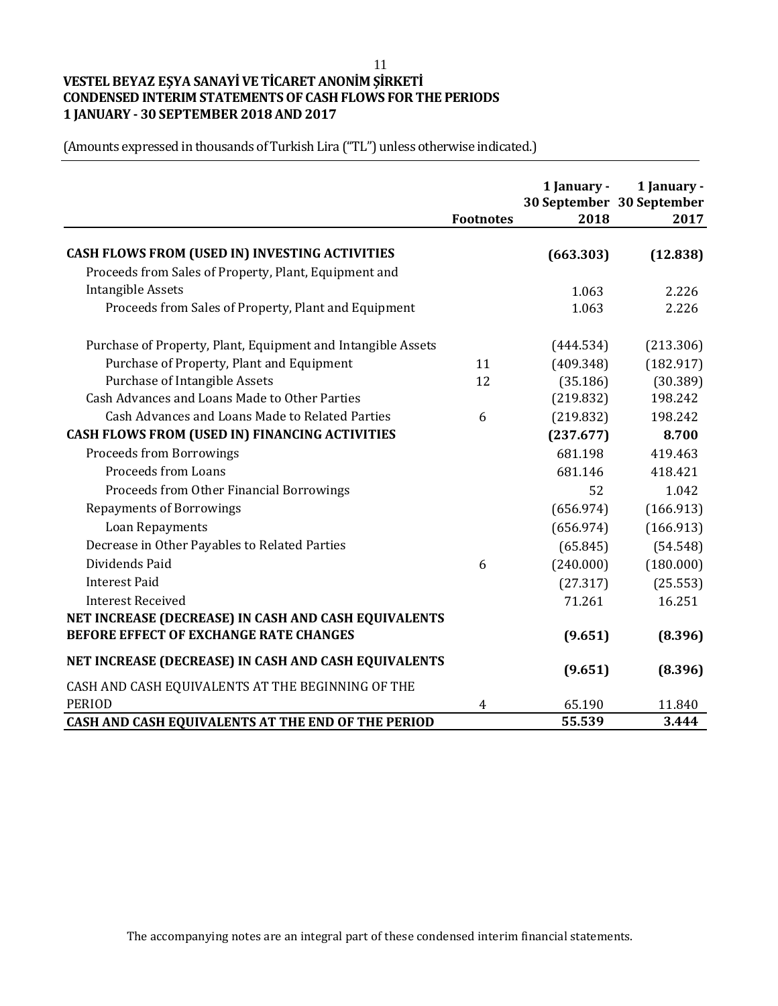# **VESTEL BEYAZ EŞYA SANAYİ VE TİCARET ANONİM ŞİRKETİ CONDENSED INTERIM STATEMENTS OF CASH FLOWS FOR THE PERIODS 1 JANUARY - 30 SEPTEMBER 2018 AND 2017**

(Amounts expressed in thousands of Turkish Lira ("TL") unless otherwise indicated.)

|                                                              | <b>Footnotes</b> | 1 January -<br>2018 | 1 January -<br>30 September 30 September<br>2017 |
|--------------------------------------------------------------|------------------|---------------------|--------------------------------------------------|
| CASH FLOWS FROM (USED IN) INVESTING ACTIVITIES               |                  | (663.303)           | (12.838)                                         |
| Proceeds from Sales of Property, Plant, Equipment and        |                  |                     |                                                  |
| <b>Intangible Assets</b>                                     |                  | 1.063               | 2.226                                            |
| Proceeds from Sales of Property, Plant and Equipment         |                  | 1.063               | 2.226                                            |
| Purchase of Property, Plant, Equipment and Intangible Assets |                  | (444.534)           | (213.306)                                        |
| Purchase of Property, Plant and Equipment                    | 11               | (409.348)           | (182.917)                                        |
| Purchase of Intangible Assets                                | 12               | (35.186)            | (30.389)                                         |
| Cash Advances and Loans Made to Other Parties                |                  | (219.832)           | 198.242                                          |
| Cash Advances and Loans Made to Related Parties              | 6                | (219.832)           | 198.242                                          |
| <b>CASH FLOWS FROM (USED IN) FINANCING ACTIVITIES</b>        |                  | (237.677)           | 8.700                                            |
| <b>Proceeds from Borrowings</b>                              |                  | 681.198             | 419.463                                          |
| <b>Proceeds from Loans</b>                                   |                  | 681.146             | 418.421                                          |
| Proceeds from Other Financial Borrowings                     |                  | 52                  | 1.042                                            |
| <b>Repayments of Borrowings</b>                              |                  | (656.974)           | (166.913)                                        |
| Loan Repayments                                              |                  | (656.974)           | (166.913)                                        |
| Decrease in Other Payables to Related Parties                |                  | (65.845)            | (54.548)                                         |
| Dividends Paid                                               | 6                | (240.000)           | (180.000)                                        |
| <b>Interest Paid</b>                                         |                  | (27.317)            | (25.553)                                         |
| <b>Interest Received</b>                                     |                  | 71.261              | 16.251                                           |
| NET INCREASE (DECREASE) IN CASH AND CASH EQUIVALENTS         |                  |                     |                                                  |
| BEFORE EFFECT OF EXCHANGE RATE CHANGES                       |                  | (9.651)             | (8.396)                                          |
| NET INCREASE (DECREASE) IN CASH AND CASH EQUIVALENTS         |                  | (9.651)             | (8.396)                                          |
| CASH AND CASH EQUIVALENTS AT THE BEGINNING OF THE            |                  |                     |                                                  |
| <b>PERIOD</b>                                                | 4                | 65.190              | 11.840                                           |
| CASH AND CASH EQUIVALENTS AT THE END OF THE PERIOD           |                  | 55.539              | 3.444                                            |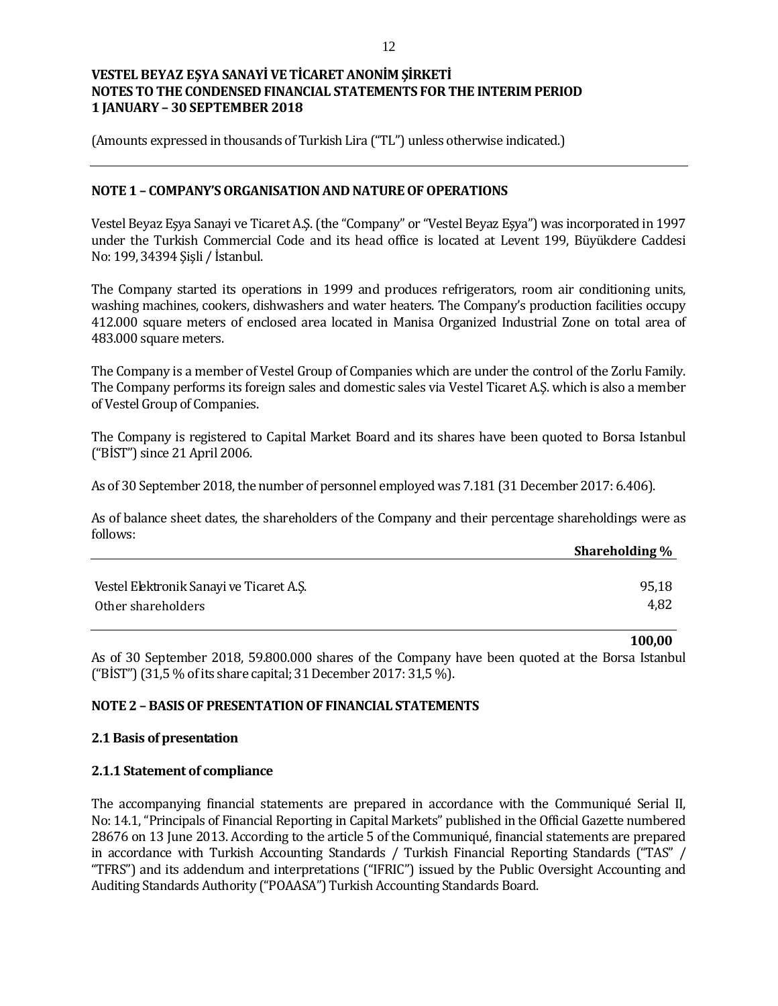(Amounts expressed in thousands of Turkish Lira ("TL") unless otherwise indicated.)

#### **NOTE 1 – COMPANY'S ORGANISATION AND NATURE OF OPERATIONS**

Vestel Beyaz Eşya Sanayi ve Ticaret A.Ş. (the "Company" or "Vestel Beyaz Eşya") was incorporated in 1997 under the Turkish Commercial Code and its head office is located at Levent 199, Büyükdere Caddesi No: 199, 34394 Şişli / İstanbul.

The Company started its operations in 1999 and produces refrigerators, room air conditioning units, washing machines, cookers, dishwashers and water heaters. The Company's production facilities occupy 412.000 square meters of enclosed area located in Manisa Organized Industrial Zone on total area of 483.000 square meters.

The Company is a member of Vestel Group of Companies which are under the control of the Zorlu Family. The Company performs its foreign sales and domestic sales via Vestel Ticaret A.Ş. which is also a member of Vestel Group of Companies.

The Company is registered to Capital Market Board and its shares have been quoted to Borsa Istanbul ("BİST") since 21 April 2006.

As of 30 September 2018, the number of personnel employed was 7.181 (31 December 2017: 6.406).

As of balance sheet dates, the shareholders of the Company and their percentage shareholdings were as follows:

|                                          | Shareholding % |
|------------------------------------------|----------------|
|                                          |                |
| Vestel Elektronik Sanayi ve Ticaret A.S. | 95,18          |
| Other shareholders                       | 4,82           |

**100,00**

As of 30 September 2018, 59.800.000 shares of the Company have been quoted at the Borsa Istanbul ("BİST") (31,5 % of its share capital; 31 December 2017: 31,5 %).

#### **NOTE 2 – BASIS OF PRESENTATION OF FINANCIAL STATEMENTS**

#### **2.1 Basis of presentation**

#### **2.1.1 Statement of compliance**

The accompanying financial statements are prepared in accordance with the Communiqué Serial II, No: 14.1, "Principals of Financial Reporting in Capital Markets" published in the Official Gazette numbered 28676 on 13 June 2013. According to the article 5 of the Communiqué, financial statements are prepared in accordance with Turkish Accounting Standards / Turkish Financial Reporting Standards ("TAS" / "TFRS") and its addendum and interpretations ("IFRIC") issued by the Public Oversight Accounting and Auditing Standards Authority ("POAASA") Turkish Accounting Standards Board.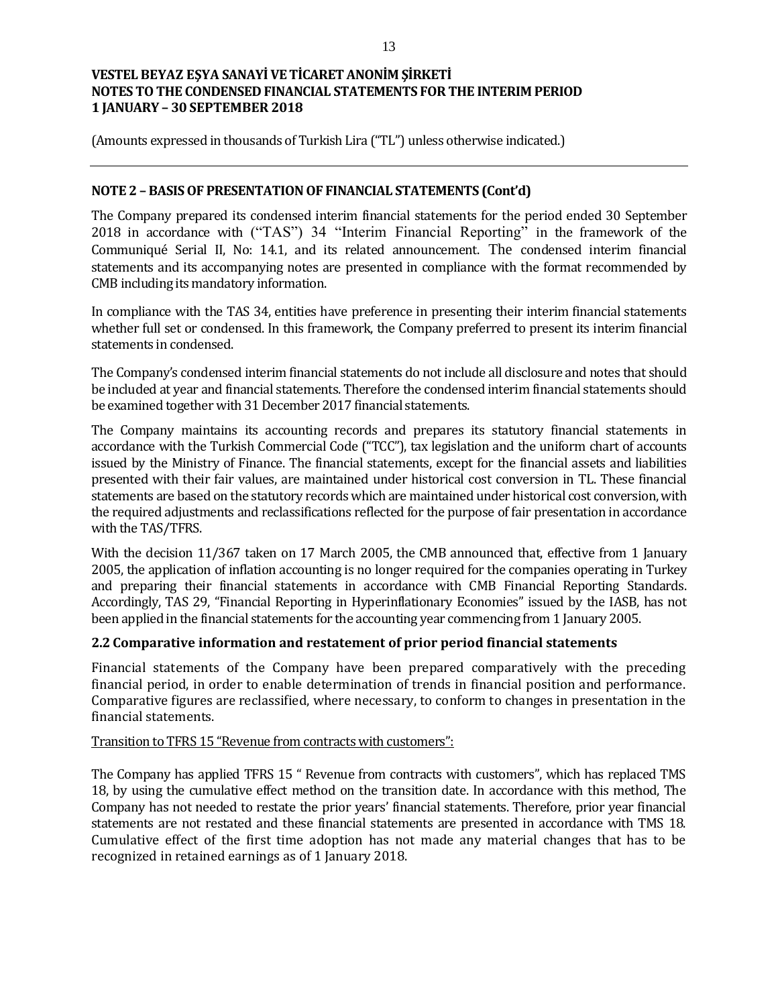(Amounts expressed in thousands of Turkish Lira ("TL") unless otherwise indicated.)

## **NOTE 2 – BASIS OF PRESENTATION OF FINANCIAL STATEMENTS (Cont'd)**

The Company prepared its condensed interim financial statements for the period ended 30 September 2018 in accordance with ("TAS") 34 "Interim Financial Reporting" in the framework of the Communiqué Serial II, No: 14.1, and its related announcement. The condensed interim financial statements and its accompanying notes are presented in compliance with the format recommended by CMB including its mandatory information.

In compliance with the TAS 34, entities have preference in presenting their interim financial statements whether full set or condensed. In this framework, the Company preferred to present its interim financial statements in condensed.

The Company's condensed interim financial statements do not include all disclosure and notes that should be included at year and financial statements. Therefore the condensed interim financial statements should be examined together with 31 December 2017 financial statements.

The Company maintains its accounting records and prepares its statutory financial statements in accordance with the Turkish Commercial Code ("TCC"), tax legislation and the uniform chart of accounts issued by the Ministry of Finance. The financial statements, except for the financial assets and liabilities presented with their fair values, are maintained under historical cost conversion in TL. These financial statements are based on the statutory records which are maintained under historical cost conversion, with the required adjustments and reclassifications reflected for the purpose of fair presentation in accordance with the TAS/TFRS.

With the decision 11/367 taken on 17 March 2005, the CMB announced that, effective from 1 January 2005, the application of inflation accounting is no longer required for the companies operating in Turkey and preparing their financial statements in accordance with CMB Financial Reporting Standards. Accordingly, TAS 29, "Financial Reporting in Hyperinflationary Economies" issued by the IASB, has not been applied in the financial statements for the accounting year commencing from 1 January 2005.

# **2.2 Comparative information and restatement of prior period financial statements**

Financial statements of the Company have been prepared comparatively with the preceding financial period, in order to enable determination of trends in financial position and performance. Comparative figures are reclassified, where necessary, to conform to changes in presentation in the financial statements.

#### Transition to TFRS 15 "Revenue from contracts with customers":

The Company has applied TFRS 15 " Revenue from contracts with customers", which has replaced TMS 18, by using the cumulative effect method on the transition date. In accordance with this method, The Company has not needed to restate the prior years' financial statements. Therefore, prior year financial statements are not restated and these financial statements are presented in accordance with TMS 18. Cumulative effect of the first time adoption has not made any material changes that has to be recognized in retained earnings as of 1 January 2018.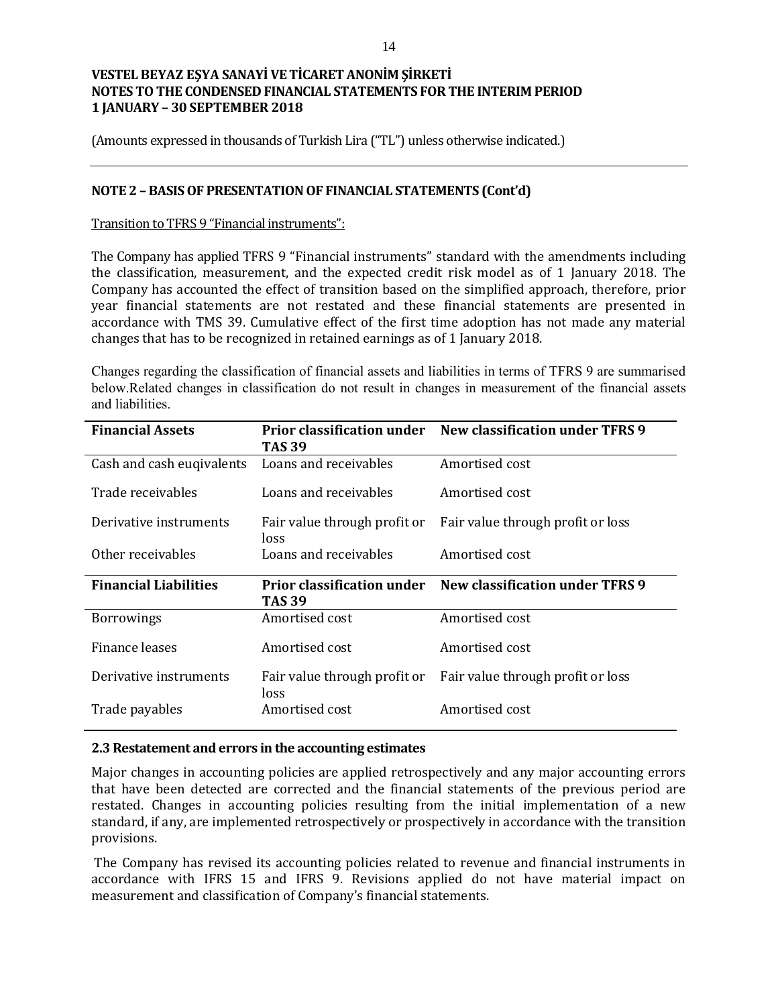(Amounts expressed in thousands of Turkish Lira ("TL") unless otherwise indicated.)

#### **NOTE 2 – BASIS OF PRESENTATION OF FINANCIAL STATEMENTS (Cont'd)**

#### Transition to TFRS 9 "Financial instruments":

The Company has applied TFRS 9 "Financial instruments" standard with the amendments including the classification, measurement, and the expected credit risk model as of 1 January 2018. The Company has accounted the effect of transition based on the simplified approach, therefore, prior year financial statements are not restated and these financial statements are presented in accordance with TMS 39. Cumulative effect of the first time adoption has not made any material changes that has to be recognized in retained earnings as of 1 January 2018.

Changes regarding the classification of financial assets and liabilities in terms of TFRS 9 are summarised below.Related changes in classification do not result in changes in measurement of the financial assets and liabilities.

| <b>Financial Assets</b>      | <b>Prior classification under</b><br><b>TAS 39</b> | New classification under TFRS 9        |
|------------------------------|----------------------------------------------------|----------------------------------------|
| Cash and cash eugivalents    | Loans and receivables                              | Amortised cost                         |
| Trade receivables            | Loans and receivables                              | Amortised cost                         |
| Derivative instruments       | Fair value through profit or<br>loss               | Fair value through profit or loss      |
| Other receivables            | Loans and receivables                              | Amortised cost                         |
| <b>Financial Liabilities</b> | <b>Prior classification under</b><br>TAS 39        | <b>New classification under TFRS 9</b> |
| <b>Borrowings</b>            | Amortised cost                                     | Amortised cost                         |
| Finance leases               |                                                    |                                        |
|                              | Amortised cost                                     | Amortised cost                         |
| Derivative instruments       | Fair value through profit or<br>loss               | Fair value through profit or loss      |

#### **2.3 Restatement and errors in the accounting estimates**

Major changes in accounting policies are applied retrospectively and any major accounting errors that have been detected are corrected and the financial statements of the previous period are restated. Changes in accounting policies resulting from the initial implementation of a new standard, if any, are implemented retrospectively or prospectively in accordance with the transition provisions.

The Company has revised its accounting policies related to revenue and financial instruments in accordance with IFRS 15 and IFRS 9. Revisions applied do not have material impact on measurement and classification of Company's financial statements.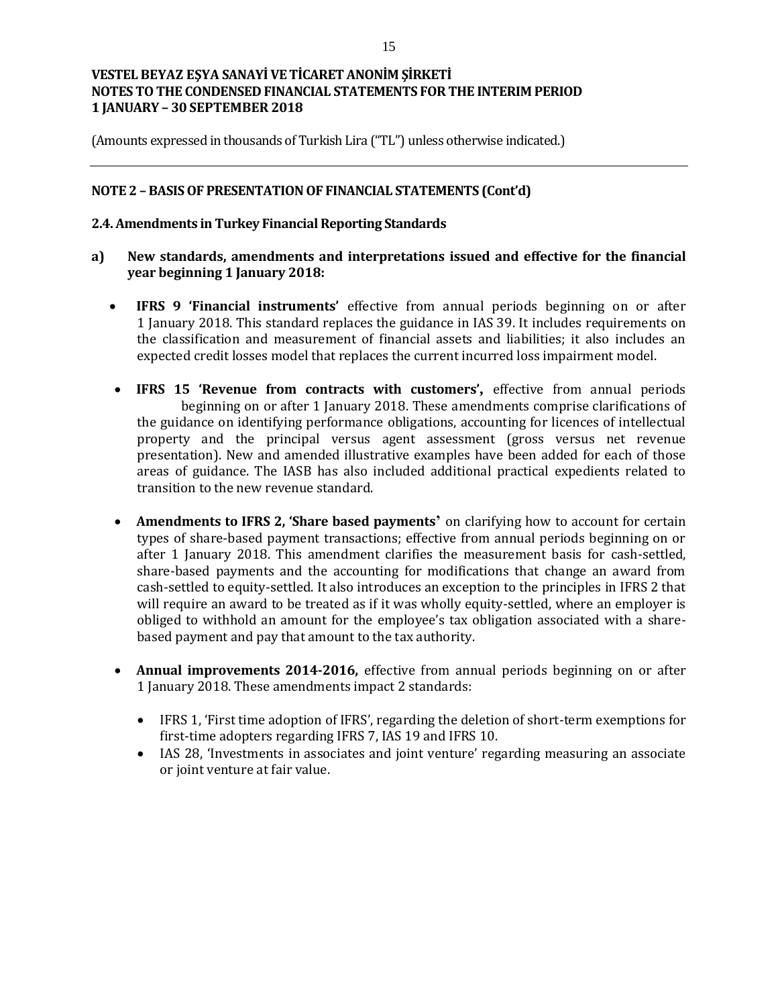(Amounts expressed in thousands of Turkish Lira ("TL") unless otherwise indicated.)

### **NOTE 2 – BASIS OF PRESENTATION OF FINANCIAL STATEMENTS (Cont'd)**

### **2.4. Amendments in Turkey Financial Reporting Standards**

- **a) New standards, amendments and interpretations issued and effective for the financial year beginning 1 January 2018:**
	- **IFRS 9 'Financial instruments'** effective from annual periods beginning on or after 1 January 2018. This standard replaces the guidance in IAS 39. It includes requirements on the classification and measurement of financial assets and liabilities; it also includes an expected credit losses model that replaces the current incurred loss impairment model.
	- **IFRS 15 'Revenue from contracts with customers',** effective from annual periods beginning on or after 1 January 2018. These amendments comprise clarifications of the guidance on identifying performance obligations, accounting for licences of intellectual property and the principal versus agent assessment (gross versus net revenue presentation). New and amended illustrative examples have been added for each of those areas of guidance. The IASB has also included additional practical expedients related to transition to the new revenue standard.
	- **Amendments to IFRS 2, 'Share based payments'** on clarifying how to account for certain types of share-based payment transactions; effective from annual periods beginning on or after 1 January 2018. This amendment clarifies the measurement basis for cash-settled, share-based payments and the accounting for modifications that change an award from cash-settled to equity-settled. It also introduces an exception to the principles in IFRS 2 that will require an award to be treated as if it was wholly equity-settled, where an employer is obliged to withhold an amount for the employee's tax obligation associated with a sharebased payment and pay that amount to the tax authority.
	- **Annual improvements 2014-2016,** effective from annual periods beginning on or after 1 January 2018. These amendments impact 2 standards:
		- IFRS 1, 'First time adoption of IFRS', regarding the deletion of short-term exemptions for first-time adopters regarding IFRS 7, IAS 19 and IFRS 10.
		- IAS 28, 'Investments in associates and joint venture' regarding measuring an associate or joint venture at fair value.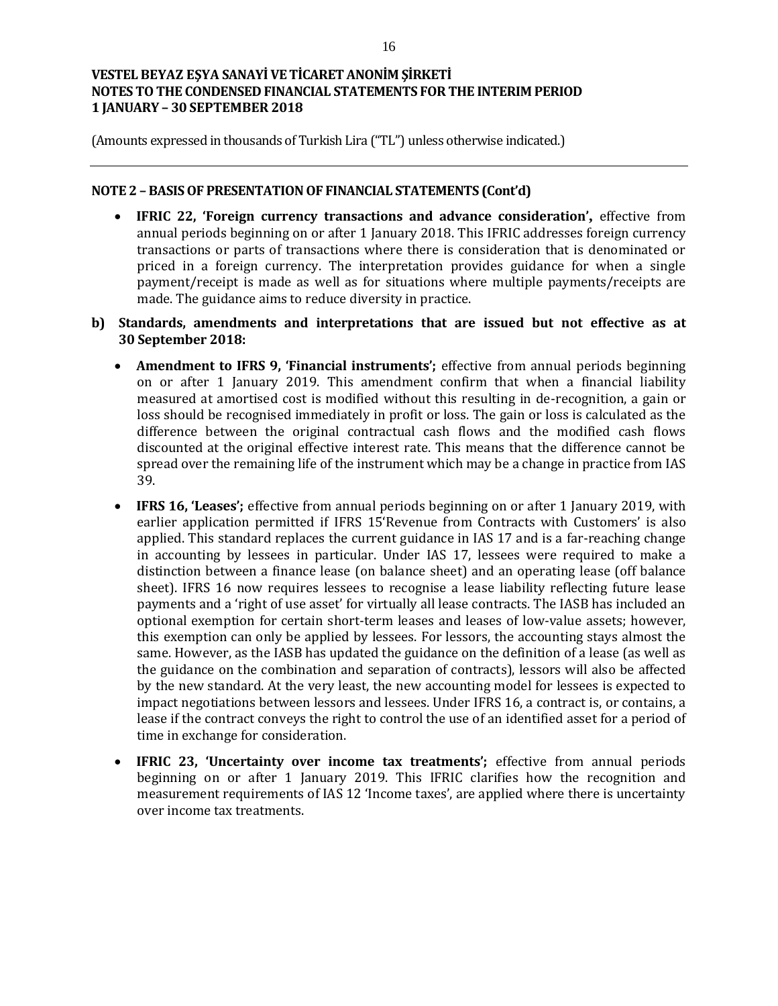(Amounts expressed in thousands of Turkish Lira ("TL") unless otherwise indicated.)

#### **NOTE 2 – BASIS OF PRESENTATION OF FINANCIAL STATEMENTS (Cont'd)**

- **IFRIC 22, 'Foreign currency transactions and advance consideration',** effective from annual periods beginning on or after 1 January 2018. This IFRIC addresses foreign currency transactions or parts of transactions where there is consideration that is denominated or priced in a foreign currency. The interpretation provides guidance for when a single payment/receipt is made as well as for situations where multiple payments/receipts are made. The guidance aims to reduce diversity in practice.
- **b) Standards, amendments and interpretations that are issued but not effective as at 30 September 2018:**
	- **Amendment to IFRS 9, 'Financial instruments';** effective from annual periods beginning on or after 1 January 2019. This amendment confirm that when a financial liability measured at amortised cost is modified without this resulting in de-recognition, a gain or loss should be recognised immediately in profit or loss. The gain or loss is calculated as the difference between the original contractual cash flows and the modified cash flows discounted at the original effective interest rate. This means that the difference cannot be spread over the remaining life of the instrument which may be a change in practice from IAS 39.
	- **IFRS 16, 'Leases';** effective from annual periods beginning on or after 1 January 2019, with earlier application permitted if IFRS 15'Revenue from Contracts with Customers' is also applied. This standard replaces the current guidance in IAS 17 and is a far-reaching change in accounting by lessees in particular. Under IAS 17, lessees were required to make a distinction between a finance lease (on balance sheet) and an operating lease (off balance sheet). IFRS 16 now requires lessees to recognise a lease liability reflecting future lease payments and a 'right of use asset' for virtually all lease contracts. The IASB has included an optional exemption for certain short-term leases and leases of low-value assets; however, this exemption can only be applied by lessees. For lessors, the accounting stays almost the same. However, as the IASB has updated the guidance on the definition of a lease (as well as the guidance on the combination and separation of contracts), lessors will also be affected by the new standard. At the very least, the new accounting model for lessees is expected to impact negotiations between lessors and lessees. Under IFRS 16, a contract is, or contains, a lease if the contract conveys the right to control the use of an identified asset for a period of time in exchange for consideration.
	- **IFRIC 23, 'Uncertainty over income tax treatments';** effective from annual periods beginning on or after 1 January 2019. This IFRIC clarifies how the recognition and measurement requirements of IAS 12 'Income taxes', are applied where there is uncertainty over income tax treatments.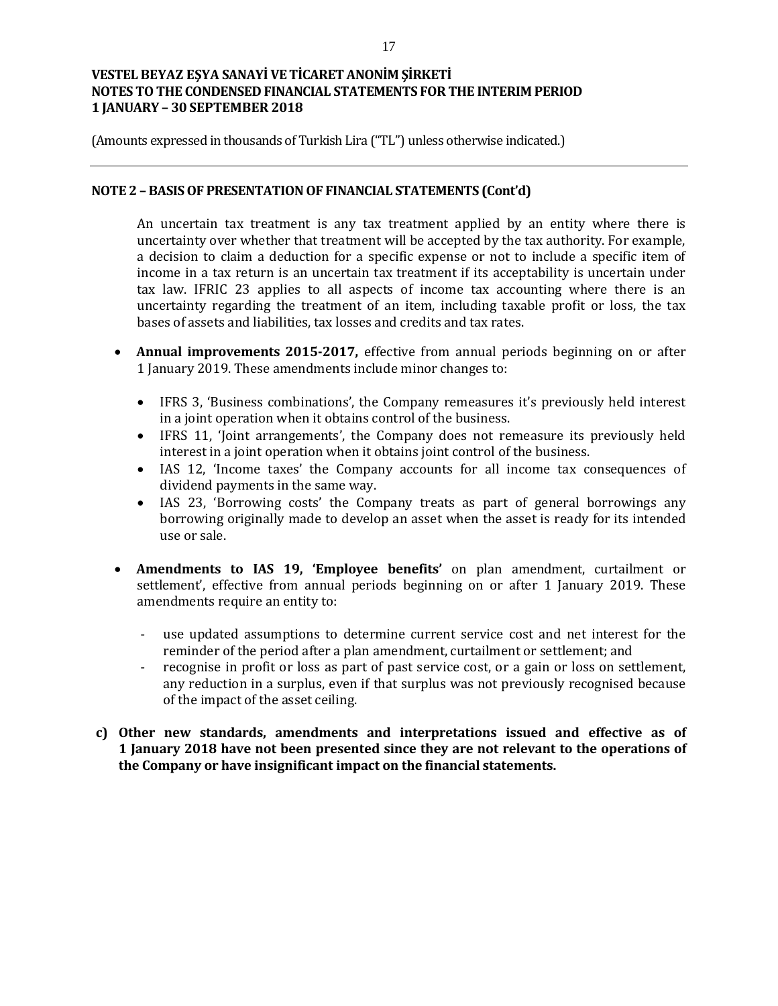(Amounts expressed in thousands of Turkish Lira ("TL") unless otherwise indicated.)

#### **NOTE 2 – BASIS OF PRESENTATION OF FINANCIAL STATEMENTS (Cont'd)**

An uncertain tax treatment is any tax treatment applied by an entity where there is uncertainty over whether that treatment will be accepted by the tax authority. For example, a decision to claim a deduction for a specific expense or not to include a specific item of income in a tax return is an uncertain tax treatment if its acceptability is uncertain under tax law. IFRIC 23 applies to all aspects of income tax accounting where there is an uncertainty regarding the treatment of an item, including taxable profit or loss, the tax bases of assets and liabilities, tax losses and credits and tax rates.

- **Annual improvements 2015-2017,** effective from annual periods beginning on or after 1 January 2019. These amendments include minor changes to:
	- IFRS 3, 'Business combinations', the Company remeasures it's previously held interest in a joint operation when it obtains control of the business.
	- IFRS 11, 'Joint arrangements', the Company does not remeasure its previously held interest in a joint operation when it obtains joint control of the business.
	- IAS 12, 'Income taxes' the Company accounts for all income tax consequences of dividend payments in the same way.
	- IAS 23, 'Borrowing costs' the Company treats as part of general borrowings any borrowing originally made to develop an asset when the asset is ready for its intended use or sale.
- **Amendments to IAS 19, 'Employee benefits'** on plan amendment, curtailment or settlement', effective from annual periods beginning on or after 1 January 2019. These amendments require an entity to:
	- use updated assumptions to determine current service cost and net interest for the reminder of the period after a plan amendment, curtailment or settlement; and
	- recognise in profit or loss as part of past service cost, or a gain or loss on settlement, any reduction in a surplus, even if that surplus was not previously recognised because of the impact of the asset ceiling.
- **c) Other new standards, amendments and interpretations issued and effective as of 1 January 2018 have not been presented since they are not relevant to the operations of the Company or have insignificant impact on the financial statements.**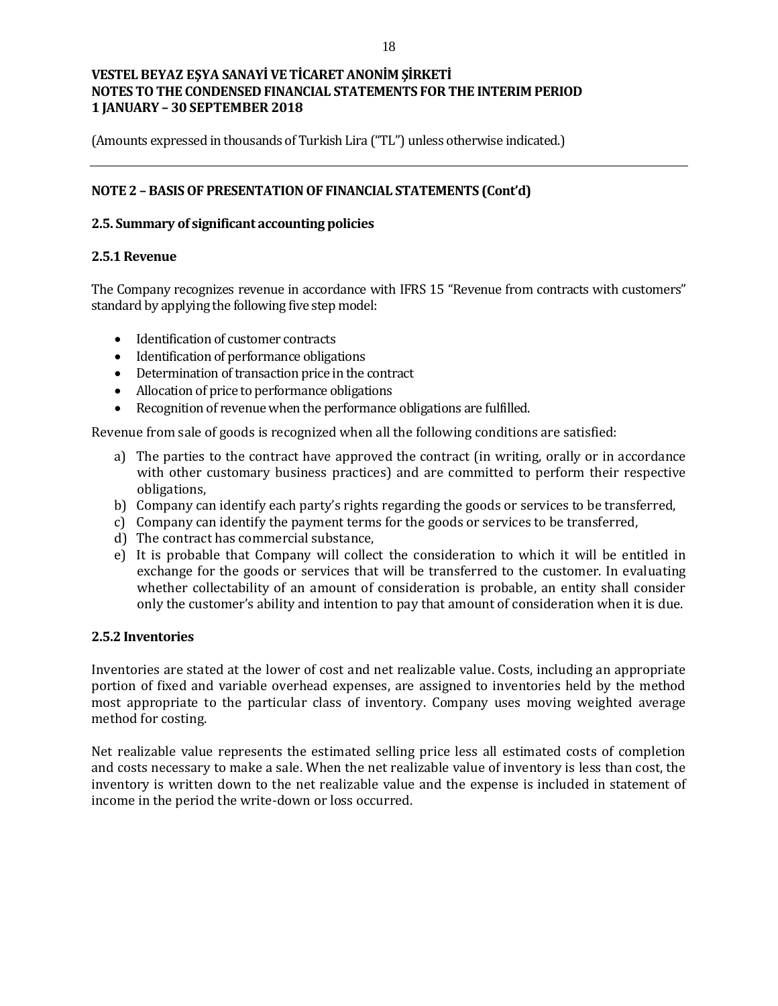(Amounts expressed in thousands of Turkish Lira ("TL") unless otherwise indicated.)

## **NOTE 2 – BASIS OF PRESENTATION OF FINANCIAL STATEMENTS (Cont'd)**

### **2.5. Summary of significant accounting policies**

#### **2.5.1 Revenue**

The Company recognizes revenue in accordance with IFRS 15 "Revenue from contracts with customers" standard by applying the following five step model:

- Identification of customer contracts
- Identification of performance obligations
- Determination of transaction price in the contract
- Allocation of price to performance obligations
- Recognition of revenue when the performance obligations are fulfilled.

Revenue from sale of goods is recognized when all the following conditions are satisfied:

- a) The parties to the contract have approved the contract (in writing, orally or in accordance with other customary business practices) and are committed to perform their respective obligations,
- b) Company can identify each party's rights regarding the goods or services to be transferred,
- c) Company can identify the payment terms for the goods or services to be transferred,
- d) The contract has commercial substance,
- e) It is probable that Company will collect the consideration to which it will be entitled in exchange for the goods or services that will be transferred to the customer. In evaluating whether collectability of an amount of consideration is probable, an entity shall consider only the customer's ability and intention to pay that amount of consideration when it is due.

#### **2.5.2 Inventories**

Inventories are stated at the lower of cost and net realizable value. Costs, including an appropriate portion of fixed and variable overhead expenses, are assigned to inventories held by the method most appropriate to the particular class of inventory. Company uses moving weighted average method for costing.

Net realizable value represents the estimated selling price less all estimated costs of completion and costs necessary to make a sale. When the net realizable value of inventory is less than cost, the inventory is written down to the net realizable value and the expense is included in statement of income in the period the write-down or loss occurred.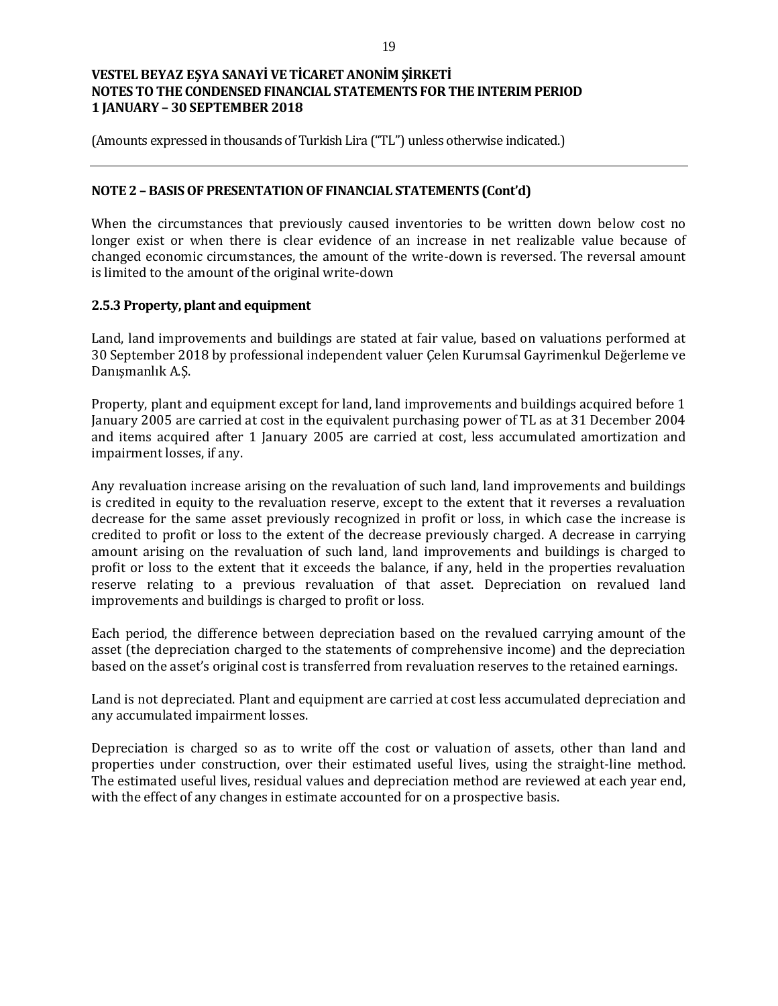(Amounts expressed in thousands of Turkish Lira ("TL") unless otherwise indicated.)

### **NOTE 2 – BASIS OF PRESENTATION OF FINANCIAL STATEMENTS (Cont'd)**

When the circumstances that previously caused inventories to be written down below cost no longer exist or when there is clear evidence of an increase in net realizable value because of changed economic circumstances, the amount of the write-down is reversed. The reversal amount is limited to the amount of the original write-down

#### **2.5.3 Property, plant and equipment**

Land, land improvements and buildings are stated at fair value, based on valuations performed at 30 September 2018 by professional independent valuer Çelen Kurumsal Gayrimenkul Değerleme ve Danışmanlık A.Ş.

Property, plant and equipment except for land, land improvements and buildings acquired before 1 January 2005 are carried at cost in the equivalent purchasing power of TL as at 31 December 2004 and items acquired after 1 January 2005 are carried at cost, less accumulated amortization and impairment losses, if any.

Any revaluation increase arising on the revaluation of such land, land improvements and buildings is credited in equity to the revaluation reserve, except to the extent that it reverses a revaluation decrease for the same asset previously recognized in profit or loss, in which case the increase is credited to profit or loss to the extent of the decrease previously charged. A decrease in carrying amount arising on the revaluation of such land, land improvements and buildings is charged to profit or loss to the extent that it exceeds the balance, if any, held in the properties revaluation reserve relating to a previous revaluation of that asset. Depreciation on revalued land improvements and buildings is charged to profit or loss.

Each period, the difference between depreciation based on the revalued carrying amount of the asset (the depreciation charged to the statements of comprehensive income) and the depreciation based on the asset's original cost is transferred from revaluation reserves to the retained earnings.

Land is not depreciated. Plant and equipment are carried at cost less accumulated depreciation and any accumulated impairment losses.

Depreciation is charged so as to write off the cost or valuation of assets, other than land and properties under construction, over their estimated useful lives, using the straight-line method. The estimated useful lives, residual values and depreciation method are reviewed at each year end, with the effect of any changes in estimate accounted for on a prospective basis.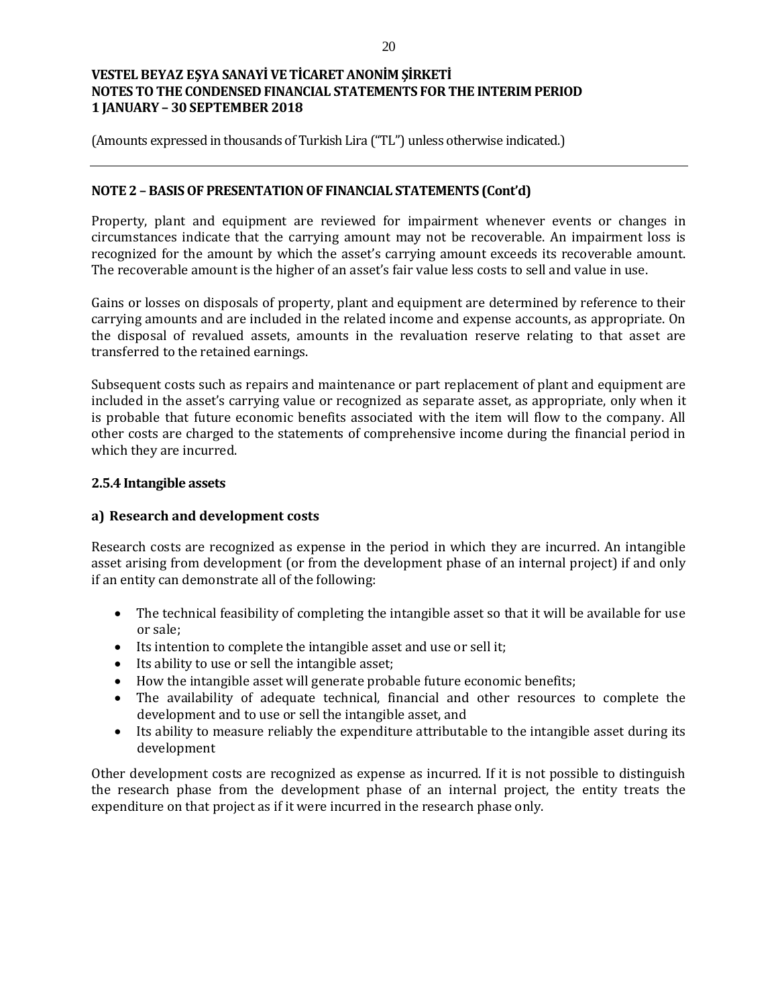(Amounts expressed in thousands of Turkish Lira ("TL") unless otherwise indicated.)

### **NOTE 2 – BASIS OF PRESENTATION OF FINANCIAL STATEMENTS (Cont'd)**

Property, plant and equipment are reviewed for impairment whenever events or changes in circumstances indicate that the carrying amount may not be recoverable. An impairment loss is recognized for the amount by which the asset's carrying amount exceeds its recoverable amount. The recoverable amount is the higher of an asset's fair value less costs to sell and value in use.

Gains or losses on disposals of property, plant and equipment are determined by reference to their carrying amounts and are included in the related income and expense accounts, as appropriate. On the disposal of revalued assets, amounts in the revaluation reserve relating to that asset are transferred to the retained earnings.

Subsequent costs such as repairs and maintenance or part replacement of plant and equipment are included in the asset's carrying value or recognized as separate asset, as appropriate, only when it is probable that future economic benefits associated with the item will flow to the company. All other costs are charged to the statements of comprehensive income during the financial period in which they are incurred.

#### **2.5.4 Intangible assets**

#### **a) Research and development costs**

Research costs are recognized as expense in the period in which they are incurred. An intangible asset arising from development (or from the development phase of an internal project) if and only if an entity can demonstrate all of the following:

- The technical feasibility of completing the intangible asset so that it will be available for use or sale;
- Its intention to complete the intangible asset and use or sell it;
- Its ability to use or sell the intangible asset;
- How the intangible asset will generate probable future economic benefits;
- The availability of adequate technical, financial and other resources to complete the development and to use or sell the intangible asset, and
- Its ability to measure reliably the expenditure attributable to the intangible asset during its development

Other development costs are recognized as expense as incurred. If it is not possible to distinguish the research phase from the development phase of an internal project, the entity treats the expenditure on that project as if it were incurred in the research phase only.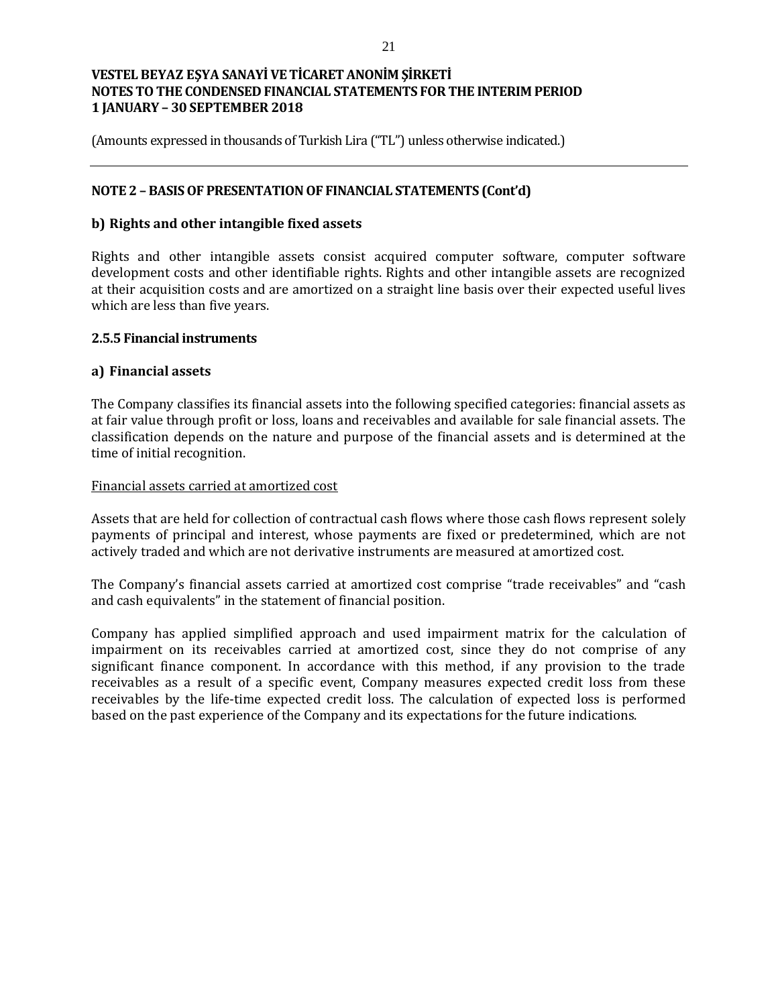(Amounts expressed in thousands of Turkish Lira ("TL") unless otherwise indicated.)

## **NOTE 2 – BASIS OF PRESENTATION OF FINANCIAL STATEMENTS (Cont'd)**

### **b) Rights and other intangible fixed assets**

Rights and other intangible assets consist acquired computer software, computer software development costs and other identifiable rights. Rights and other intangible assets are recognized at their acquisition costs and are amortized on a straight line basis over their expected useful lives which are less than five years.

#### **2.5.5 Financial instruments**

#### **a) Financial assets**

The Company classifies its financial assets into the following specified categories: financial assets as at fair value through profit or loss, loans and receivables and available for sale financial assets. The classification depends on the nature and purpose of the financial assets and is determined at the time of initial recognition.

#### Financial assets carried at amortized cost

Assets that are held for collection of contractual cash flows where those cash flows represent solely payments of principal and interest, whose payments are fixed or predetermined, which are not actively traded and which are not derivative instruments are measured at amortized cost.

The Company's financial assets carried at amortized cost comprise "trade receivables" and "cash and cash equivalents" in the statement of financial position.

Company has applied simplified approach and used impairment matrix for the calculation of impairment on its receivables carried at amortized cost, since they do not comprise of any significant finance component. In accordance with this method, if any provision to the trade receivables as a result of a specific event, Company measures expected credit loss from these receivables by the life-time expected credit loss. The calculation of expected loss is performed based on the past experience of the Company and its expectations for the future indications.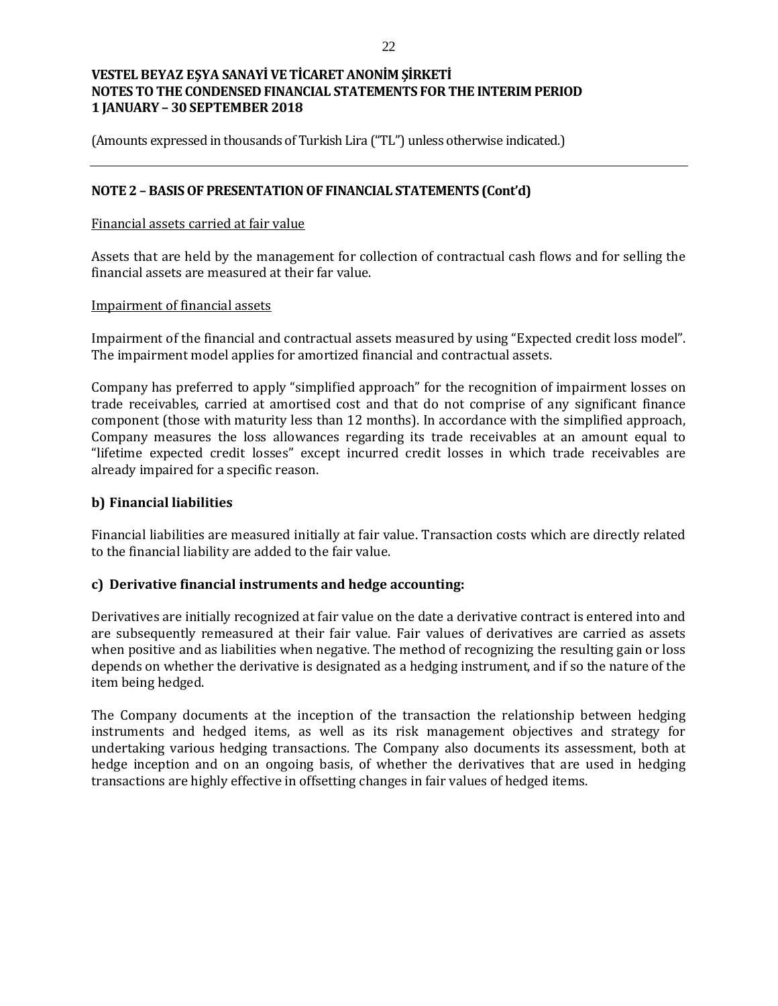(Amounts expressed in thousands of Turkish Lira ("TL") unless otherwise indicated.)

## **NOTE 2 – BASIS OF PRESENTATION OF FINANCIAL STATEMENTS (Cont'd)**

#### Financial assets carried at fair value

Assets that are held by the management for collection of contractual cash flows and for selling the financial assets are measured at their far value.

#### Impairment of financial assets

Impairment of the financial and contractual assets measured by using "Expected credit loss model". The impairment model applies for amortized financial and contractual assets.

Company has preferred to apply "simplified approach" for the recognition of impairment losses on trade receivables, carried at amortised cost and that do not comprise of any significant finance component (those with maturity less than 12 months). In accordance with the simplified approach, Company measures the loss allowances regarding its trade receivables at an amount equal to "lifetime expected credit losses" except incurred credit losses in which trade receivables are already impaired for a specific reason.

#### **b) Financial liabilities**

Financial liabilities are measured initially at fair value. Transaction costs which are directly related to the financial liability are added to the fair value.

#### **c) Derivative financial instruments and hedge accounting:**

Derivatives are initially recognized at fair value on the date a derivative contract is entered into and are subsequently remeasured at their fair value. Fair values of derivatives are carried as assets when positive and as liabilities when negative. The method of recognizing the resulting gain or loss depends on whether the derivative is designated as a hedging instrument, and if so the nature of the item being hedged.

The Company documents at the inception of the transaction the relationship between hedging instruments and hedged items, as well as its risk management objectives and strategy for undertaking various hedging transactions. The Company also documents its assessment, both at hedge inception and on an ongoing basis, of whether the derivatives that are used in hedging transactions are highly effective in offsetting changes in fair values of hedged items.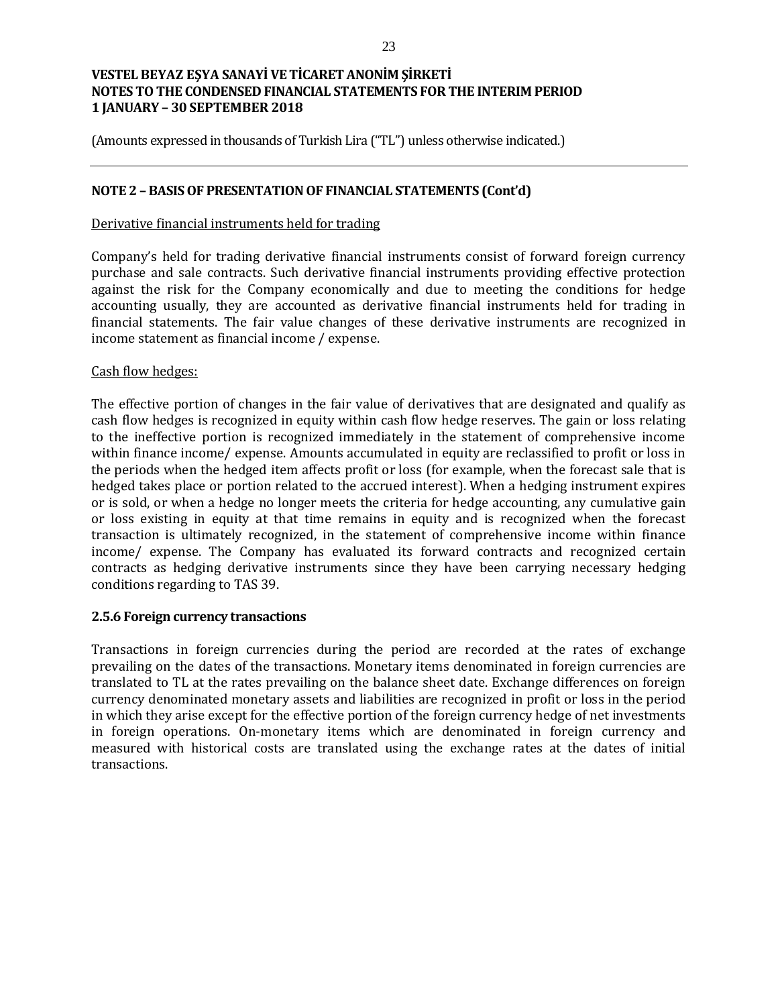(Amounts expressed in thousands of Turkish Lira ("TL") unless otherwise indicated.)

### **NOTE 2 – BASIS OF PRESENTATION OF FINANCIAL STATEMENTS (Cont'd)**

#### Derivative financial instruments held for trading

Company's held for trading derivative financial instruments consist of forward foreign currency purchase and sale contracts. Such derivative financial instruments providing effective protection against the risk for the Company economically and due to meeting the conditions for hedge accounting usually, they are accounted as derivative financial instruments held for trading in financial statements. The fair value changes of these derivative instruments are recognized in income statement as financial income / expense.

#### Cash flow hedges:

The effective portion of changes in the fair value of derivatives that are designated and qualify as cash flow hedges is recognized in equity within cash flow hedge reserves. The gain or loss relating to the ineffective portion is recognized immediately in the statement of comprehensive income within finance income/ expense. Amounts accumulated in equity are reclassified to profit or loss in the periods when the hedged item affects profit or loss (for example, when the forecast sale that is hedged takes place or portion related to the accrued interest). When a hedging instrument expires or is sold, or when a hedge no longer meets the criteria for hedge accounting, any cumulative gain or loss existing in equity at that time remains in equity and is recognized when the forecast transaction is ultimately recognized, in the statement of comprehensive income within finance income/ expense. The Company has evaluated its forward contracts and recognized certain contracts as hedging derivative instruments since they have been carrying necessary hedging conditions regarding to TAS 39.

#### **2.5.6 Foreign currency transactions**

Transactions in foreign currencies during the period are recorded at the rates of exchange prevailing on the dates of the transactions. Monetary items denominated in foreign currencies are translated to TL at the rates prevailing on the balance sheet date. Exchange differences on foreign currency denominated monetary assets and liabilities are recognized in profit or loss in the period in which they arise except for the effective portion of the foreign currency hedge of net investments in foreign operations. On-monetary items which are denominated in foreign currency and measured with historical costs are translated using the exchange rates at the dates of initial transactions.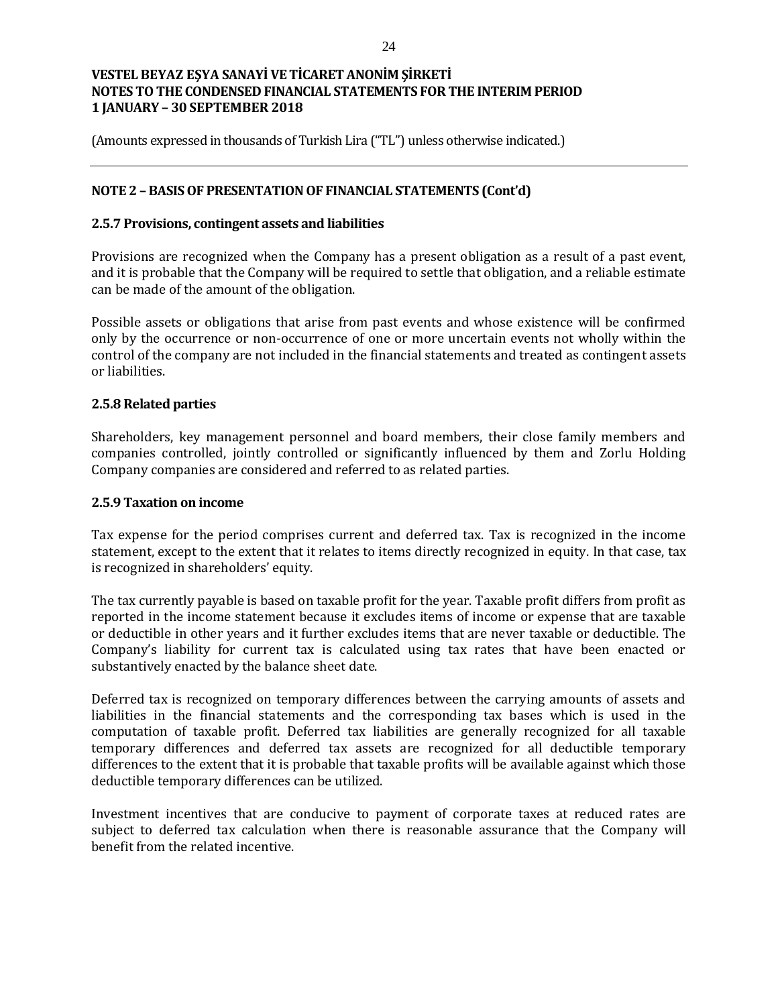(Amounts expressed in thousands of Turkish Lira ("TL") unless otherwise indicated.)

## **NOTE 2 – BASIS OF PRESENTATION OF FINANCIAL STATEMENTS (Cont'd)**

#### **2.5.7 Provisions, contingent assets and liabilities**

Provisions are recognized when the Company has a present obligation as a result of a past event, and it is probable that the Company will be required to settle that obligation, and a reliable estimate can be made of the amount of the obligation.

Possible assets or obligations that arise from past events and whose existence will be confirmed only by the occurrence or non-occurrence of one or more uncertain events not wholly within the control of the company are not included in the financial statements and treated as contingent assets or liabilities.

#### **2.5.8 Related parties**

Shareholders, key management personnel and board members, their close family members and companies controlled, jointly controlled or significantly influenced by them and Zorlu Holding Company companies are considered and referred to as related parties.

#### **2.5.9 Taxation on income**

Tax expense for the period comprises current and deferred tax. Tax is recognized in the income statement, except to the extent that it relates to items directly recognized in equity. In that case, tax is recognized in shareholders' equity.

The tax currently payable is based on taxable profit for the year. Taxable profit differs from profit as reported in the income statement because it excludes items of income or expense that are taxable or deductible in other years and it further excludes items that are never taxable or deductible. The Company's liability for current tax is calculated using tax rates that have been enacted or substantively enacted by the balance sheet date.

Deferred tax is recognized on temporary differences between the carrying amounts of assets and liabilities in the financial statements and the corresponding tax bases which is used in the computation of taxable profit. Deferred tax liabilities are generally recognized for all taxable temporary differences and deferred tax assets are recognized for all deductible temporary differences to the extent that it is probable that taxable profits will be available against which those deductible temporary differences can be utilized.

Investment incentives that are conducive to payment of corporate taxes at reduced rates are subject to deferred tax calculation when there is reasonable assurance that the Company will benefit from the related incentive.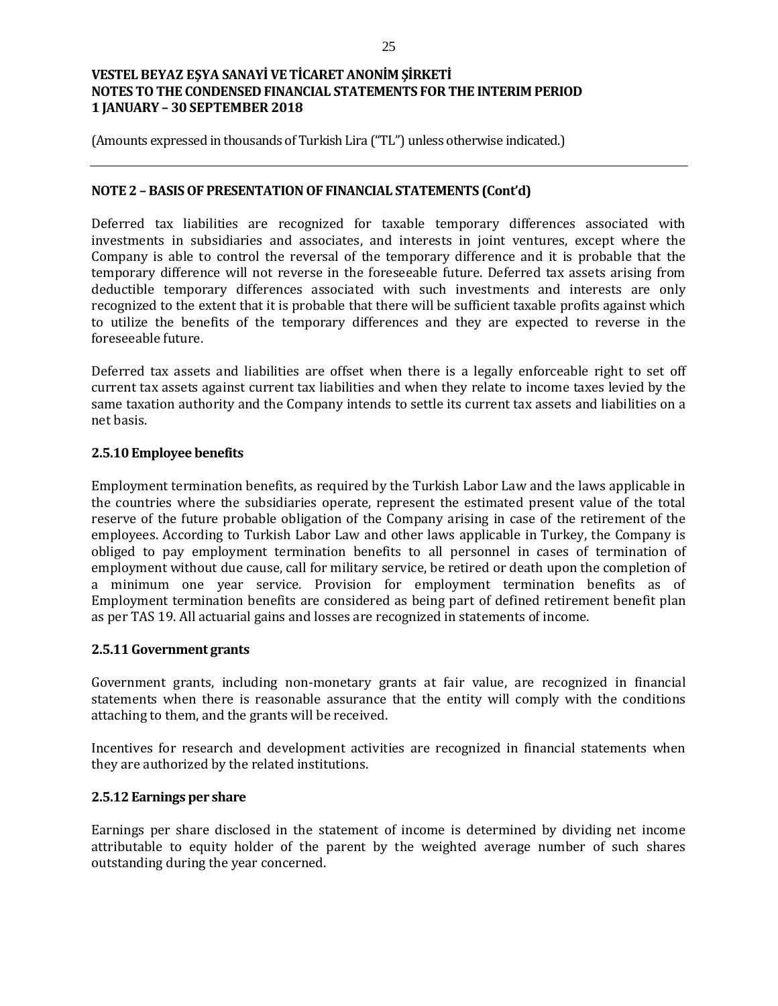(Amounts expressed in thousands of Turkish Lira ("TL") unless otherwise indicated.)

#### **NOTE 2 – BASIS OF PRESENTATION OF FINANCIAL STATEMENTS (Cont'd)**

Deferred tax liabilities are recognized for taxable temporary differences associated with investments in subsidiaries and associates, and interests in joint ventures, except where the Company is able to control the reversal of the temporary difference and it is probable that the temporary difference will not reverse in the foreseeable future. Deferred tax assets arising from deductible temporary differences associated with such investments and interests are only recognized to the extent that it is probable that there will be sufficient taxable profits against which to utilize the benefits of the temporary differences and they are expected to reverse in the foreseeable future.

Deferred tax assets and liabilities are offset when there is a legally enforceable right to set off current tax assets against current tax liabilities and when they relate to income taxes levied by the same taxation authority and the Company intends to settle its current tax assets and liabilities on a net basis.

## **2.5.10 Employee benefits**

Employment termination benefits, as required by the Turkish Labor Law and the laws applicable in the countries where the subsidiaries operate, represent the estimated present value of the total reserve of the future probable obligation of the Company arising in case of the retirement of the employees. According to Turkish Labor Law and other laws applicable in Turkey, the Company is obliged to pay employment termination benefits to all personnel in cases of termination of employment without due cause, call for military service, be retired or death upon the completion of a minimum one year service. Provision for employment termination benefits as of Employment termination benefits are considered as being part of defined retirement benefit plan as per TAS 19. All actuarial gains and losses are recognized in statements of income.

#### **2.5.11 Government grants**

Government grants, including non-monetary grants at fair value, are recognized in financial statements when there is reasonable assurance that the entity will comply with the conditions attaching to them, and the grants will be received.

Incentives for research and development activities are recognized in financial statements when they are authorized by the related institutions.

### **2.5.12 Earnings per share**

Earnings per share disclosed in the statement of income is determined by dividing net income attributable to equity holder of the parent by the weighted average number of such shares outstanding during the year concerned.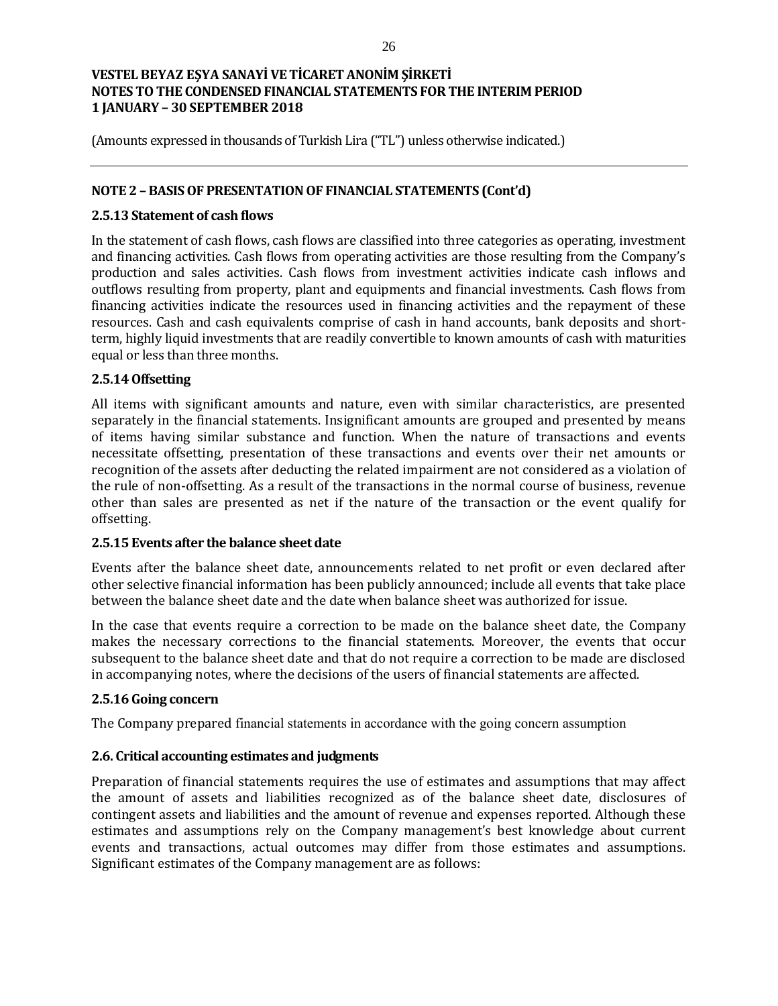(Amounts expressed in thousands of Turkish Lira ("TL") unless otherwise indicated.)

## **NOTE 2 – BASIS OF PRESENTATION OF FINANCIAL STATEMENTS (Cont'd)**

### **2.5.13 Statement of cash flows**

In the statement of cash flows, cash flows are classified into three categories as operating, investment and financing activities. Cash flows from operating activities are those resulting from the Company's production and sales activities. Cash flows from investment activities indicate cash inflows and outflows resulting from property, plant and equipments and financial investments. Cash flows from financing activities indicate the resources used in financing activities and the repayment of these resources. Cash and cash equivalents comprise of cash in hand accounts, bank deposits and shortterm, highly liquid investments that are readily convertible to known amounts of cash with maturities equal or less than three months.

## **2.5.14 Offsetting**

All items with significant amounts and nature, even with similar characteristics, are presented separately in the financial statements. Insignificant amounts are grouped and presented by means of items having similar substance and function. When the nature of transactions and events necessitate offsetting, presentation of these transactions and events over their net amounts or recognition of the assets after deducting the related impairment are not considered as a violation of the rule of non-offsetting. As a result of the transactions in the normal course of business, revenue other than sales are presented as net if the nature of the transaction or the event qualify for offsetting.

#### **2.5.15 Events after the balance sheet date**

Events after the balance sheet date, announcements related to net profit or even declared after other selective financial information has been publicly announced; include all events that take place between the balance sheet date and the date when balance sheet was authorized for issue.

In the case that events require a correction to be made on the balance sheet date, the Company makes the necessary corrections to the financial statements. Moreover, the events that occur subsequent to the balance sheet date and that do not require a correction to be made are disclosed in accompanying notes, where the decisions of the users of financial statements are affected.

# **2.5.16 Going concern**

The Company prepared financial statements in accordance with the going concern assumption

# **2.6. Critical accounting estimates and judgments**

Preparation of financial statements requires the use of estimates and assumptions that may affect the amount of assets and liabilities recognized as of the balance sheet date, disclosures of contingent assets and liabilities and the amount of revenue and expenses reported. Although these estimates and assumptions rely on the Company management's best knowledge about current events and transactions, actual outcomes may differ from those estimates and assumptions. Significant estimates of the Company management are as follows: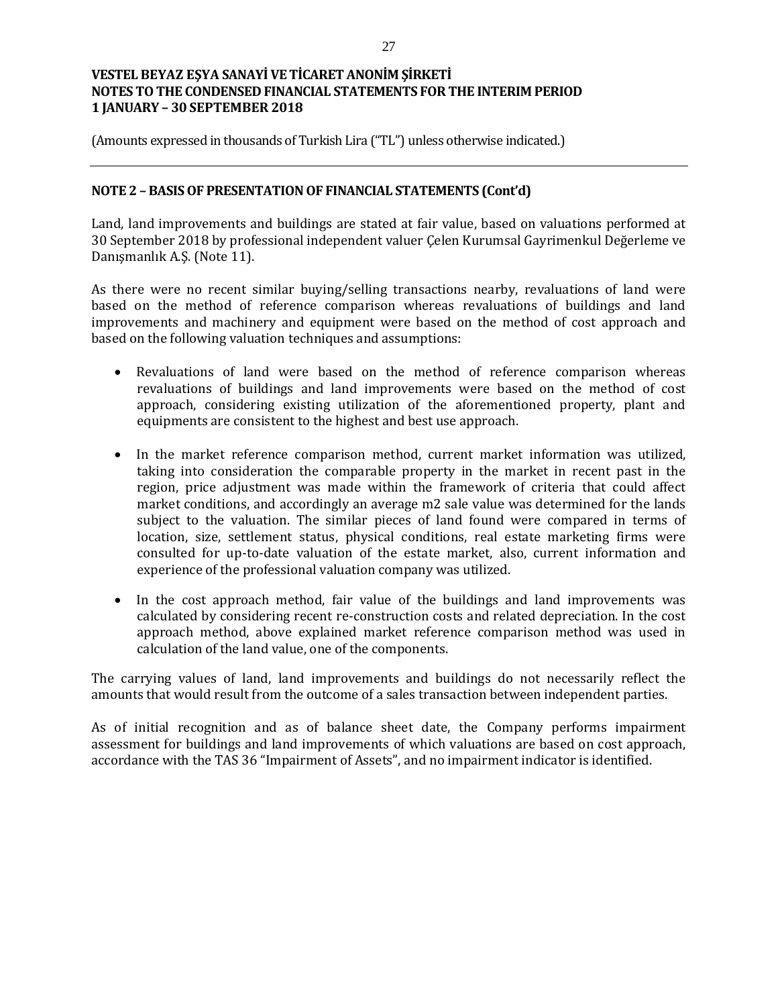(Amounts expressed in thousands of Turkish Lira ("TL") unless otherwise indicated.)

### **NOTE 2 – BASIS OF PRESENTATION OF FINANCIAL STATEMENTS (Cont'd)**

Land, land improvements and buildings are stated at fair value, based on valuations performed at 30 September 2018 by professional independent valuer Çelen Kurumsal Gayrimenkul Değerleme ve Danışmanlık A.Ş. (Note 11).

As there were no recent similar buying/selling transactions nearby, revaluations of land were based on the method of reference comparison whereas revaluations of buildings and land improvements and machinery and equipment were based on the method of cost approach and based on the following valuation techniques and assumptions:

- Revaluations of land were based on the method of reference comparison whereas revaluations of buildings and land improvements were based on the method of cost approach, considering existing utilization of the aforementioned property, plant and equipments are consistent to the highest and best use approach.
- In the market reference comparison method, current market information was utilized, taking into consideration the comparable property in the market in recent past in the region, price adjustment was made within the framework of criteria that could affect market conditions, and accordingly an average m2 sale value was determined for the lands subject to the valuation. The similar pieces of land found were compared in terms of location, size, settlement status, physical conditions, real estate marketing firms were consulted for up-to-date valuation of the estate market, also, current information and experience of the professional valuation company was utilized.
- In the cost approach method, fair value of the buildings and land improvements was calculated by considering recent re-construction costs and related depreciation. In the cost approach method, above explained market reference comparison method was used in calculation of the land value, one of the components.

The carrying values of land, land improvements and buildings do not necessarily reflect the amounts that would result from the outcome of a sales transaction between independent parties.

As of initial recognition and as of balance sheet date, the Company performs impairment assessment for buildings and land improvements of which valuations are based on cost approach, accordance with the TAS 36 "Impairment of Assets", and no impairment indicator is identified.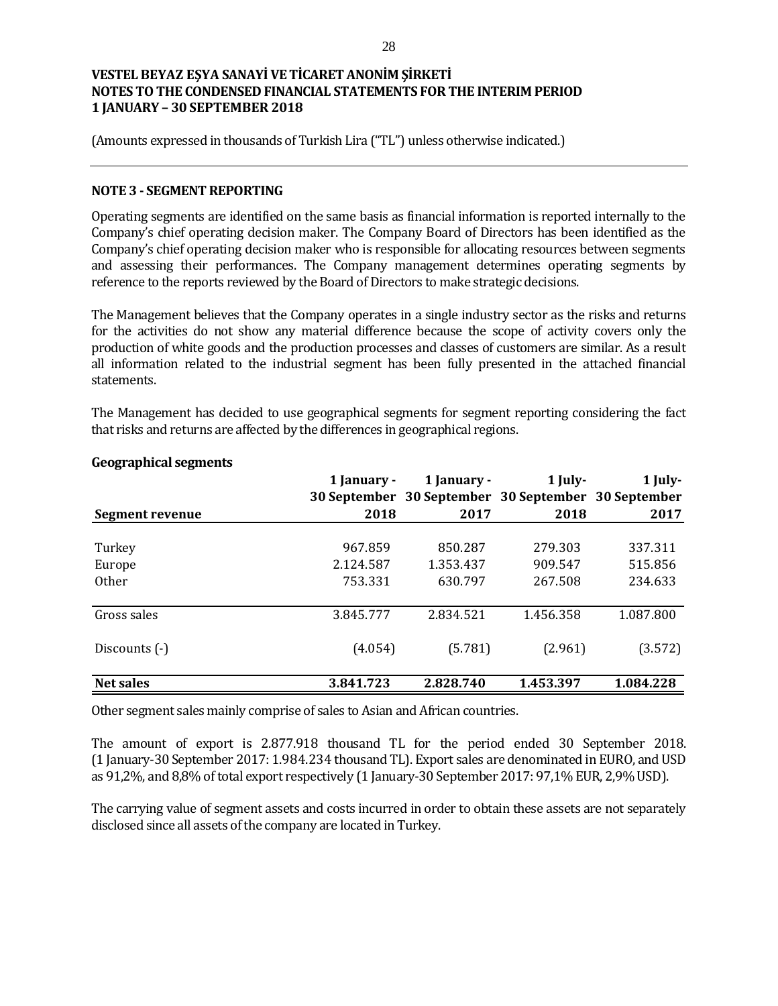(Amounts expressed in thousands of Turkish Lira ("TL") unless otherwise indicated.)

#### **NOTE 3 - SEGMENT REPORTING**

Operating segments are identified on the same basis as financial information is reported internally to the Company's chief operating decision maker. The Company Board of Directors has been identified as the Company's chief operating decision maker who is responsible for allocating resources between segments and assessing their performances. The Company management determines operating segments by reference to the reports reviewed by the Board of Directors to make strategic decisions.

The Management believes that the Company operates in a single industry sector as the risks and returns for the activities do not show any material difference because the scope of activity covers only the production of white goods and the production processes and classes of customers are similar. As a result all information related to the industrial segment has been fully presented in the attached financial statements.

The Management has decided to use geographical segments for segment reporting considering the fact that risks and returns are affected by the differences in geographical regions.

|                  | 1 January - | 1 January -                                         | $1$ July- | 1 July-   |
|------------------|-------------|-----------------------------------------------------|-----------|-----------|
|                  |             | 30 September 30 September 30 September 30 September |           |           |
| Segment revenue  | 2018        | 2017                                                | 2018      | 2017      |
|                  |             |                                                     |           |           |
| Turkey           | 967.859     | 850.287                                             | 279.303   | 337.311   |
| Europe           | 2.124.587   | 1.353.437                                           | 909.547   | 515.856   |
| 0ther            | 753.331     | 630.797                                             | 267.508   | 234.633   |
|                  |             |                                                     |           |           |
| Gross sales      | 3.845.777   | 2.834.521                                           | 1.456.358 | 1.087.800 |
|                  |             |                                                     |           |           |
| Discounts (-)    | (4.054)     | (5.781)                                             | (2.961)   | (3.572)   |
|                  |             |                                                     |           |           |
| <b>Net sales</b> | 3.841.723   | 2.828.740                                           | 1.453.397 | 1.084.228 |

### **Geographical segments**

Other segment sales mainly comprise of sales to Asian and African countries.

The amount of export is 2.877.918 thousand TL for the period ended 30 September 2018. (1 January-30 September 2017: 1.984.234 thousand TL). Export sales are denominated in EURO, and USD as 91,2%, and 8,8% of total export respectively (1 January-30 September 2017: 97,1% EUR, 2,9% USD).

The carrying value of segment assets and costs incurred in order to obtain these assets are not separately disclosed since all assets of the company are located in Turkey.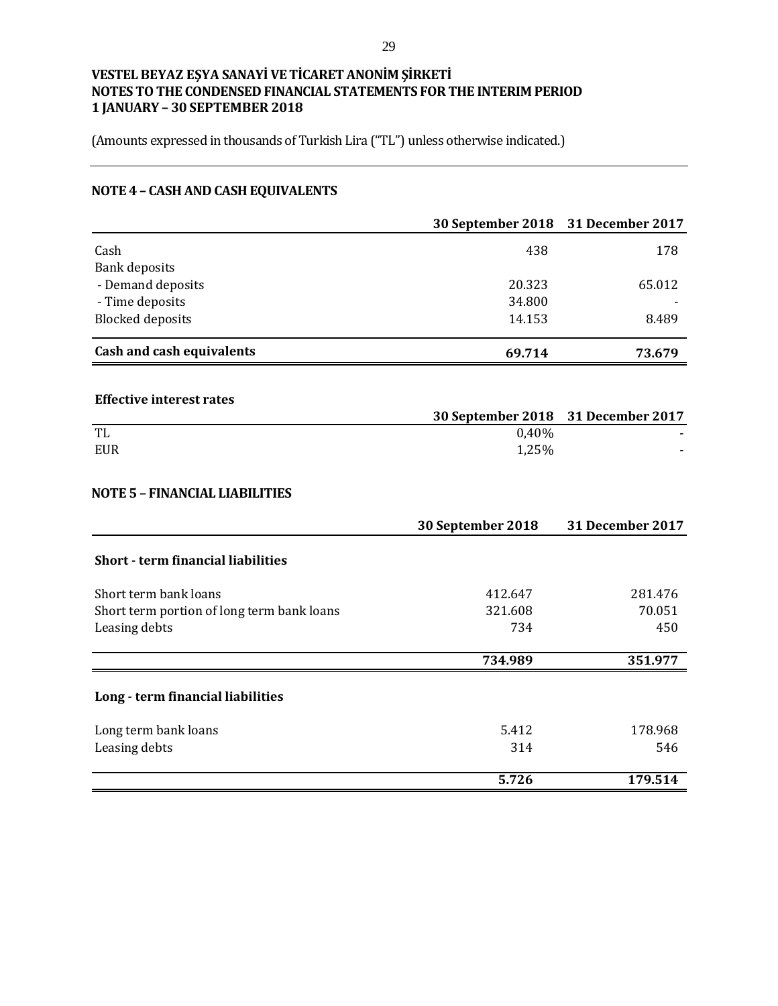(Amounts expressed in thousands of Turkish Lira ("TL") unless otherwise indicated.)

# **NOTE 4 – CASH AND CASH EQUIVALENTS**

|                                            | 30 September 2018 | 31 December 2017        |
|--------------------------------------------|-------------------|-------------------------|
| Cash                                       | 438               | 178                     |
| <b>Bank deposits</b>                       |                   |                         |
| - Demand deposits                          | 20.323            | 65.012                  |
| - Time deposits                            | 34.800            |                         |
| <b>Blocked</b> deposits                    | 14.153            | 8.489                   |
| <b>Cash and cash equivalents</b>           | 69.714            | 73.679                  |
| <b>Effective interest rates</b>            |                   |                         |
|                                            | 30 September 2018 | 31 December 2017        |
| TL                                         | 0,40%             |                         |
| <b>EUR</b>                                 | 1,25%             |                         |
| <b>NOTE 5 - FINANCIAL LIABILITIES</b>      | 30 September 2018 | <b>31 December 2017</b> |
| <b>Short - term financial liabilities</b>  |                   |                         |
| Short term bank loans                      | 412.647           | 281.476                 |
| Short term portion of long term bank loans | 321.608           | 70.051                  |
| Leasing debts                              | 734               | 450                     |
|                                            | 734.989           | 351.977                 |
| Long - term financial liabilities          |                   |                         |
| Long term bank loans                       | 5.412             | 178.968                 |
| Leasing debts                              | 314               | 546                     |
|                                            | 5.726             | 179.514                 |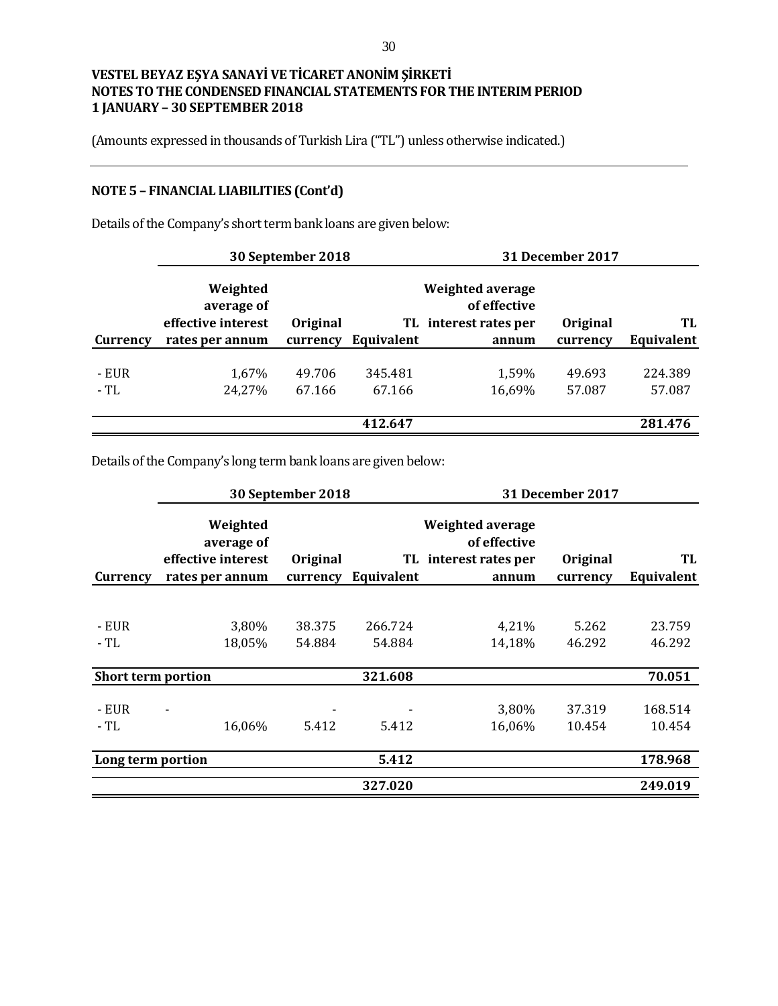(Amounts expressed in thousands of Turkish Lira ("TL") unless otherwise indicated.)

# **NOTE 5 – FINANCIAL LIABILITIES (Cont'd)**

Details of the Company's short term bank loans are given below:

|               |                                              | 30 September 2018 |                   |                                                           | <b>31 December 2017</b> |                   |
|---------------|----------------------------------------------|-------------------|-------------------|-----------------------------------------------------------|-------------------------|-------------------|
|               | Weighted<br>average of<br>effective interest | Original          |                   | Weighted average<br>of effective<br>TL interest rates per | Original                | TL                |
| Currency      | rates per annum                              | currency          | Equivalent        | annum                                                     | currency                | Equivalent        |
| - EUR<br>- TL | 1,67%<br>24,27%                              | 49.706<br>67.166  | 345.481<br>67.166 | 1,59%<br>16,69%                                           | 49.693<br>57.087        | 224.389<br>57.087 |
|               |                                              |                   | 412.647           |                                                           |                         | 281.476           |

Details of the Company's long term bank loans are given below:

|                           |                                                                 | 30 September 2018    |                   |                                                                           | <b>31 December 2017</b> |                   |
|---------------------------|-----------------------------------------------------------------|----------------------|-------------------|---------------------------------------------------------------------------|-------------------------|-------------------|
| Currency                  | Weighted<br>average of<br>effective interest<br>rates per annum | Original<br>currency | Equivalent        | <b>Weighted average</b><br>of effective<br>TL interest rates per<br>annum | Original<br>currency    | TL<br>Equivalent  |
|                           |                                                                 |                      |                   |                                                                           |                         |                   |
| - EUR<br>- TL             | 3,80%<br>18,05%                                                 | 38.375<br>54.884     | 266.724<br>54.884 | 4,21%<br>14,18%                                                           | 5.262<br>46.292         | 23.759<br>46.292  |
| <b>Short term portion</b> |                                                                 |                      | 321.608           |                                                                           |                         | 70.051            |
| - EUR<br>$-TL$            | 16,06%                                                          | 5.412                | 5.412             | 3,80%<br>16,06%                                                           | 37.319<br>10.454        | 168.514<br>10.454 |
| Long term portion         |                                                                 |                      | 5.412             |                                                                           |                         | 178.968           |
|                           |                                                                 |                      | 327.020           |                                                                           |                         | 249.019           |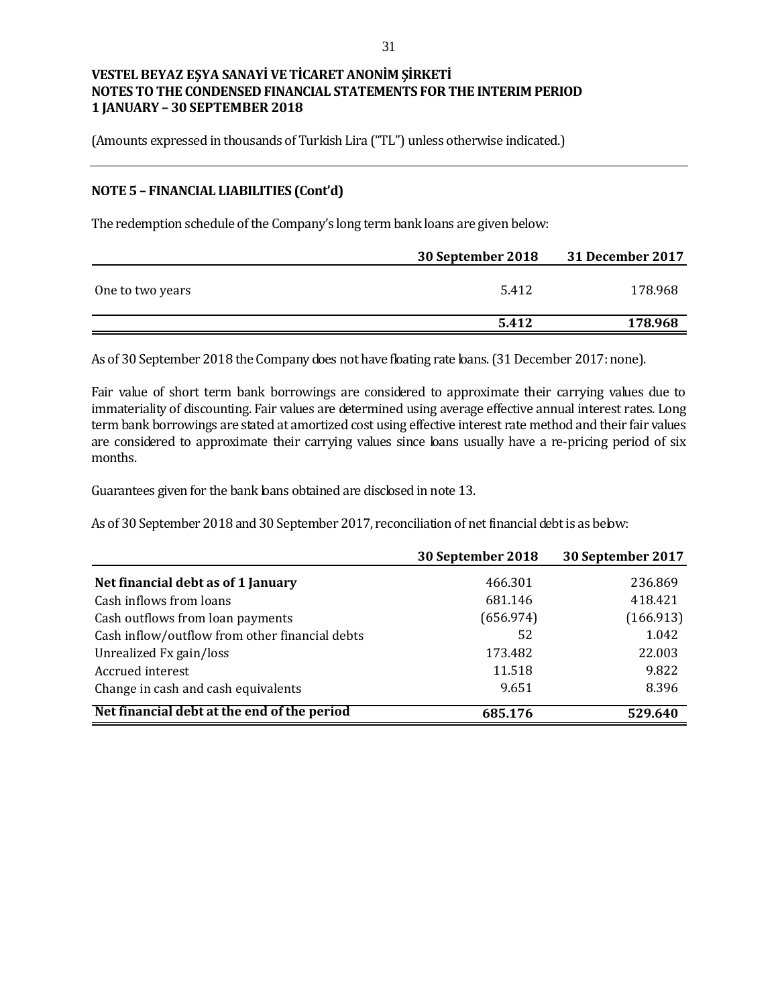(Amounts expressed in thousands of Turkish Lira ("TL") unless otherwise indicated.)

### **NOTE 5 – FINANCIAL LIABILITIES (Cont'd)**

The redemption schedule of the Company's long term bank loans are given below:

|                  | 30 September 2018 | 31 December 2017 |
|------------------|-------------------|------------------|
| One to two years | 5.412             | 178.968          |
|                  | 5.412             | 178.968          |

As of 30 September 2018 the Company does not have fbating rate bans. (31 December 2017: none).

Fair value of short term bank borrowings are considered to approximate their carrying values due to immateriality of discounting. Fair values are determined using average effective annual interest rates. Long term bank borrowings are stated at amortized cost using effective interest rate method and their fair values are considered to approximate their carrying values since loans usually have a re-pricing period of six months.

Guarantees given for the bank loans obtained are disclosed in note 13.

As of 30 September 2018 and 30 September 2017, reconciliation of net financial debt is as below:

|                                                | 30 September 2018 | 30 September 2017 |
|------------------------------------------------|-------------------|-------------------|
| Net financial debt as of 1 January             | 466.301           | 236.869           |
| Cash inflows from loans                        | 681.146           | 418.421           |
| Cash outflows from loan payments               | (656.974)         | (166.913)         |
| Cash inflow/outflow from other financial debts | 52                | 1.042             |
| Unrealized Fx gain/loss                        | 173.482           | 22.003            |
| Accrued interest                               | 11.518            | 9.822             |
| Change in cash and cash equivalents            | 9.651             | 8.396             |
| Net financial debt at the end of the period    | 685.176           | 529.640           |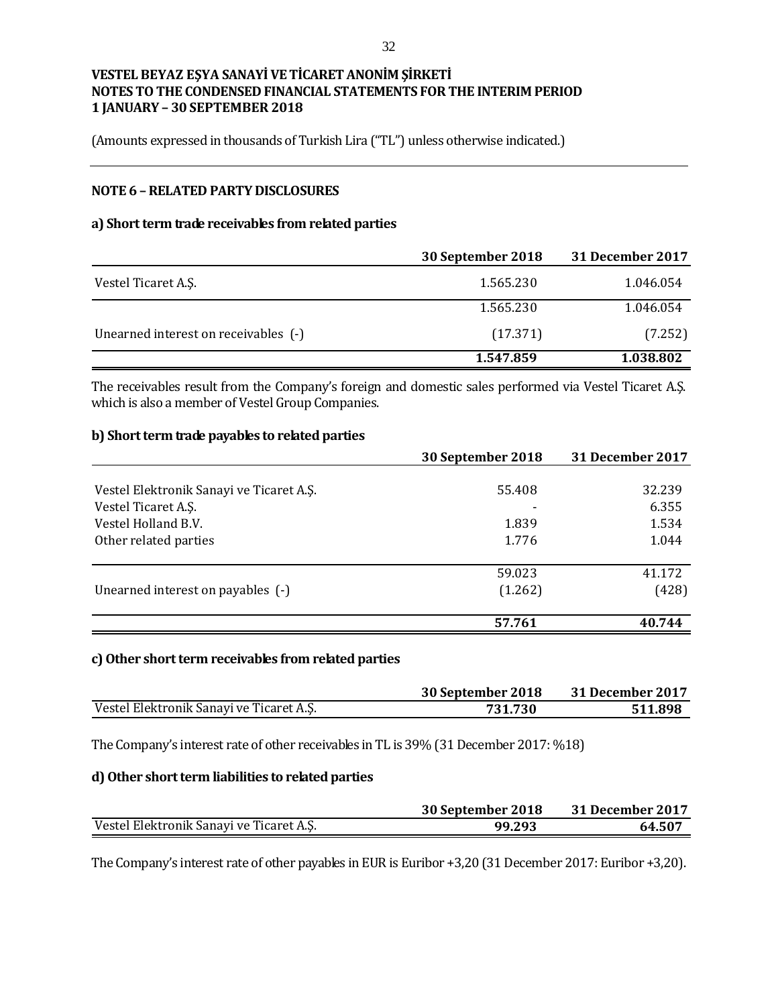(Amounts expressed in thousands of Turkish Lira ("TL") unless otherwise indicated.)

## **NOTE 6 –RELATED PARTY DISCLOSURES**

#### **a) Short term trade receivables from related parties**

|                                      | 30 September 2018 | <b>31 December 2017</b> |
|--------------------------------------|-------------------|-------------------------|
| Vestel Ticaret A.S.                  | 1.565.230         | 1.046.054               |
|                                      | 1.565.230         | 1.046.054               |
| Unearned interest on receivables (-) | (17.371)          | (7.252)                 |
|                                      | 1.547.859         | 1.038.802               |

The receivables result from the Company's foreign and domestic sales performed via Vestel Ticaret A.Ş. which is also a member of Vestel Group Companies.

#### **b) Short term trade payables to related parties**

|                                          | 30 September 2018 | 31 December 2017 |
|------------------------------------------|-------------------|------------------|
|                                          |                   |                  |
| Vestel Elektronik Sanayi ve Ticaret A.Ş. | 55.408            | 32.239           |
| Vestel Ticaret A.S.                      |                   | 6.355            |
| Vestel Holland B.V.                      | 1.839             | 1.534            |
| Other related parties                    | 1.776             | 1.044            |
|                                          | 59.023            | 41.172           |
| Unearned interest on payables (-)        | (1.262)           | (428)            |
|                                          | 57.761            | 40.744           |

#### **c)Other short term receivables from related parties**

|                                          | 30 September 2018 | 31 December 2017 |
|------------------------------------------|-------------------|------------------|
| Vestel Elektronik Sanayi ve Ticaret A.Ş. | 731.730           | 511.898          |

The Company's interest rate of other receivables in TL is 39% (31 December 2017: %18)

#### **d) Other short term liabilities to related parties**

|                                          | 30 September 2018 | 31 December 2017 |
|------------------------------------------|-------------------|------------------|
| Vestel Elektronik Sanayi ve Ticaret A.S. | 99.293            | 64.507           |

The Company's interest rate of other payables in EUR is Euribor +3,20 (31 December 2017: Euribor +3,20).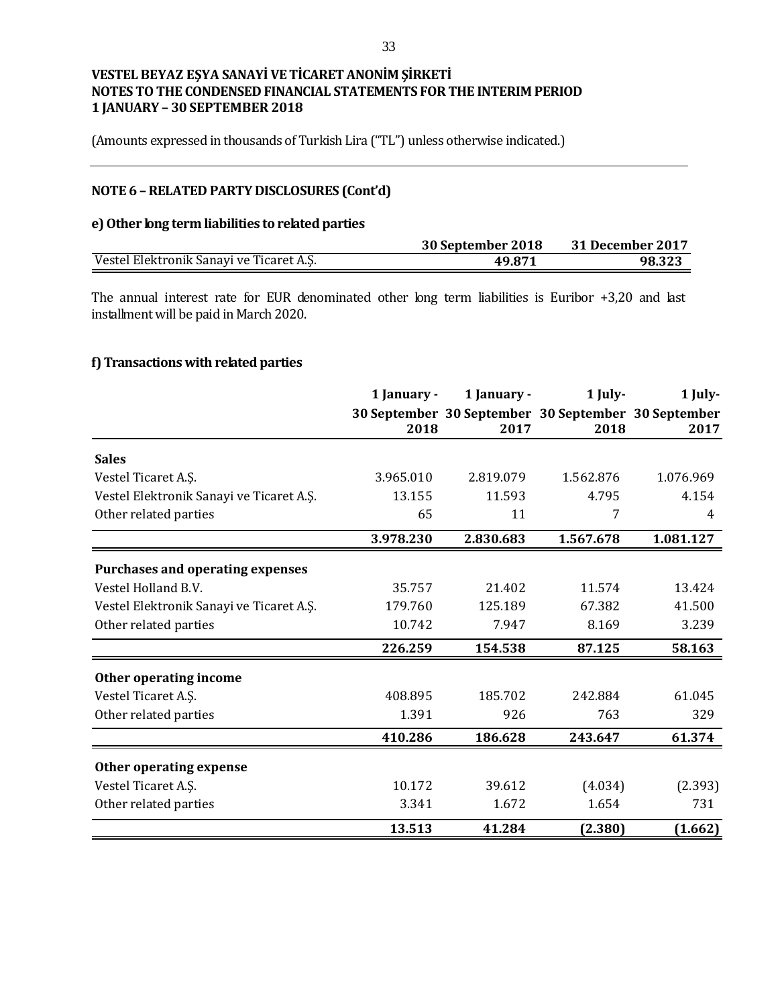(Amounts expressed in thousands of Turkish Lira ("TL") unless otherwise indicated.)

# **NOTE 6 –RELATED PARTY DISCLOSURES (Cont'd)**

#### **e) Other long term liabilities to related parties**

|                                          | 30 September 2018 | 31 December 2017 |
|------------------------------------------|-------------------|------------------|
| Vestel Elektronik Sanayi ve Ticaret A.Ş. | 49.871            | 98.323           |

The annual interest rate for EUR denominated other long term liabilities is Euribor +3,20 and last installment will be paid in March 2020.

## **f) Transactions with related parties**

|                                          | 1 January - | 1 January - | 1 July-                                             | 1 July-   |
|------------------------------------------|-------------|-------------|-----------------------------------------------------|-----------|
|                                          |             |             | 30 September 30 September 30 September 30 September |           |
|                                          | 2018        | 2017        | 2018                                                | 2017      |
| <b>Sales</b>                             |             |             |                                                     |           |
| Vestel Ticaret A.S.                      | 3.965.010   | 2.819.079   | 1.562.876                                           | 1.076.969 |
| Vestel Elektronik Sanayi ve Ticaret A.Ş. | 13.155      | 11.593      | 4.795                                               | 4.154     |
| Other related parties                    | 65          | 11          | 7                                                   | 4         |
|                                          | 3.978.230   | 2.830.683   | 1.567.678                                           | 1.081.127 |
| <b>Purchases and operating expenses</b>  |             |             |                                                     |           |
| Vestel Holland B.V.                      | 35.757      | 21.402      | 11.574                                              | 13.424    |
| Vestel Elektronik Sanayi ve Ticaret A.Ş. | 179.760     | 125.189     | 67.382                                              | 41.500    |
| Other related parties                    | 10.742      | 7.947       | 8.169                                               | 3.239     |
|                                          | 226.259     | 154.538     | 87.125                                              | 58.163    |
| Other operating income                   |             |             |                                                     |           |
| Vestel Ticaret A.S.                      | 408.895     | 185.702     | 242.884                                             | 61.045    |
| Other related parties                    | 1.391       | 926         | 763                                                 | 329       |
|                                          | 410.286     | 186.628     | 243.647                                             | 61.374    |
| Other operating expense                  |             |             |                                                     |           |
| Vestel Ticaret A.S.                      | 10.172      | 39.612      | (4.034)                                             | (2.393)   |
| Other related parties                    | 3.341       | 1.672       | 1.654                                               | 731       |
|                                          | 13.513      | 41.284      | (2.380)                                             | (1.662)   |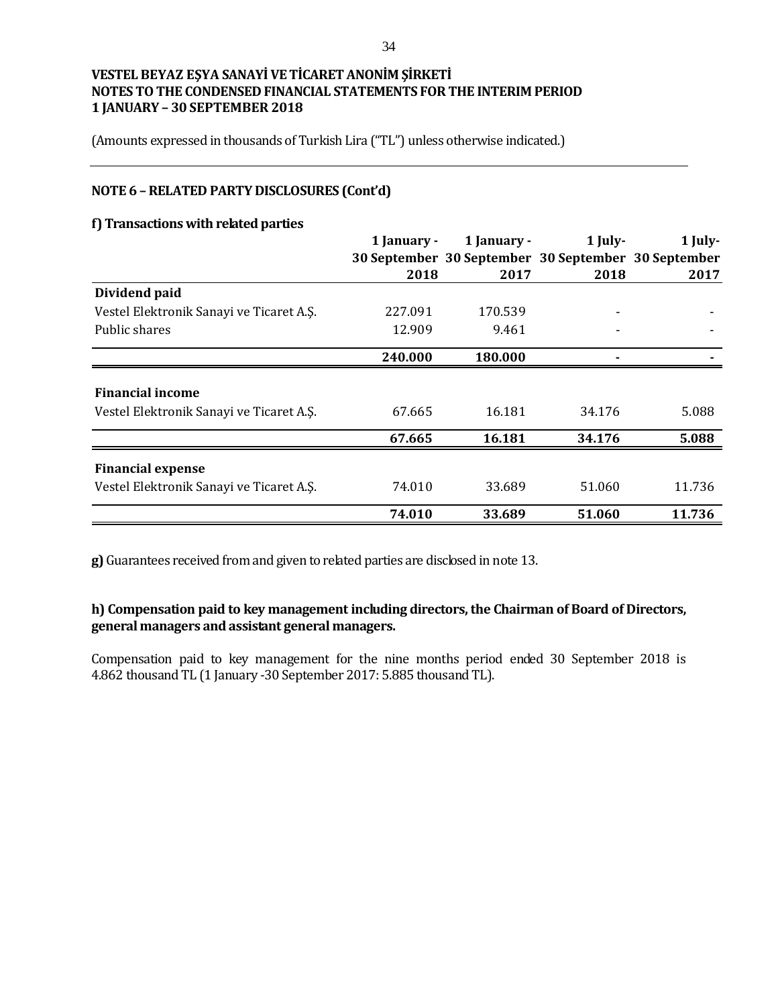(Amounts expressed in thousands of Turkish Lira ("TL") unless otherwise indicated.)

## **NOTE 6 –RELATED PARTY DISCLOSURES (Cont'd)**

#### **f) Transactions with related parties**

|                                          | 1 January - | 1 January - | $1$ July-                                           | 1 July- |
|------------------------------------------|-------------|-------------|-----------------------------------------------------|---------|
|                                          |             |             | 30 September 30 September 30 September 30 September |         |
|                                          | 2018        | 2017        | 2018                                                | 2017    |
| Dividend paid                            |             |             |                                                     |         |
| Vestel Elektronik Sanayi ve Ticaret A.Ş. | 227.091     | 170.539     |                                                     |         |
| Public shares                            | 12.909      | 9.461       |                                                     |         |
|                                          | 240.000     | 180.000     |                                                     |         |
| <b>Financial income</b>                  |             |             |                                                     |         |
| Vestel Elektronik Sanayi ve Ticaret A.Ş. | 67.665      | 16.181      | 34.176                                              | 5.088   |
|                                          | 67.665      | 16.181      | 34.176                                              | 5.088   |
| <b>Financial expense</b>                 |             |             |                                                     |         |
| Vestel Elektronik Sanayi ve Ticaret A.Ş. | 74.010      | 33.689      | 51.060                                              | 11.736  |
|                                          | 74.010      | 33.689      | 51.060                                              | 11.736  |

**g)** Guarantees received from and given to related parties are disclosed in note 13.

# **h) Compensation paid to key management including directors, the Chairman of Board of Directors, general managers and assistant general managers.**

Compensation paid to key management for the nine months period ended 30 September 2018 is 4.862 thousand TL (1 January -30 September 2017: 5.885 thousand TL).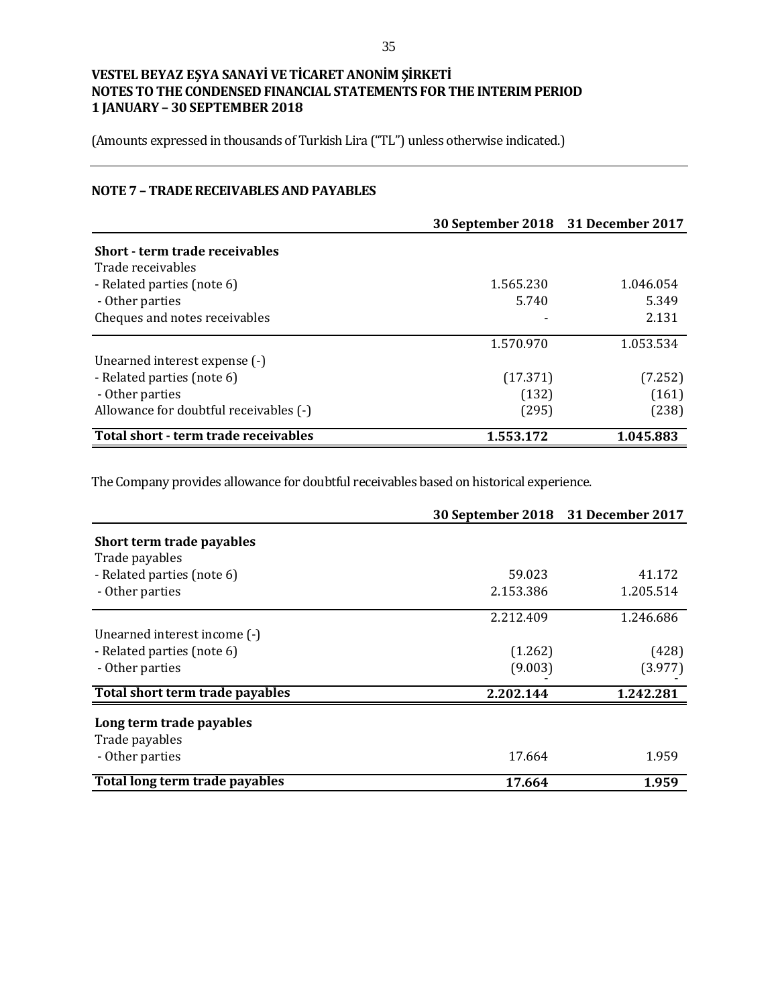(Amounts expressed in thousands of Turkish Lira ("TL") unless otherwise indicated.)

# **NOTE 7 – TRADE RECEIVABLES AND PAYABLES**

|                                        | 30 September 2018 31 December 2017 |           |
|----------------------------------------|------------------------------------|-----------|
| <b>Short - term trade receivables</b>  |                                    |           |
| Trade receivables                      |                                    |           |
| - Related parties (note 6)             | 1.565.230                          | 1.046.054 |
| - Other parties                        | 5.740                              | 5.349     |
| Cheques and notes receivables          |                                    | 2.131     |
|                                        | 1.570.970                          | 1.053.534 |
| Unearned interest expense (-)          |                                    |           |
| - Related parties (note 6)             | (17.371)                           | (7.252)   |
| - Other parties                        | (132)                              | (161)     |
| Allowance for doubtful receivables (-) | (295)                              | (238)     |
| Total short - term trade receivables   | 1.553.172                          | 1.045.883 |

The Company provides allowance for doubtful receivables based on historical experience.

|                                 | 30 September 2018 31 December 2017 |           |
|---------------------------------|------------------------------------|-----------|
| Short term trade payables       |                                    |           |
| Trade payables                  |                                    |           |
| - Related parties (note 6)      | 59.023                             | 41.172    |
| - Other parties                 | 2.153.386                          | 1.205.514 |
|                                 | 2.212.409                          | 1.246.686 |
| Unearned interest income (-)    |                                    |           |
| - Related parties (note 6)      | (1.262)                            | (428)     |
| - Other parties                 | (9.003)                            | (3.977)   |
| Total short term trade payables | 2.202.144                          | 1.242.281 |
| Long term trade payables        |                                    |           |
| Trade payables                  |                                    |           |
| - Other parties                 | 17.664                             | 1.959     |
| Total long term trade payables  | 17.664                             | 1.959     |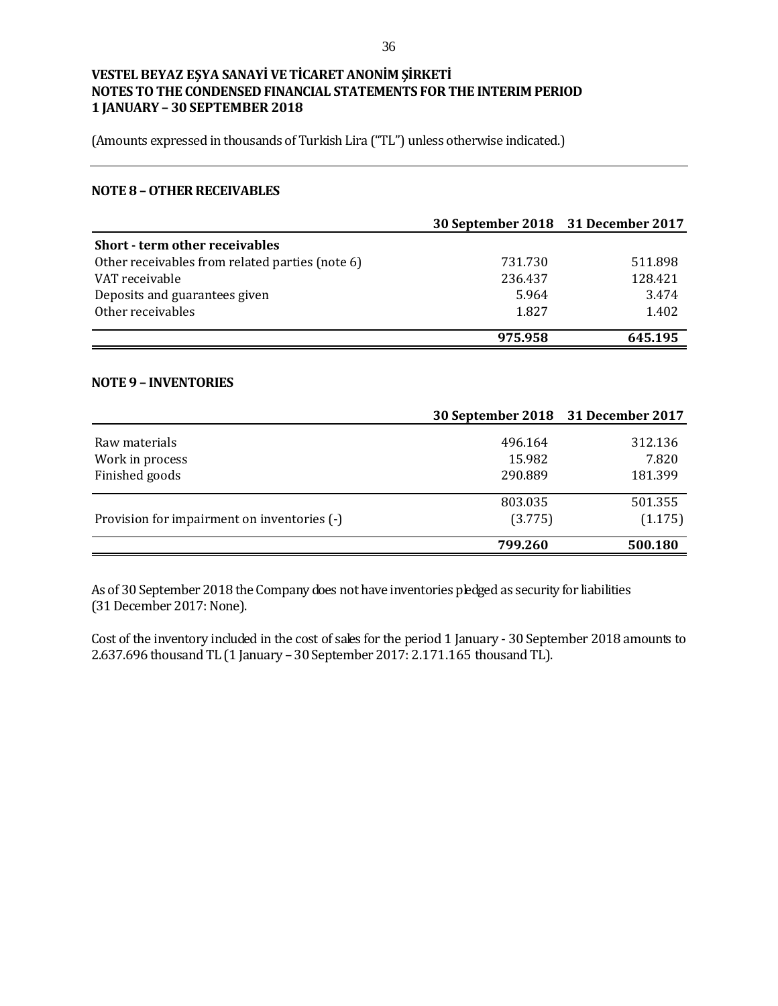(Amounts expressed in thousands of Turkish Lira ("TL") unless otherwise indicated.)

#### **NOTE 8 –OTHER RECEIVABLES**

|                                                 | 30 September 2018 31 December 2017 |         |
|-------------------------------------------------|------------------------------------|---------|
| <b>Short - term other receivables</b>           |                                    |         |
| Other receivables from related parties (note 6) | 731.730                            | 511.898 |
| VAT receivable                                  | 236.437                            | 128.421 |
| Deposits and guarantees given                   | 5.964                              | 3.474   |
| Other receivables                               | 1.827                              | 1.402   |
|                                                 | 975.958                            | 645.195 |

#### **NOTE 9 – INVENTORIES**

|                                             | 30 September 2018 31 December 2017 |         |
|---------------------------------------------|------------------------------------|---------|
| Raw materials                               | 496.164                            | 312.136 |
| Work in process                             | 15.982                             | 7.820   |
| Finished goods                              | 290.889                            | 181.399 |
|                                             |                                    |         |
|                                             | 803.035                            | 501.355 |
| Provision for impairment on inventories (-) | (3.775)                            | (1.175) |
|                                             | 799.260                            | 500.180 |

As of 30 September 2018 the Company does not have inventories pledged as security for liabilities (31 December 2017: None).

Cost of the inventory included in the cost of sales for the period 1 January - 30 September 2018 amounts to 2.637.696 thousand TL (1 January – 30 September 2017: 2.171.165 thousand TL).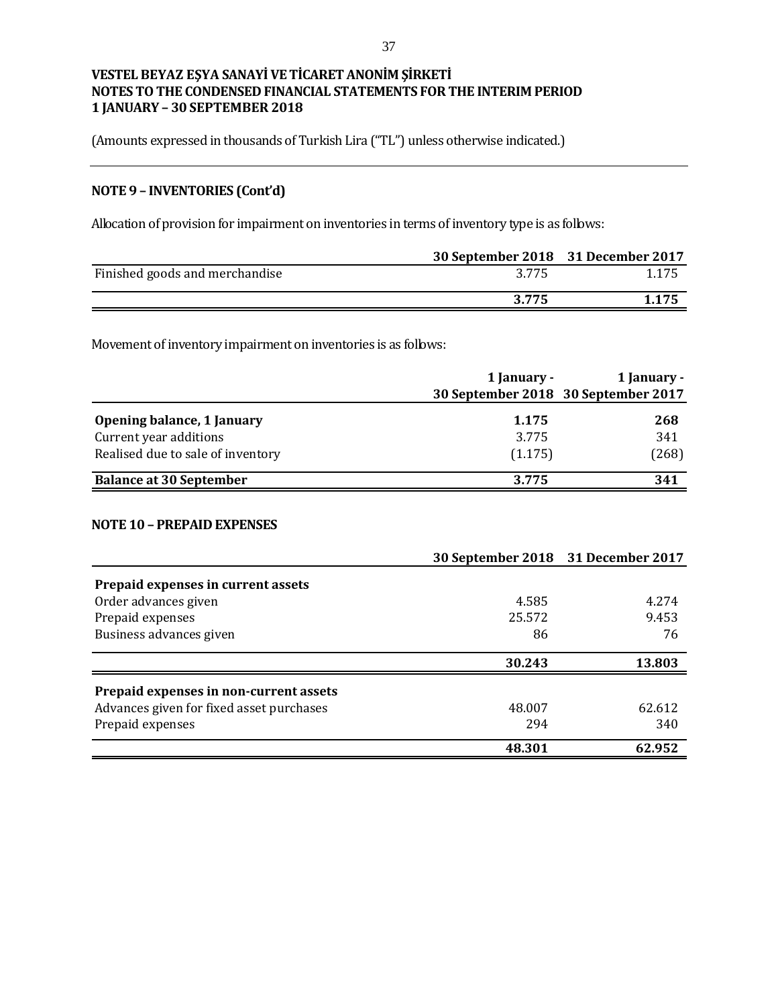(Amounts expressed in thousands of Turkish Lira ("TL") unless otherwise indicated.)

# **NOTE 9 – INVENTORIES (Cont'd)**

Allocation of provision for impairment on inventories in terms of inventory type is as follows:

|                                | 30 September 2018 31 December 2017 |       |
|--------------------------------|------------------------------------|-------|
| Finished goods and merchandise | 3.775                              | 1.175 |
|                                | 3.775                              | 1.175 |

Movement of inventory impairment on inventories is as follows:

|                                   | 1 January - | 1 January -                         |  |
|-----------------------------------|-------------|-------------------------------------|--|
|                                   |             | 30 September 2018 30 September 2017 |  |
| Opening balance, 1 January        | 1.175       | 268                                 |  |
| Current year additions            | 3.775       | 341                                 |  |
| Realised due to sale of inventory | (1.175)     | (268)                               |  |
| <b>Balance at 30 September</b>    | 3.775       | 341                                 |  |

#### **NOTE 10 – PREPAID EXPENSES**

|                                          | 30 September 2018 31 December 2017 |        |
|------------------------------------------|------------------------------------|--------|
| Prepaid expenses in current assets       |                                    |        |
| Order advances given                     | 4.585                              | 4.274  |
| Prepaid expenses                         | 25.572                             | 9.453  |
| Business advances given                  | 86                                 | 76     |
|                                          | 30.243                             | 13.803 |
| Prepaid expenses in non-current assets   |                                    |        |
| Advances given for fixed asset purchases | 48.007                             | 62.612 |
| Prepaid expenses                         | 294                                | 340    |
|                                          | 48.301                             | 62.952 |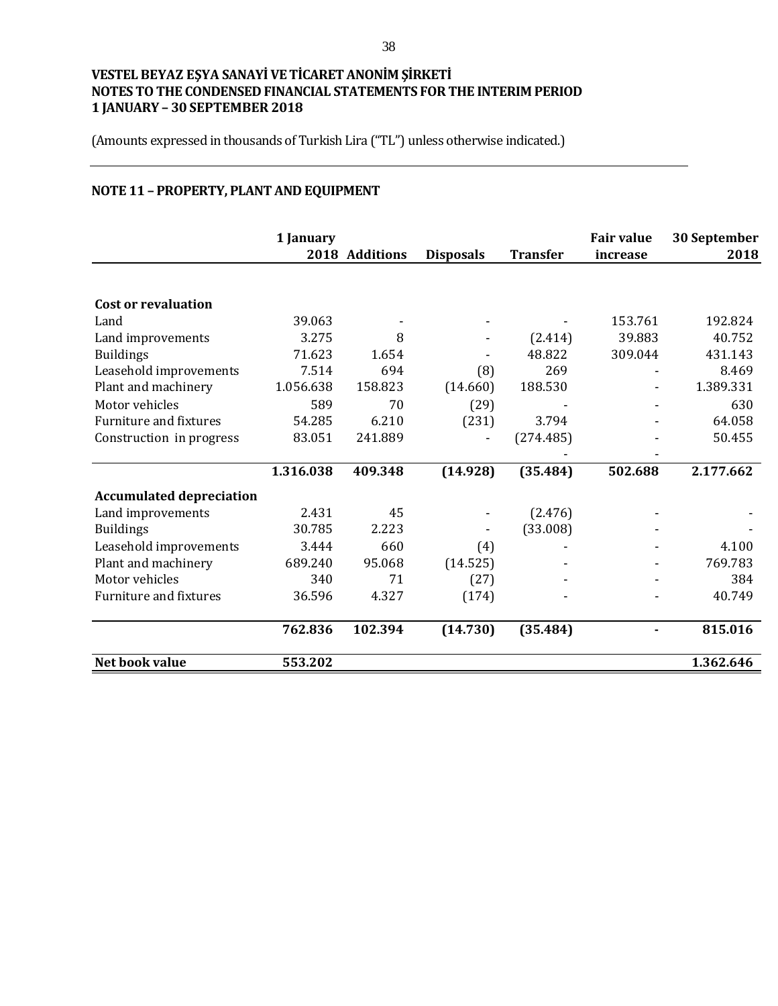(Amounts expressed in thousands of Turkish Lira ("TL") unless otherwise indicated.)

# **NOTE 11 – PROPERTY, PLANT AND EQUIPMENT**

|                                 | 1 January | 2018 Additions | <b>Disposals</b> | <b>Transfer</b> | <b>Fair value</b><br>increase | 30 September<br>2018 |
|---------------------------------|-----------|----------------|------------------|-----------------|-------------------------------|----------------------|
|                                 |           |                |                  |                 |                               |                      |
| <b>Cost or revaluation</b>      |           |                |                  |                 |                               |                      |
| Land                            | 39.063    |                |                  |                 | 153.761                       | 192.824              |
| Land improvements               | 3.275     | 8              |                  | (2.414)         | 39.883                        | 40.752               |
| <b>Buildings</b>                | 71.623    | 1.654          |                  | 48.822          | 309.044                       | 431.143              |
| Leasehold improvements          | 7.514     | 694            | (8)              | 269             |                               | 8.469                |
| Plant and machinery             | 1.056.638 | 158.823        | (14.660)         | 188.530         |                               | 1.389.331            |
| Motor vehicles                  | 589       | 70             | (29)             |                 |                               | 630                  |
| <b>Furniture and fixtures</b>   | 54.285    | 6.210          | (231)            | 3.794           |                               | 64.058               |
| Construction in progress        | 83.051    | 241.889        |                  | (274.485)       |                               | 50.455               |
|                                 |           |                |                  |                 |                               |                      |
|                                 | 1.316.038 | 409.348        | (14.928)         | (35.484)        | 502.688                       | 2.177.662            |
| <b>Accumulated depreciation</b> |           |                |                  |                 |                               |                      |
| Land improvements               | 2.431     | 45             |                  | (2.476)         |                               |                      |
| <b>Buildings</b>                | 30.785    | 2.223          |                  | (33.008)        |                               |                      |
| Leasehold improvements          | 3.444     | 660            | (4)              |                 |                               | 4.100                |
| Plant and machinery             | 689.240   | 95.068         | (14.525)         |                 |                               | 769.783              |
| Motor vehicles                  | 340       | 71             | (27)             |                 |                               | 384                  |
| Furniture and fixtures          | 36.596    | 4.327          | (174)            |                 |                               | 40.749               |
|                                 | 762.836   | 102.394        | (14.730)         | (35.484)        |                               | 815.016              |
| Net book value                  | 553.202   |                |                  |                 |                               | 1.362.646            |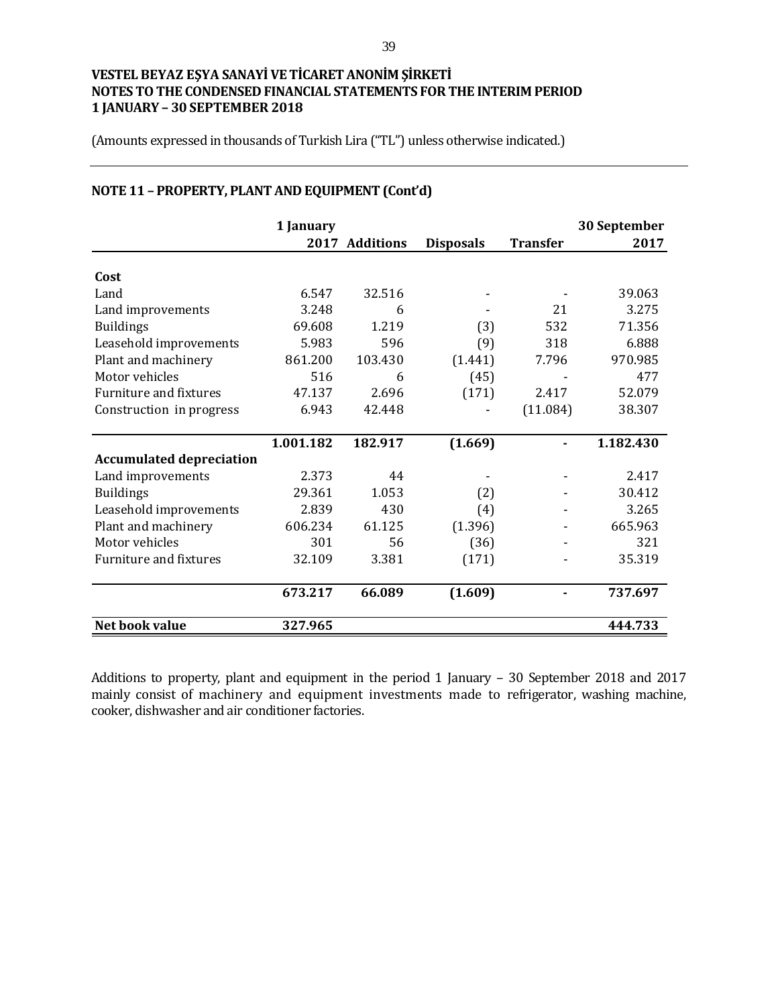(Amounts expressed in thousands of Turkish Lira ("TL") unless otherwise indicated.)

|                                 | 1 January |                  |                  |                 | 30 September |
|---------------------------------|-----------|------------------|------------------|-----------------|--------------|
|                                 | 2017      | <b>Additions</b> | <b>Disposals</b> | <b>Transfer</b> | 2017         |
| Cost                            |           |                  |                  |                 |              |
| Land                            | 6.547     | 32.516           |                  |                 | 39.063       |
| Land improvements               | 3.248     | 6                |                  | 21              | 3.275        |
| <b>Buildings</b>                | 69.608    | 1.219            | (3)              | 532             | 71.356       |
| Leasehold improvements          | 5.983     | 596              | (9)              | 318             | 6.888        |
| Plant and machinery             | 861.200   | 103.430          | (1.441)          | 7.796           | 970.985      |
| Motor vehicles                  | 516       | 6                | (45)             |                 | 477          |
| <b>Furniture and fixtures</b>   | 47.137    | 2.696            | (171)            | 2.417           | 52.079       |
| Construction in progress        | 6.943     | 42.448           |                  | (11.084)        | 38.307       |
|                                 |           |                  |                  |                 |              |
|                                 | 1.001.182 | 182.917          | (1.669)          | $\blacksquare$  | 1.182.430    |
| <b>Accumulated depreciation</b> |           |                  |                  |                 |              |
| Land improvements               | 2.373     | 44               |                  |                 | 2.417        |
| <b>Buildings</b>                | 29.361    | 1.053            | (2)              |                 | 30.412       |
| Leasehold improvements          | 2.839     | 430              | (4)              |                 | 3.265        |
| Plant and machinery             | 606.234   | 61.125           | (1.396)          |                 | 665.963      |
| Motor vehicles                  | 301       | 56               | (36)             |                 | 321          |
| <b>Furniture and fixtures</b>   | 32.109    | 3.381            | (171)            |                 | 35.319       |
|                                 | 673.217   | 66.089           | (1.609)          |                 | 737.697      |
| Net book value                  | 327.965   |                  |                  |                 | 444.733      |

# **NOTE 11 – PROPERTY, PLANT AND EQUIPMENT (Cont'd)**

Additions to property, plant and equipment in the period 1 January – 30 September 2018 and 2017 mainly consist of machinery and equipment investments made to refrigerator, washing machine, cooker, dishwasher and air conditioner factories.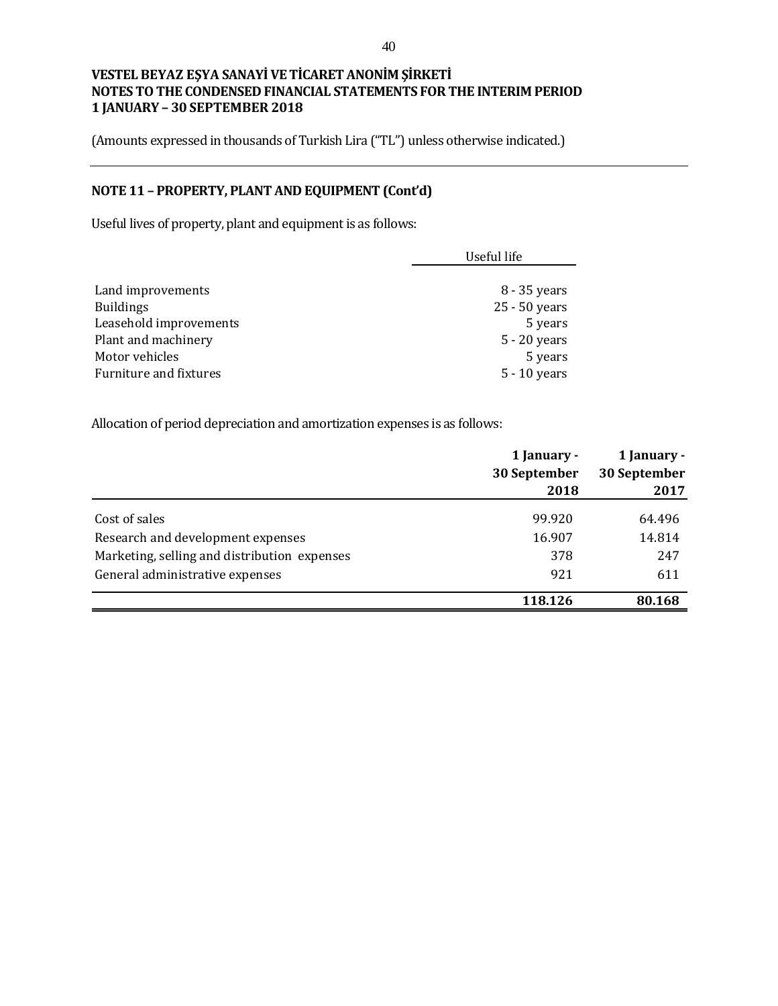(Amounts expressed in thousands of Turkish Lira ("TL") unless otherwise indicated.)

# **NOTE 11 – PROPERTY, PLANT AND EQUIPMENT (Cont'd)**

Useful lives of property, plant and equipment is as follows:

|                        | Useful life    |  |
|------------------------|----------------|--|
|                        |                |  |
| Land improvements      | 8 - 35 years   |  |
| <b>Buildings</b>       | 25 - 50 years  |  |
| Leasehold improvements | 5 years        |  |
| Plant and machinery    | 5 - 20 years   |  |
| Motor vehicles         | 5 years        |  |
| Furniture and fixtures | $5 - 10$ years |  |

Allocation of period depreciation and amortization expenses is as follows:

|                                              | 1 January -<br>30 September | 1 January -<br>30 September |
|----------------------------------------------|-----------------------------|-----------------------------|
|                                              | 2018                        | 2017                        |
| Cost of sales                                | 99.920                      | 64.496                      |
| Research and development expenses            | 16.907                      | 14.814                      |
| Marketing, selling and distribution expenses | 378                         | 247                         |
| General administrative expenses              | 921                         | 611                         |
|                                              | 118.126                     | 80.168                      |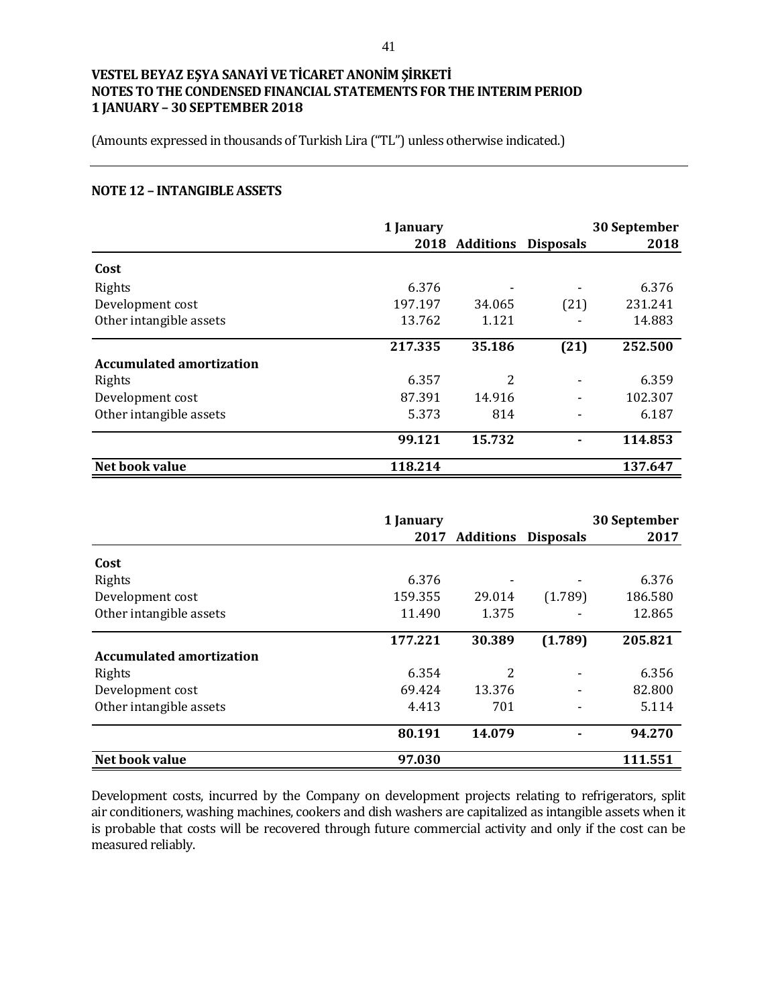(Amounts expressed in thousands of Turkish Lira ("TL") unless otherwise indicated.)

#### **NOTE 12 – INTANGIBLE ASSETS**

|                                 | 1 January |                |                  | 30 September |
|---------------------------------|-----------|----------------|------------------|--------------|
|                                 |           | 2018 Additions | <b>Disposals</b> | 2018         |
| Cost                            |           |                |                  |              |
| Rights                          | 6.376     |                |                  | 6.376        |
| Development cost                | 197.197   | 34.065         | (21)             | 231.241      |
| Other intangible assets         | 13.762    | 1.121          |                  | 14.883       |
|                                 | 217.335   | 35.186         | (21)             | 252.500      |
| <b>Accumulated amortization</b> |           |                |                  |              |
| Rights                          | 6.357     | 2              |                  | 6.359        |
| Development cost                | 87.391    | 14.916         |                  | 102.307      |
| Other intangible assets         | 5.373     | 814            |                  | 6.187        |
|                                 | 99.121    | 15.732         |                  | 114.853      |
| Net book value                  | 118.214   |                |                  | 137.647      |

|                                 | 1 January |                  |                  | 30 September |
|---------------------------------|-----------|------------------|------------------|--------------|
|                                 | 2017      | <b>Additions</b> | <b>Disposals</b> | 2017         |
| Cost                            |           |                  |                  |              |
| Rights                          | 6.376     |                  |                  | 6.376        |
| Development cost                | 159.355   | 29.014           | (1.789)          | 186.580      |
| Other intangible assets         | 11.490    | 1.375            |                  | 12.865       |
|                                 | 177.221   | 30.389           | (1.789)          | 205.821      |
| <b>Accumulated amortization</b> |           |                  |                  |              |
| Rights                          | 6.354     | 2                |                  | 6.356        |
| Development cost                | 69.424    | 13.376           |                  | 82.800       |
| Other intangible assets         | 4.413     | 701              |                  | 5.114        |
|                                 | 80.191    | 14.079           |                  | 94.270       |
| Net book value                  | 97.030    |                  |                  | 111.551      |

Development costs, incurred by the Company on development projects relating to refrigerators, split air conditioners, washing machines, cookers and dish washers are capitalized as intangible assets when it is probable that costs will be recovered through future commercial activity and only if the cost can be measured reliably.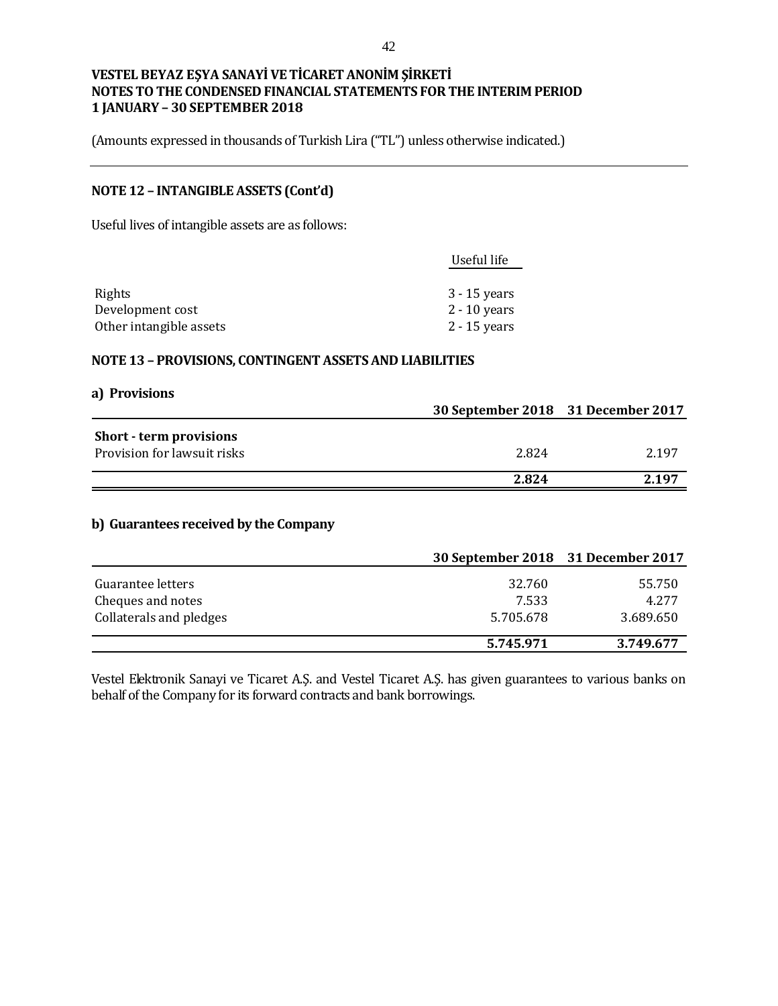(Amounts expressed in thousands of Turkish Lira ("TL") unless otherwise indicated.)

# **NOTE 12 – INTANGIBLE ASSETS (Cont'd)**

Useful lives of intangible assets are as follows:

| Useful life    |
|----------------|
|                |
| $3 - 15$ years |
| $2 - 10$ years |
| $2 - 15$ years |
|                |

#### **NOTE 13 – PROVISIONS, CONTINGENT ASSETS AND LIABILITIES**

| a) Provisions                                                 |                                    |       |
|---------------------------------------------------------------|------------------------------------|-------|
|                                                               | 30 September 2018 31 December 2017 |       |
| <b>Short</b> - term provisions<br>Provision for lawsuit risks | 2.824                              | 2.197 |
|                                                               | 2.824                              | 2.197 |

# **b) Guarantees received by the Company**

|                                        | 30 September 2018 31 December 2017 |                 |
|----------------------------------------|------------------------------------|-----------------|
| Guarantee letters<br>Cheques and notes | 32.760<br>7.533                    | 55.750<br>4.277 |
| Collaterals and pledges                | 5.705.678                          | 3.689.650       |
|                                        | 5.745.971                          | 3.749.677       |

Vestel Elektronik Sanayi ve Ticaret A.Ş. and Vestel Ticaret A.Ş. has given guarantees to various banks on behalf of the Company for its forward contracts and bank borrowings.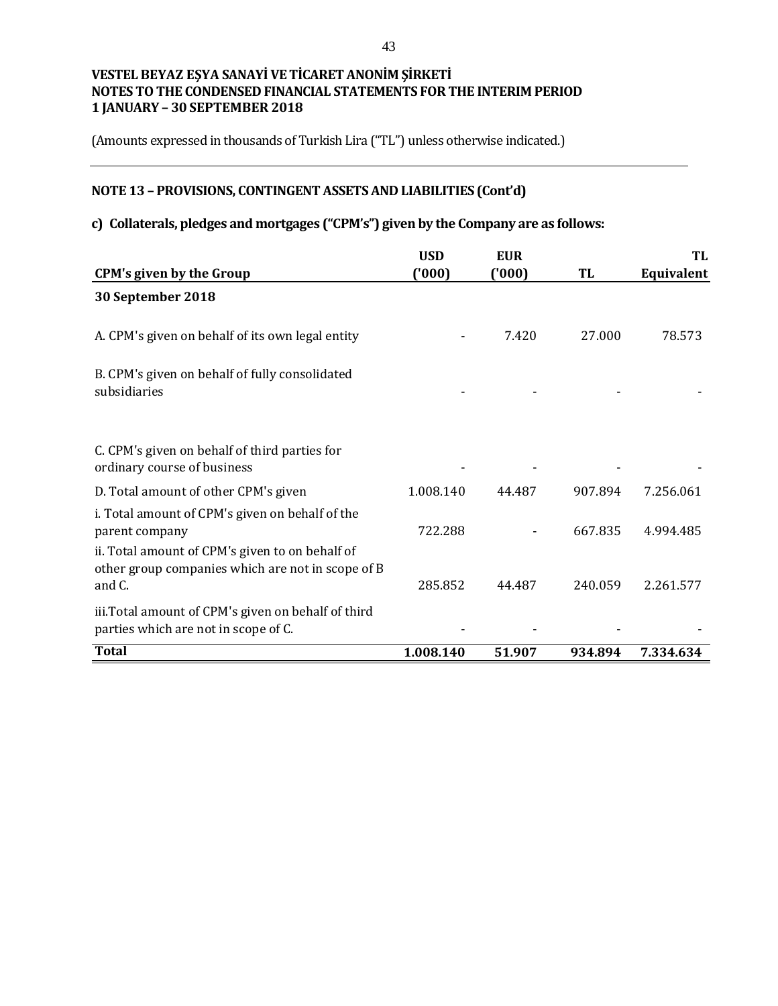(Amounts expressed in thousands of Turkish Lira ("TL") unless otherwise indicated.)

# **NOTE 13 – PROVISIONS, CONTINGENT ASSETS AND LIABILITIES (Cont'd)**

# **c) Collaterals, pledges and mortgages ("CPM's") given by the Company are as follows:**

|                                                                                                                                                                           | <b>USD</b> | <b>EUR</b> |         | TL         |
|---------------------------------------------------------------------------------------------------------------------------------------------------------------------------|------------|------------|---------|------------|
| <b>CPM's given by the Group</b>                                                                                                                                           | ('000)     | ('000)     | TL      | Equivalent |
| 30 September 2018                                                                                                                                                         |            |            |         |            |
| A. CPM's given on behalf of its own legal entity                                                                                                                          |            | 7.420      | 27.000  | 78.573     |
| B. CPM's given on behalf of fully consolidated<br>subsidiaries                                                                                                            |            |            |         |            |
| C. CPM's given on behalf of third parties for<br>ordinary course of business                                                                                              |            |            |         |            |
| D. Total amount of other CPM's given                                                                                                                                      | 1.008.140  | 44.487     | 907.894 | 7.256.061  |
| i. Total amount of CPM's given on behalf of the<br>parent company<br>ii. Total amount of CPM's given to on behalf of<br>other group companies which are not in scope of B | 722.288    |            | 667.835 | 4.994.485  |
| and C.                                                                                                                                                                    | 285.852    | 44.487     | 240.059 | 2.261.577  |
| iii. Total amount of CPM's given on behalf of third<br>parties which are not in scope of C.                                                                               |            |            |         |            |
| <b>Total</b>                                                                                                                                                              | 1.008.140  | 51.907     | 934.894 | 7.334.634  |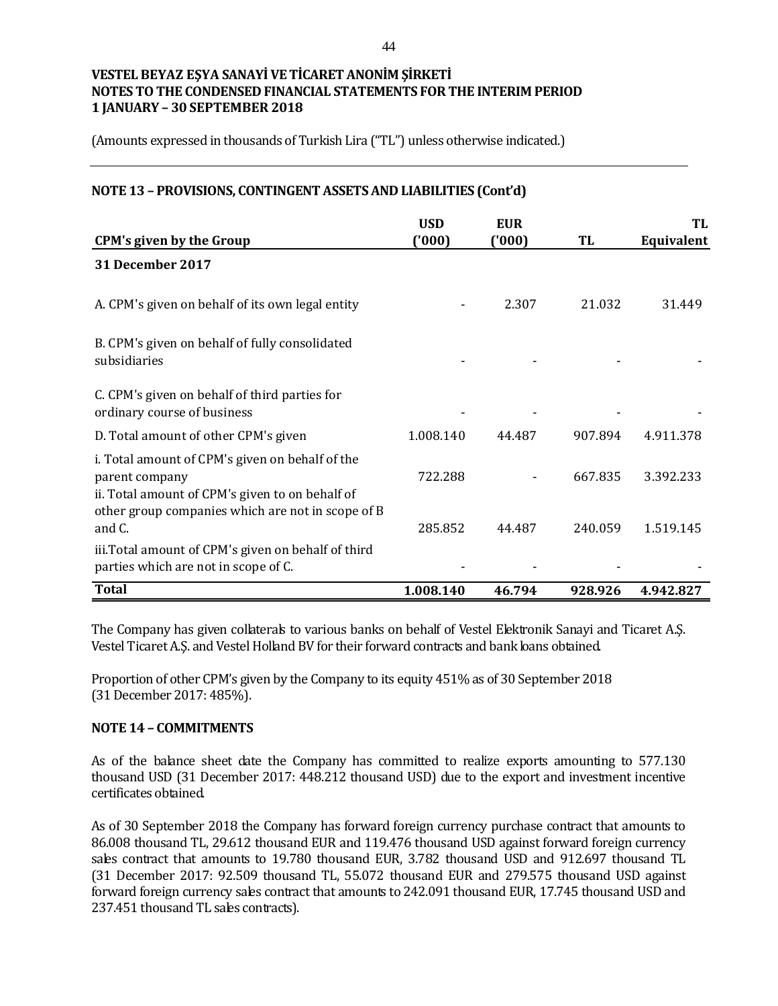(Amounts expressed in thousands of Turkish Lira ("TL") unless otherwise indicated.)

#### **NOTE 13 – PROVISIONS, CONTINGENT ASSETS AND LIABILITIES (Cont'd)**

|                                                                                                                                                                           | <b>USD</b> | <b>EUR</b> |         | TL         |
|---------------------------------------------------------------------------------------------------------------------------------------------------------------------------|------------|------------|---------|------------|
| <b>CPM's given by the Group</b>                                                                                                                                           | (000)      | ('000)     | TL      | Equivalent |
| <b>31 December 2017</b>                                                                                                                                                   |            |            |         |            |
| A. CPM's given on behalf of its own legal entity                                                                                                                          |            | 2.307      | 21.032  | 31.449     |
| B. CPM's given on behalf of fully consolidated<br>subsidiaries                                                                                                            |            |            |         |            |
| C. CPM's given on behalf of third parties for<br>ordinary course of business                                                                                              |            |            |         |            |
| D. Total amount of other CPM's given                                                                                                                                      | 1.008.140  | 44.487     | 907.894 | 4.911.378  |
| i. Total amount of CPM's given on behalf of the<br>parent company<br>ii. Total amount of CPM's given to on behalf of<br>other group companies which are not in scope of B | 722.288    |            | 667.835 | 3.392.233  |
| and C.                                                                                                                                                                    | 285.852    | 44.487     | 240.059 | 1.519.145  |
| iii. Total amount of CPM's given on behalf of third<br>parties which are not in scope of C.                                                                               |            |            |         |            |
| <b>Total</b>                                                                                                                                                              | 1.008.140  | 46.794     | 928.926 | 4.942.827  |

The Company has given collaterals to various banks on behalf of Vestel Elektronik Sanayi and Ticaret A.Ş. Vestel Ticaret A.Ş. and Vestel Holland BV for their forward contracts and bank loans obtained.

Proportion of other CPM's given by the Company to its equity 451% as of 30 September 2018 (31 December 2017: 485%).

#### **NOTE 14 – COMMITMENTS**

As of the balance sheet date the Company has committed to realize exports amounting to 577.130 thousand USD (31 December 2017: 448.212 thousand USD) due to the export and investment incentive certificates obtained.

As of 30 September 2018 the Company has forward foreign currency purchase contract that amounts to 86.008 thousand TL, 29.612 thousand EUR and 119.476 thousand USD against forward foreign currency sales contract that amounts to 19.780 thousand EUR, 3.782 thousand USD and 912.697 thousand TL (31 December 2017: 92.509 thousand TL, 55.072 thousand EUR and 279.575 thousand USD against forward foreign currency sales contract that amounts to 242.091 thousand EUR, 17.745 thousand USD and 237.451 thousand TL sales contracts).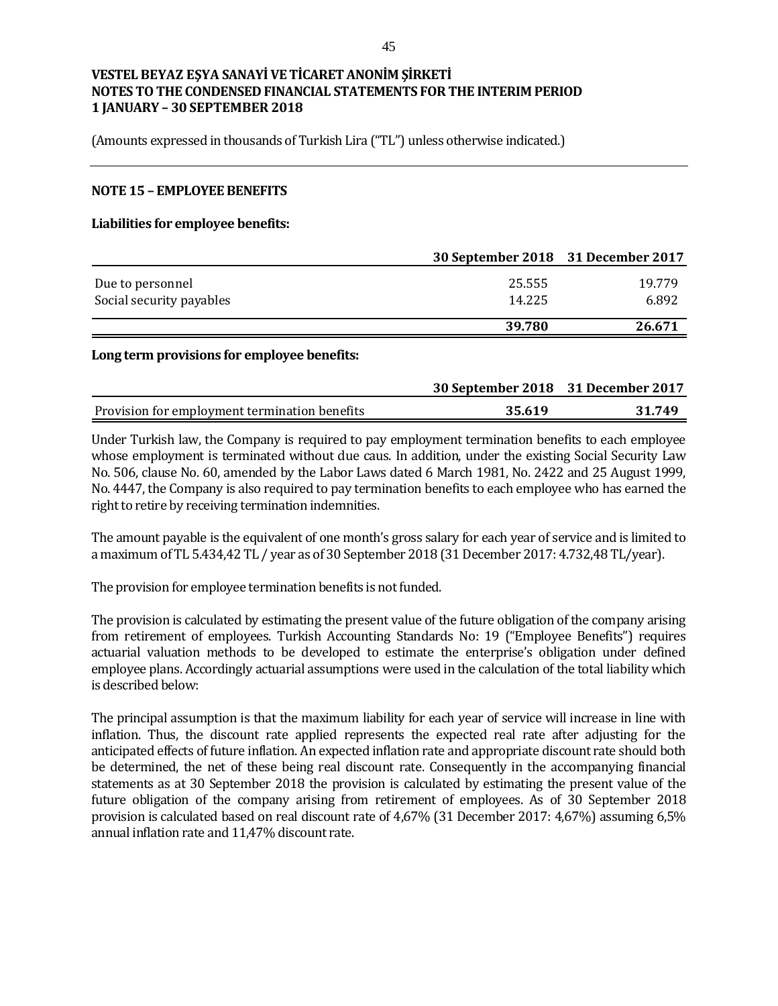(Amounts expressed in thousands of Turkish Lira ("TL") unless otherwise indicated.)

#### **NOTE 15 – EMPLOYEE BENEFITS**

#### **Liabilities for employee benefits:**

|                          | 30 September 2018 31 December 2017 |        |
|--------------------------|------------------------------------|--------|
| Due to personnel         | 25.555                             | 19.779 |
| Social security payables | 14.225                             | 6.892  |
|                          | 39.780                             | 26.671 |

#### **Long term provisions for employee benefits:**

|                                               | 30 September 2018 31 December 2017 |        |
|-----------------------------------------------|------------------------------------|--------|
| Provision for employment termination benefits | 35.619                             | 31.749 |

Under Turkish law, the Company is required to pay employment termination benefits to each employee whose employment is terminated without due caus. In addition, under the existing Social Security Law No. 506, clause No. 60, amended by the Labor Laws dated 6 March 1981, No. 2422 and 25 August 1999, No. 4447, the Company is also required to pay termination benefits to each employee who has earned the right to retire by receiving termination indemnities.

The amount payable is the equivalent of one month's gross salary for each year of service and is limited to a maximum of TL 5.434,42 TL / year as of 30 September 2018 (31 December 2017: 4.732,48 TL/year).

The provision for employee termination benefits is not funded.

The provision is calculated by estimating the present value of the future obligation of the company arising from retirement of employees. Turkish Accounting Standards No: 19 ("Employee Benefits") requires actuarial valuation methods to be developed to estimate the enterprise's obligation under defined employee plans. Accordingly actuarial assumptions were used in the calculation of the total liability which is described below:

The principal assumption is that the maximum liability for each year of service will increase in line with inflation. Thus, the discount rate applied represents the expected real rate after adjusting for the anticipated effects of future inflation. An expected inflation rate and appropriate discount rate should both be determined, the net of these being real discount rate. Consequently in the accompanying financial statements as at 30 September 2018 the provision is calculated by estimating the present value of the future obligation of the company arising from retirement of employees. As of 30 September 2018 provision is calculated based on real discount rate of 4,67% (31 December 2017: 4,67%) assuming 6,5% annual inflation rate and 11,47% discount rate.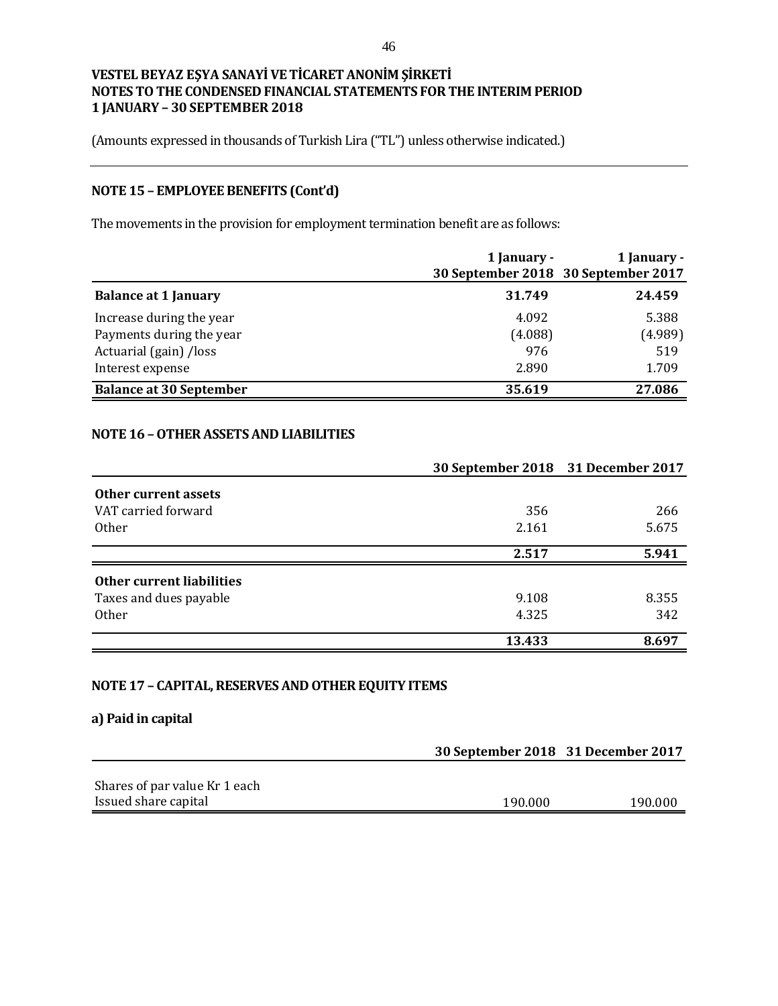(Amounts expressed in thousands of Turkish Lira ("TL") unless otherwise indicated.)

# **NOTE 15 – EMPLOYEE BENEFITS (Cont'd)**

The movements in the provision for employment termination benefit are as follows:

|                                | 1 January -<br>30 September 2018 30 September 2017 | 1 January - |
|--------------------------------|----------------------------------------------------|-------------|
| <b>Balance at 1 January</b>    | 31.749                                             | 24.459      |
| Increase during the year       | 4.092                                              | 5.388       |
| Payments during the year       | (4.088)                                            | (4.989)     |
| Actuarial (gain) /loss         | 976                                                | 519         |
| Interest expense               | 2.890                                              | 1.709       |
| <b>Balance at 30 September</b> | 35.619                                             | 27.086      |

# **NOTE 16 –OTHER ASSETS AND LIABILITIES**

|                                  | 30 September 2018 31 December 2017 |       |
|----------------------------------|------------------------------------|-------|
| Other current assets             |                                    |       |
| VAT carried forward              | 356                                | 266   |
| <b>Other</b>                     | 2.161                              | 5.675 |
|                                  | 2.517                              | 5.941 |
| <b>Other current liabilities</b> |                                    |       |
| Taxes and dues payable           | 9.108                              | 8.355 |
| <b>Other</b>                     | 4.325                              | 342   |
|                                  | 13.433                             | 8.697 |

## **NOTE 17 – CAPITAL, RESERVES AND OTHER EQUITY ITEMS**

### **a) Paid in capital**

|                               | 30 September 2018 31 December 2017 |         |  |
|-------------------------------|------------------------------------|---------|--|
|                               |                                    |         |  |
| Shares of par value Kr 1 each |                                    |         |  |
| Issued share capital          | 190.000                            | 190.000 |  |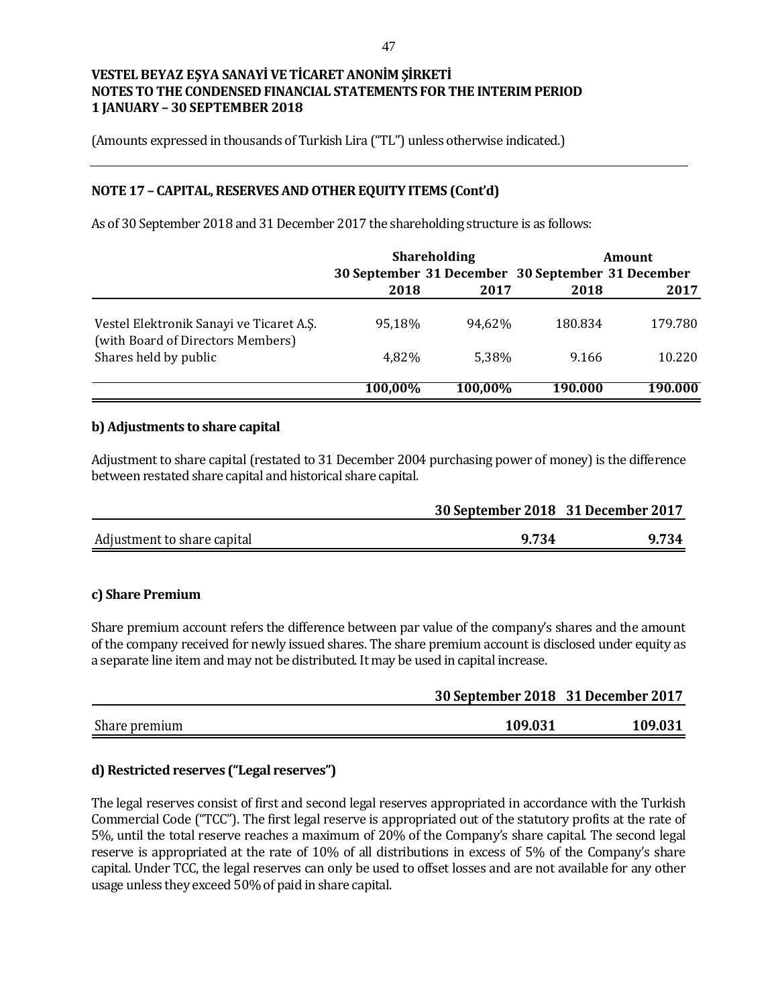(Amounts expressed in thousands of Turkish Lira ("TL") unless otherwise indicated.)

# **NOTE 17 – CAPITAL, RESERVES AND OTHER EQUITY ITEMS (Cont'd)**

As of 30 September 2018 and 31 December 2017 the shareholding structure is as follows:

|                                                                               | <b>Shareholding</b> |         | Amount                                            |         |
|-------------------------------------------------------------------------------|---------------------|---------|---------------------------------------------------|---------|
|                                                                               |                     |         | 30 September 31 December 30 September 31 December |         |
|                                                                               | 2018                | 2017    | 2018                                              | 2017    |
| Vestel Elektronik Sanayi ve Ticaret A.S.<br>(with Board of Directors Members) | 95,18%              | 94.62%  | 180.834                                           | 179.780 |
| Shares held by public                                                         | 4,82%               | 5.38%   | 9.166                                             | 10.220  |
|                                                                               | 100,00%             | 100.00% | 190.000                                           | 190.000 |

#### **b) Adjustments to share capital**

Adjustment to share capital (restated to 31 December 2004 purchasing power of money) is the difference between restated share capital and historical share capital.

|                             | 30 September 2018 31 December 2017 |       |  |
|-----------------------------|------------------------------------|-------|--|
| Adjustment to share capital | 9.734                              | 9.734 |  |

### **c) Share Premium**

Share premium account refers the difference between par value of the company's shares and the amount of the company received for newly issued shares. The share premium account is disclosed under equity as a separate line item and may not be distributed. It may be used in capital increase.

|               | 30 September 2018 31 December 2017 |         |  |
|---------------|------------------------------------|---------|--|
| Share premium | 109.031                            | 109.031 |  |

# **d) Restricted reserves ("Legal reserves")**

The legal reserves consist of first and second legal reserves appropriated in accordance with the Turkish Commercial Code ("TCC"). The first legal reserve is appropriated out of the statutory profits at the rate of 5%, until the total reserve reaches a maximum of 20% of the Company's share capital. The second legal reserve is appropriated at the rate of 10% of all distributions in excess of 5% of the Company's share capital. Under TCC, the legal reserves can only be used to offset losses and are not available for any other usage unless they exceed 50% of paid in share capital.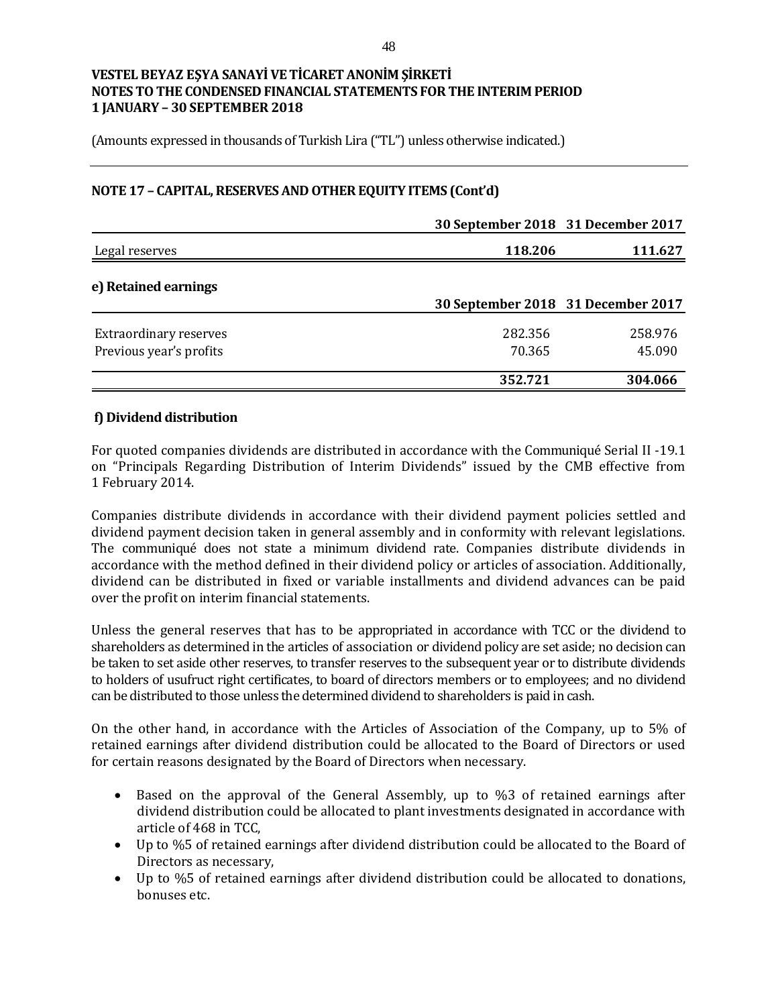(Amounts expressed in thousands of Turkish Lira ("TL") unless otherwise indicated.)

## **NOTE 17 – CAPITAL, RESERVES AND OTHER EQUITY ITEMS (Cont'd)**

|                                                          | 30 September 2018 31 December 2017 |                   |
|----------------------------------------------------------|------------------------------------|-------------------|
| Legal reserves                                           | 118.206                            | 111.627           |
| e) Retained earnings                                     | 30 September 2018 31 December 2017 |                   |
| <b>Extraordinary reserves</b><br>Previous year's profits | 282.356<br>70.365                  | 258.976<br>45.090 |
|                                                          | 352.721                            | 304.066           |

#### **f) Dividend distribution**

For quoted companies dividends are distributed in accordance with the Communiqué Serial II -19.1 on "Principals Regarding Distribution of Interim Dividends" issued by the CMB effective from 1 February 2014.

Companies distribute dividends in accordance with their dividend payment policies settled and dividend payment decision taken in general assembly and in conformity with relevant legislations. The communiqué does not state a minimum dividend rate. Companies distribute dividends in accordance with the method defined in their dividend policy or articles of association. Additionally, dividend can be distributed in fixed or variable installments and dividend advances can be paid over the profit on interim financial statements.

Unless the general reserves that has to be appropriated in accordance with TCC or the dividend to shareholders as determined in the articles of association or dividend policy are set aside; no decision can be taken to set aside other reserves, to transfer reserves to the subsequent year or to distribute dividends to holders of usufruct right certificates, to board of directors members or to employees; and no dividend can be distributed to those unless the determined dividend to shareholders is paid in cash.

On the other hand, in accordance with the Articles of Association of the Company, up to 5% of retained earnings after dividend distribution could be allocated to the Board of Directors or used for certain reasons designated by the Board of Directors when necessary.

- Based on the approval of the General Assembly, up to %3 of retained earnings after dividend distribution could be allocated to plant investments designated in accordance with article of 468 in TCC,
- Up to %5 of retained earnings after dividend distribution could be allocated to the Board of Directors as necessary,
- Up to %5 of retained earnings after dividend distribution could be allocated to donations, bonuses etc.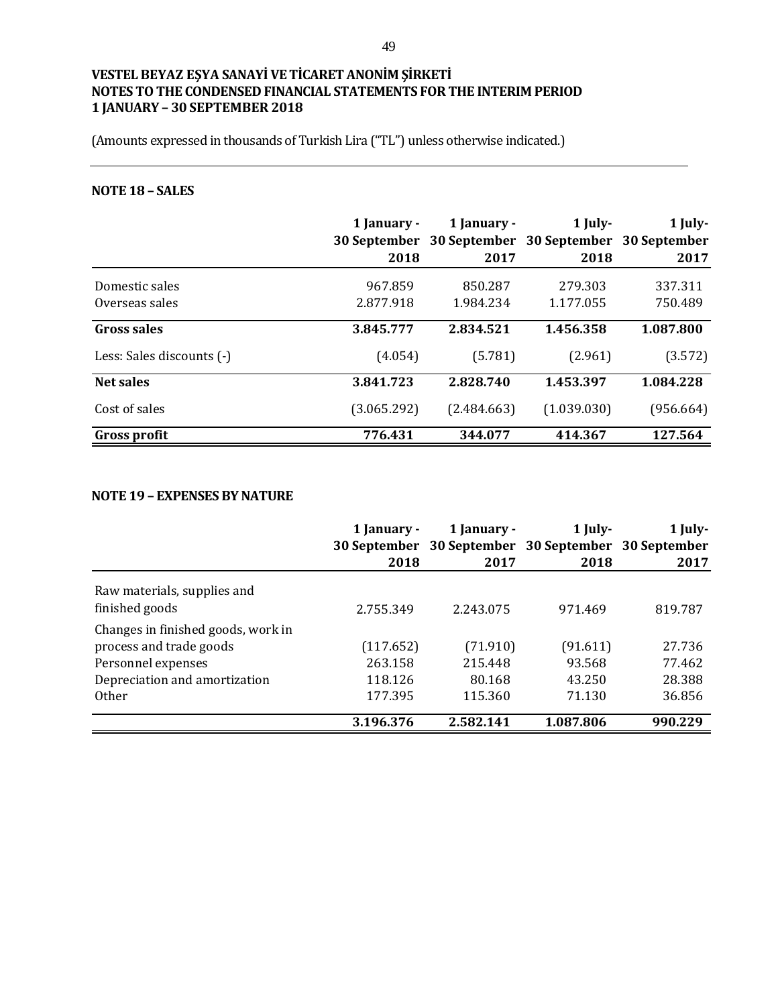(Amounts expressed in thousands of Turkish Lira ("TL") unless otherwise indicated.)

# **NOTE 18 – SALES**

|                           | 1 January -<br><b>30 September</b> | 1 January - | 1 July-<br>30 September 30 September 30 September | 1 July-   |
|---------------------------|------------------------------------|-------------|---------------------------------------------------|-----------|
|                           | 2018                               | 2017        | 2018                                              | 2017      |
| Domestic sales            | 967.859                            | 850.287     | 279.303                                           | 337.311   |
| Overseas sales            | 2.877.918                          | 1.984.234   | 1.177.055                                         | 750.489   |
| Gross sales               | 3.845.777                          | 2.834.521   | 1.456.358                                         | 1.087.800 |
| Less: Sales discounts (-) | (4.054)                            | (5.781)     | (2.961)                                           | (3.572)   |
| <b>Net sales</b>          | 3.841.723                          | 2.828.740   | 1.453.397                                         | 1.084.228 |
| Cost of sales             | (3.065.292)                        | (2.484.663) | (1.039.030)                                       | (956.664) |
| Gross profit              | 776.431                            | 344.077     | 414.367                                           | 127.564   |

## **NOTE 19 – EXPENSES BY NATURE**

|                                                                                                                                      | 1 January -<br>2018                        | 1 January -<br>30 September 30 September 30 September 30 September<br>2017 | $1$ July-<br>2018                      | 1 July-<br>2017                      |
|--------------------------------------------------------------------------------------------------------------------------------------|--------------------------------------------|----------------------------------------------------------------------------|----------------------------------------|--------------------------------------|
| Raw materials, supplies and<br>finished goods                                                                                        | 2.755.349                                  | 2.243.075                                                                  | 971.469                                | 819.787                              |
| Changes in finished goods, work in<br>process and trade goods<br>Personnel expenses<br>Depreciation and amortization<br><b>Other</b> | (117.652)<br>263.158<br>118.126<br>177.395 | (71.910)<br>215.448<br>80.168<br>115.360                                   | (91.611)<br>93.568<br>43.250<br>71.130 | 27.736<br>77.462<br>28.388<br>36.856 |
|                                                                                                                                      | 3.196.376                                  | 2.582.141                                                                  | 1.087.806                              | 990.229                              |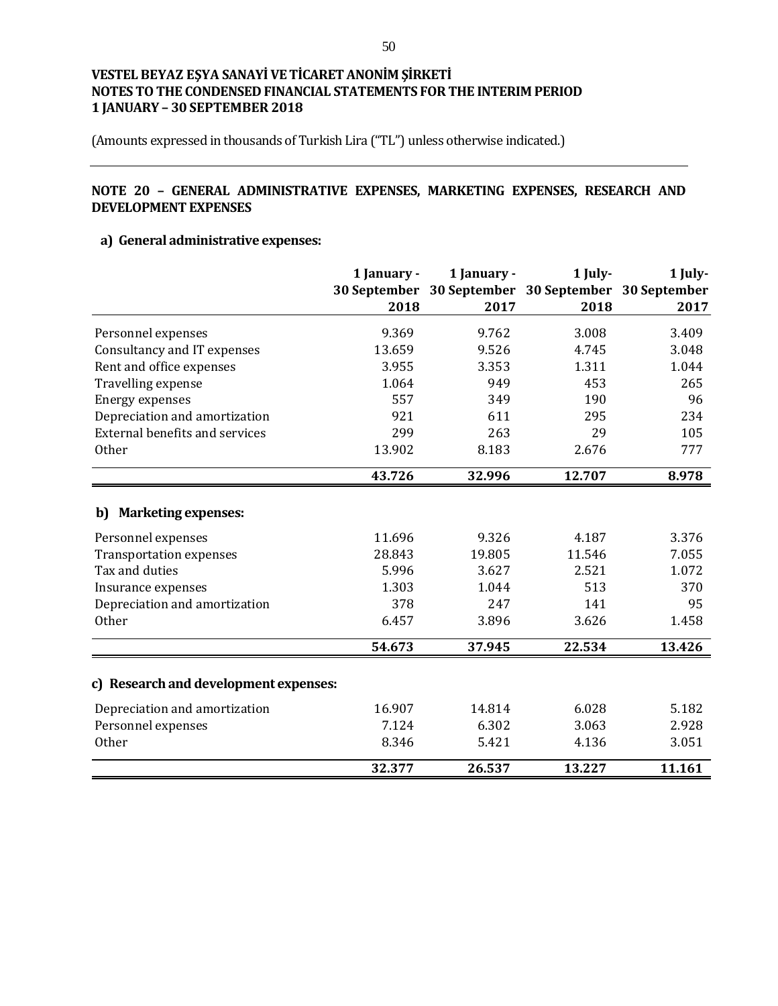(Amounts expressed in thousands of Turkish Lira ("TL") unless otherwise indicated.)

# **NOTE 20 – GENERAL ADMINISTRATIVE EXPENSES, MARKETING EXPENSES, RESEARCH AND DEVELOPMENT EXPENSES**

# **a) General administrative expenses:**

|                                       | 1 January - | 1 January -                                         | 1 July- | 1 July- |
|---------------------------------------|-------------|-----------------------------------------------------|---------|---------|
|                                       |             | 30 September 30 September 30 September 30 September |         |         |
|                                       | 2018        | 2017                                                | 2018    | 2017    |
| Personnel expenses                    | 9.369       | 9.762                                               | 3.008   | 3.409   |
| Consultancy and IT expenses           | 13.659      | 9.526                                               | 4.745   | 3.048   |
| Rent and office expenses              | 3.955       | 3.353                                               | 1.311   | 1.044   |
| Travelling expense                    | 1.064       | 949                                                 | 453     | 265     |
| <b>Energy expenses</b>                | 557         | 349                                                 | 190     | 96      |
| Depreciation and amortization         | 921         | 611                                                 | 295     | 234     |
| <b>External benefits and services</b> | 299         | 263                                                 | 29      | 105     |
| <b>Other</b>                          | 13.902      | 8.183                                               | 2.676   | 777     |
|                                       | 43.726      | 32.996                                              | 12.707  | 8.978   |
| <b>Marketing expenses:</b><br>b)      |             |                                                     |         |         |
| Personnel expenses                    | 11.696      | 9.326                                               | 4.187   | 3.376   |
| <b>Transportation expenses</b>        | 28.843      | 19.805                                              | 11.546  | 7.055   |
| Tax and duties                        | 5.996       | 3.627                                               | 2.521   | 1.072   |
| Insurance expenses                    | 1.303       | 1.044                                               | 513     | 370     |
| Depreciation and amortization         | 378         | 247                                                 | 141     | 95      |
| Other                                 | 6.457       | 3.896                                               | 3.626   | 1.458   |
|                                       | 54.673      | 37.945                                              | 22.534  | 13.426  |
| c) Research and development expenses: |             |                                                     |         |         |
| Depreciation and amortization         | 16.907      | 14.814                                              | 6.028   | 5.182   |
| Personnel expenses                    | 7.124       | 6.302                                               | 3.063   | 2.928   |
| <b>Other</b>                          | 8.346       | 5.421                                               | 4.136   | 3.051   |
|                                       | 32.377      | 26.537                                              | 13.227  | 11.161  |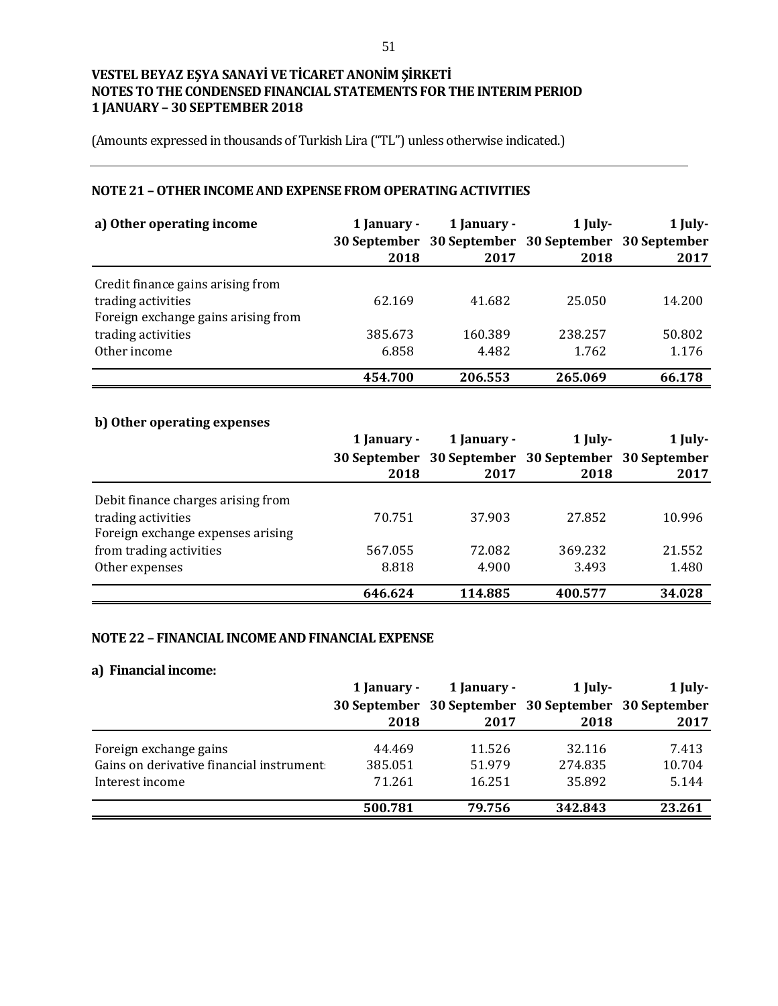(Amounts expressed in thousands of Turkish Lira ("TL") unless otherwise indicated.)

# **NOTE 21 –OTHER INCOME AND EXPENSE FROM OPERATING ACTIVITIES**

| a) Other operating income                                 | 1 January - | 1 January -                                         | 1 July- | 1 July- |
|-----------------------------------------------------------|-------------|-----------------------------------------------------|---------|---------|
|                                                           |             | 30 September 30 September 30 September 30 September |         |         |
|                                                           | 2018        | 2017                                                | 2018    | 2017    |
| Credit finance gains arising from                         |             |                                                     |         |         |
| trading activities<br>Foreign exchange gains arising from | 62.169      | 41.682                                              | 25.050  | 14.200  |
| trading activities                                        | 385.673     | 160.389                                             | 238.257 | 50.802  |
| Other income                                              | 6.858       | 4.482                                               | 1.762   | 1.176   |
|                                                           | 454.700     | 206.553                                             | 265.069 | 66.178  |

# **b) Other operating expenses**

|                                    | 1 January -         | 1 January - | 1 July-                                | $1$ July- |
|------------------------------------|---------------------|-------------|----------------------------------------|-----------|
|                                    | <b>30 September</b> |             | 30 September 30 September 30 September |           |
|                                    | 2018                | 2017        | 2018                                   | 2017      |
| Debit finance charges arising from |                     |             |                                        |           |
| trading activities                 | 70.751              | 37.903      | 27.852                                 | 10.996    |
| Foreign exchange expenses arising  |                     |             |                                        |           |
| from trading activities            | 567.055             | 72.082      | 369.232                                | 21.552    |
| Other expenses                     | 8.818               | 4.900       | 3.493                                  | 1.480     |
|                                    | 646.624             | 114.885     | 400.577                                | 34.028    |

## **NOTE 22 – FINANCIAL INCOME AND FINANCIAL EXPENSE**

#### **a) Financial income:**

|                                           | 1 January - | 1 January - | 1 July-                                             | $1$ July- |
|-------------------------------------------|-------------|-------------|-----------------------------------------------------|-----------|
|                                           |             |             | 30 September 30 September 30 September 30 September |           |
|                                           | 2018        | 2017        | 2018                                                | 2017      |
| Foreign exchange gains                    | 44.469      | 11.526      | 32.116                                              | 7.413     |
| Gains on derivative financial instrument: | 385.051     | 51.979      | 274.835                                             | 10.704    |
| Interest income                           | 71.261      | 16.251      | 35.892                                              | 5.144     |
|                                           | 500.781     | 79.756      | 342.843                                             | 23.261    |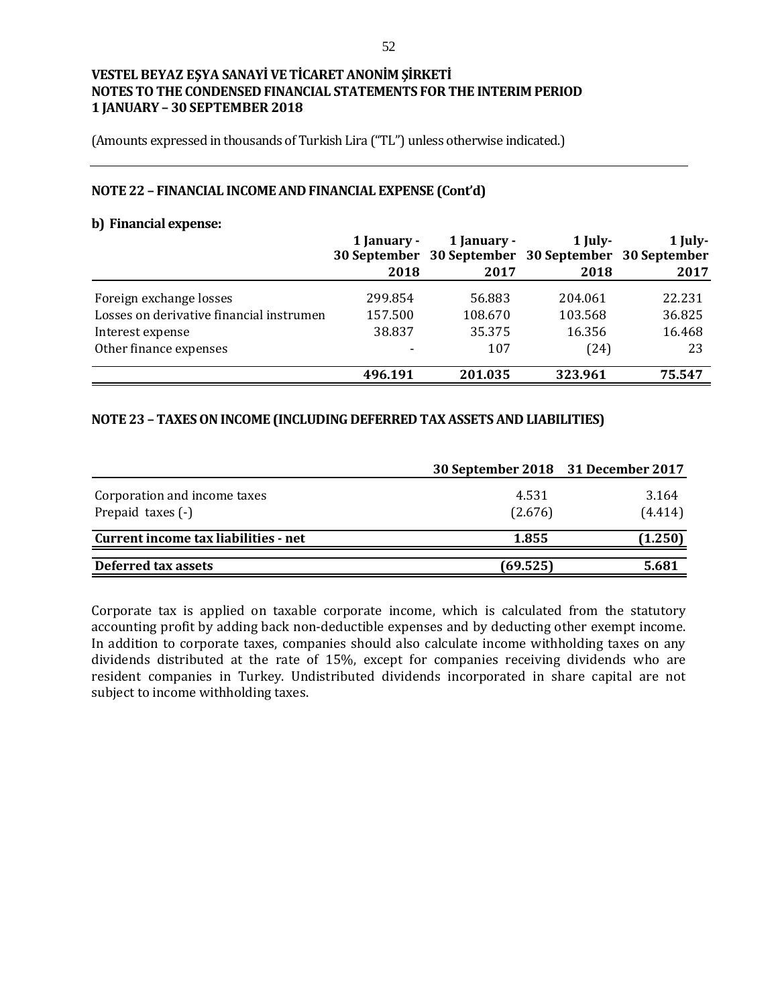(Amounts expressed in thousands of Turkish Lira ("TL") unless otherwise indicated.)

#### **NOTE 22 – FINANCIAL INCOME AND FINANCIAL EXPENSE (Cont'd)**

#### **b) Financial expense:**

|                                          | 1 January -<br>2018 | 1 January -<br>2017 | $1$ July-<br>30 September 30 September 30 September 30 September<br>2018 | 1 July-<br>2017 |
|------------------------------------------|---------------------|---------------------|--------------------------------------------------------------------------|-----------------|
| Foreign exchange losses                  | 299.854             | 56.883              | 204.061                                                                  | 22.231          |
| Losses on derivative financial instrumen | 157.500             | 108.670             | 103.568                                                                  | 36.825          |
| Interest expense                         | 38.837              | 35.375              | 16.356                                                                   | 16.468          |
| Other finance expenses                   |                     | 107                 | (24)                                                                     | 23              |
|                                          | 496.191             | 201.035             | 323.961                                                                  | 75.547          |

## **NOTE 23 – TAXES ON INCOME (INCLUDING DEFERRED TAX ASSETS AND LIABILITIES)**

|                                                   | 30 September 2018 31 December 2017 |                  |
|---------------------------------------------------|------------------------------------|------------------|
| Corporation and income taxes<br>Prepaid taxes (-) | 4.531<br>(2.676)                   | 3.164<br>(4.414) |
| Current income tax liabilities - net              | 1.855                              | (1.250)          |
| Deferred tax assets                               | (69.525)                           | 5.681            |

Corporate tax is applied on taxable corporate income, which is calculated from the statutory accounting profit by adding back non-deductible expenses and by deducting other exempt income. In addition to corporate taxes, companies should also calculate income withholding taxes on any dividends distributed at the rate of 15%, except for companies receiving dividends who are resident companies in Turkey. Undistributed dividends incorporated in share capital are not subject to income withholding taxes.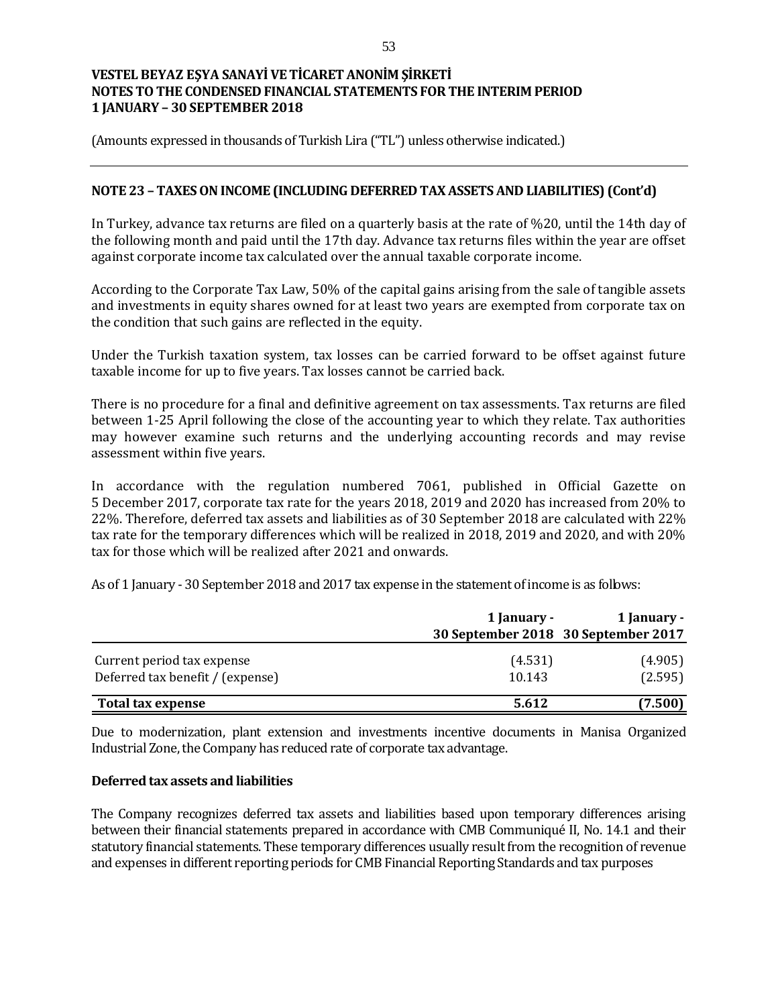(Amounts expressed in thousands of Turkish Lira ("TL") unless otherwise indicated.)

#### **NOTE 23 – TAXES ON INCOME (INCLUDING DEFERRED TAX ASSETS AND LIABILITIES) (Cont'd)**

In Turkey, advance tax returns are filed on a quarterly basis at the rate of %20, until the 14th day of the following month and paid until the 17th day. Advance tax returns files within the year are offset against corporate income tax calculated over the annual taxable corporate income.

According to the Corporate Tax Law, 50% of the capital gains arising from the sale of tangible assets and investments in equity shares owned for at least two years are exempted from corporate tax on the condition that such gains are reflected in the equity.

Under the Turkish taxation system, tax losses can be carried forward to be offset against future taxable income for up to five years. Tax losses cannot be carried back.

There is no procedure for a final and definitive agreement on tax assessments. Tax returns are filed between 1-25 April following the close of the accounting year to which they relate. Tax authorities may however examine such returns and the underlying accounting records and may revise assessment within five years.

In accordance with the regulation numbered 7061, published in Official Gazette on 5 December 2017, corporate tax rate for the years 2018, 2019 and 2020 has increased from 20% to 22%. Therefore, deferred tax assets and liabilities as of 30 September 2018 are calculated with 22% tax rate for the temporary differences which will be realized in 2018, 2019 and 2020, and with 20% tax for those which will be realized after 2021 and onwards.

As of 1 January - 30 September 2018 and 2017 tax expense in the statement of income is as follows:

|                                                                | 1 January -                         | 1 January -        |
|----------------------------------------------------------------|-------------------------------------|--------------------|
|                                                                | 30 September 2018 30 September 2017 |                    |
| Current period tax expense<br>Deferred tax benefit / (expense) | (4.531)<br>10.143                   | (4.905)<br>(2.595) |
| Total tax expense                                              | 5.612                               | (7.500)            |

Due to modernization, plant extension and investments incentive documents in Manisa Organized Industrial Zone, the Company has reduced rate of corporate tax advantage.

#### **Deferred tax assets and liabilities**

The Company recognizes deferred tax assets and liabilities based upon temporary differences arising between their financial statements prepared in accordance with CMB Communiqué II, No. 14.1 and their statutory financial statements. These temporary differences usually result from the recognition of revenue and expenses in different reporting periods for CMB Financial Reporting Standards and tax purposes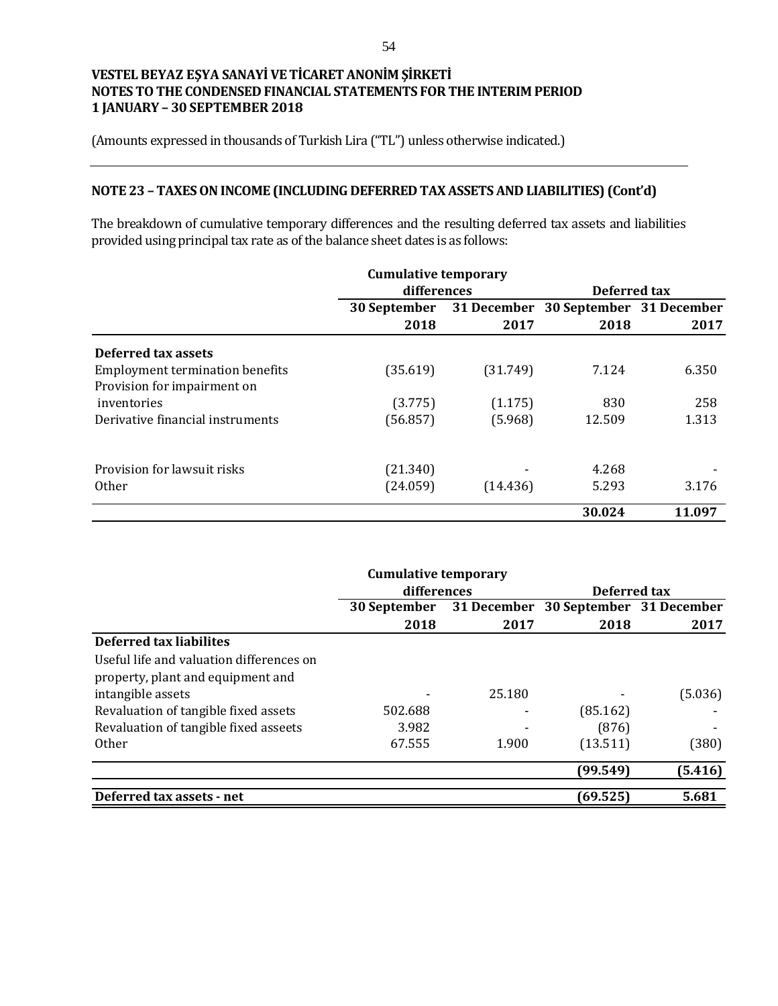(Amounts expressed in thousands of Turkish Lira ("TL") unless otherwise indicated.)

# **NOTE 23 – TAXES ON INCOME (INCLUDING DEFERRED TAX ASSETS AND LIABILITIES) (Cont'd)**

The breakdown of cumulative temporary differences and the resulting deferred tax assets and liabilities provided using principal tax rate as of the balance sheet dates is as follows:

|                                        | <b>Cumulative temporary</b> |             |                          |        |
|----------------------------------------|-----------------------------|-------------|--------------------------|--------|
|                                        | differences                 |             | Deferred tax             |        |
|                                        | 30 September                | 31 December | 30 September 31 December |        |
|                                        | 2018                        | 2017        | 2018                     | 2017   |
| Deferred tax assets                    |                             |             |                          |        |
| <b>Employment termination benefits</b> | (35.619)                    | (31.749)    | 7.124                    | 6.350  |
| Provision for impairment on            |                             |             |                          |        |
| inventories                            | (3.775)                     | (1.175)     | 830                      | 258    |
| Derivative financial instruments       | (56.857)                    | (5.968)     | 12.509                   | 1.313  |
| Provision for lawsuit risks            | (21.340)                    |             | 4.268                    |        |
| <b>Other</b>                           | (24.059)                    | (14.436)    | 5.293                    | 3.176  |
|                                        |                             |             |                          |        |
|                                        |                             |             | 30.024                   | 11.097 |

|                                          | <b>Cumulative temporary</b> |        |                                      |         |
|------------------------------------------|-----------------------------|--------|--------------------------------------|---------|
|                                          | differences                 |        | Deferred tax                         |         |
|                                          | 30 September                |        | 31 December 30 September 31 December |         |
|                                          | 2018                        | 2017   | 2018                                 | 2017    |
| Deferred tax liabilites                  |                             |        |                                      |         |
| Useful life and valuation differences on |                             |        |                                      |         |
| property, plant and equipment and        |                             |        |                                      |         |
| intangible assets                        |                             | 25.180 |                                      | (5.036) |
| Revaluation of tangible fixed assets     | 502.688                     |        | (85.162)                             |         |
| Revaluation of tangible fixed asseets    | 3.982                       |        | (876)                                |         |
| <b>Other</b>                             | 67.555                      | 1.900  | (13.511)                             | (380)   |
|                                          |                             |        | (99.549)                             | (5.416) |
| Deferred tax assets - net                |                             |        | (69.525)                             | 5.681   |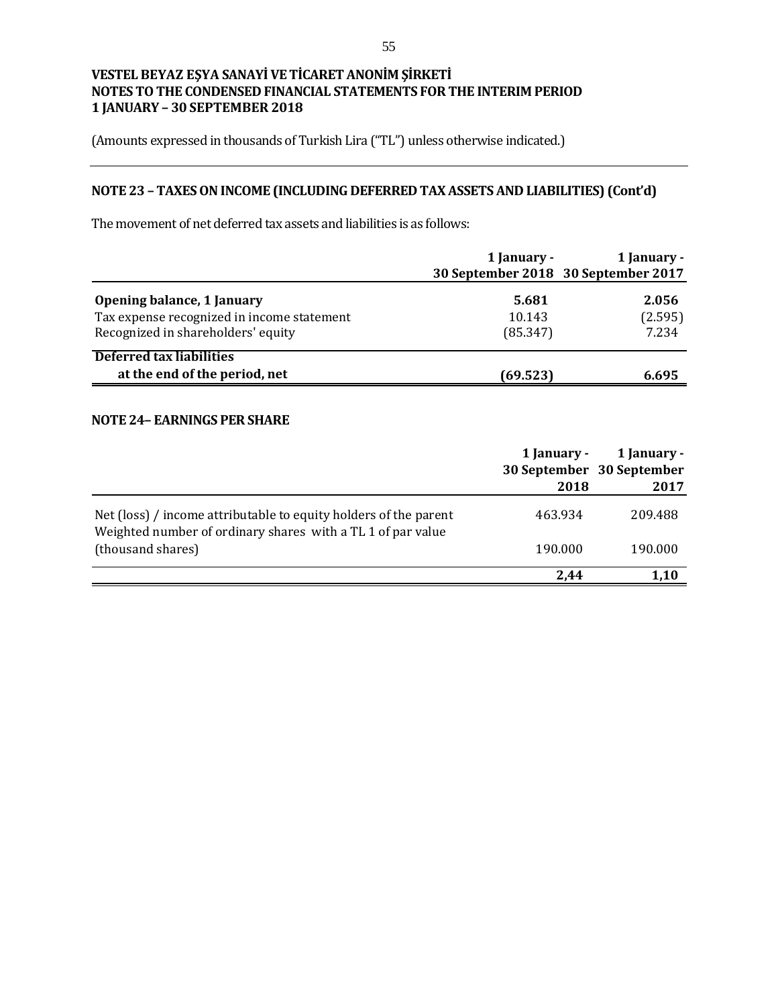(Amounts expressed in thousands of Turkish Lira ("TL") unless otherwise indicated.)

# **NOTE 23 – TAXES ON INCOME (INCLUDING DEFERRED TAX ASSETS AND LIABILITIES) (Cont'd)**

The movement of net deferred tax assets and liabilities is as follows:

|                                                                                                                | 1 January -                 | 1 January -<br>30 September 2018 30 September 2017 |
|----------------------------------------------------------------------------------------------------------------|-----------------------------|----------------------------------------------------|
| Opening balance, 1 January<br>Tax expense recognized in income statement<br>Recognized in shareholders' equity | 5.681<br>10.143<br>(85.347) | 2.056<br>(2.595)<br>7.234                          |
| Deferred tax liabilities<br>at the end of the period, net                                                      | (69.523)                    | 6.695                                              |

# **NOTE 24– EARNINGS PER SHARE**

|                                                                                                                                 | 1 January -<br>2018 | 1 January -<br>30 September 30 September<br>2017 |
|---------------------------------------------------------------------------------------------------------------------------------|---------------------|--------------------------------------------------|
| Net (loss) / income attributable to equity holders of the parent<br>Weighted number of ordinary shares with a TL 1 of par value | 463.934             | 209.488                                          |
| (thousand shares)                                                                                                               | 190.000             | 190.000                                          |
|                                                                                                                                 | 2.44                | 1.10                                             |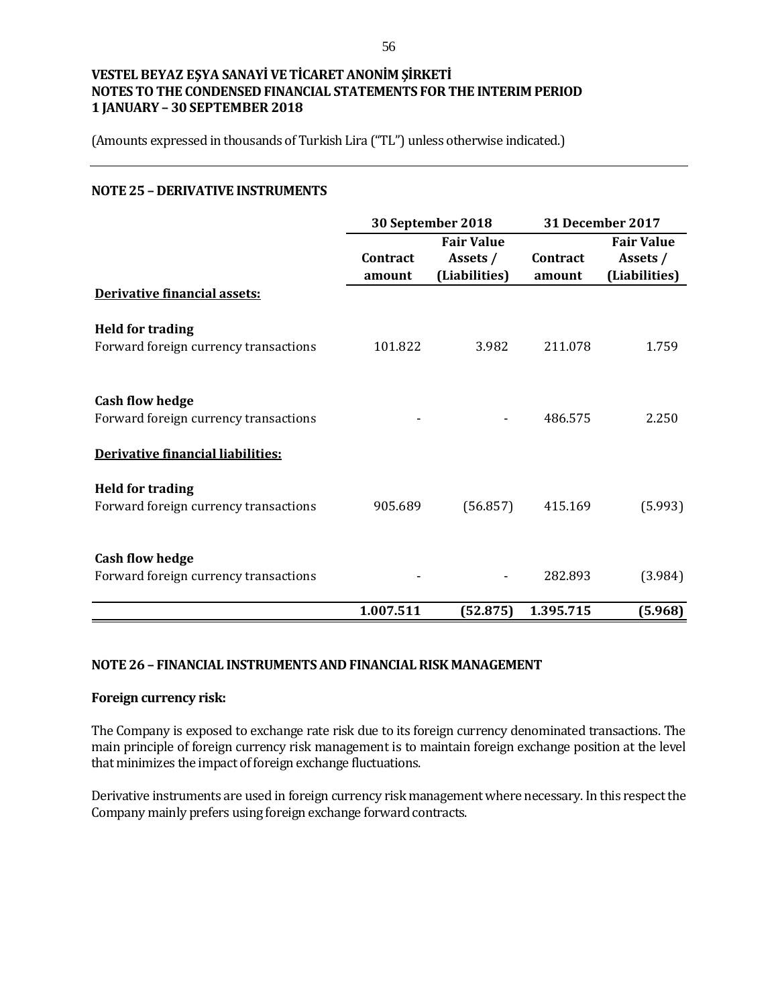(Amounts expressed in thousands of Turkish Lira ("TL") unless otherwise indicated.)

#### **NOTE 25 – DERIVATIVE INSTRUMENTS**

|                                                                  |                    | 30 September 2018                              |                    | <b>31 December 2017</b>                        |  |
|------------------------------------------------------------------|--------------------|------------------------------------------------|--------------------|------------------------------------------------|--|
|                                                                  | Contract<br>amount | <b>Fair Value</b><br>Assets /<br>(Liabilities) | Contract<br>amount | <b>Fair Value</b><br>Assets /<br>(Liabilities) |  |
| Derivative financial assets:                                     |                    |                                                |                    |                                                |  |
| <b>Held for trading</b><br>Forward foreign currency transactions | 101.822            | 3.982                                          | 211.078            | 1.759                                          |  |
| <b>Cash flow hedge</b><br>Forward foreign currency transactions  |                    |                                                | 486.575            | 2.250                                          |  |
| Derivative financial liabilities:                                |                    |                                                |                    |                                                |  |
| <b>Held for trading</b><br>Forward foreign currency transactions | 905.689            | (56.857)                                       | 415.169            | (5.993)                                        |  |
| <b>Cash flow hedge</b><br>Forward foreign currency transactions  |                    |                                                | 282.893            | (3.984)                                        |  |
|                                                                  | 1.007.511          | (52.875)                                       | 1.395.715          | (5.968)                                        |  |

#### **NOTE 26 – FINANCIAL INSTRUMENTS AND FINANCIAL RISK MANAGEMENT**

#### **Foreign currency risk:**

The Company is exposed to exchange rate risk due to its foreign currency denominated transactions. The main principle of foreign currency risk management is to maintain foreign exchange position at the level that minimizes the impact of foreign exchange fluctuations.

Derivative instruments are used in foreign currency risk management where necessary. In this respect the Company mainly prefers using foreign exchange forward contracts.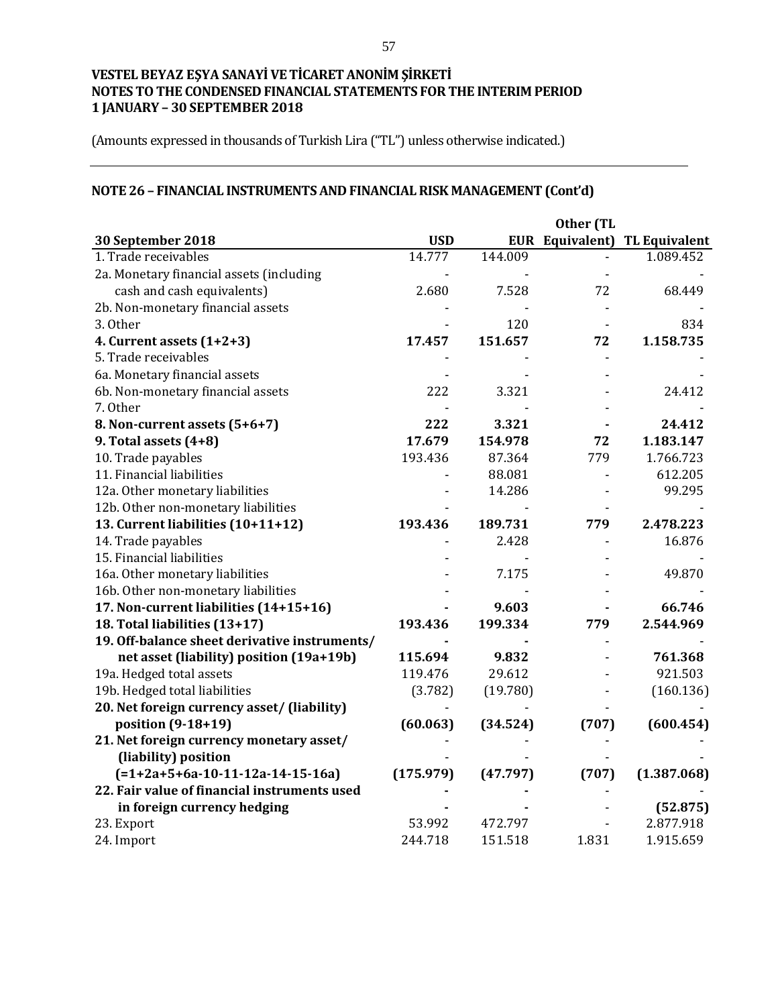(Amounts expressed in thousands of Turkish Lira ("TL") unless otherwise indicated.)

# **NOTE 26 – FINANCIAL INSTRUMENTS AND FINANCIAL RISK MANAGEMENT (Cont'd)**

|                                               |            |          | Other (TL              |                      |
|-----------------------------------------------|------------|----------|------------------------|----------------------|
| 30 September 2018                             | <b>USD</b> |          | <b>EUR</b> Equivalent) | <b>TL Equivalent</b> |
| 1. Trade receivables                          | 14.777     | 144.009  |                        | 1.089.452            |
| 2a. Monetary financial assets (including      |            |          |                        |                      |
| cash and cash equivalents)                    | 2.680      | 7.528    | 72                     | 68.449               |
| 2b. Non-monetary financial assets             |            |          |                        |                      |
| 3. Other                                      |            | 120      |                        | 834                  |
| 4. Current assets $(1+2+3)$                   | 17.457     | 151.657  | 72                     | 1.158.735            |
| 5. Trade receivables                          |            |          |                        |                      |
| 6a. Monetary financial assets                 |            |          |                        |                      |
| 6b. Non-monetary financial assets             | 222        | 3.321    |                        | 24.412               |
| 7. Other                                      |            |          |                        |                      |
| 8. Non-current assets (5+6+7)                 | 222        | 3.321    |                        | 24.412               |
| 9. Total assets (4+8)                         | 17.679     | 154.978  | 72                     | 1.183.147            |
| 10. Trade payables                            | 193.436    | 87.364   | 779                    | 1.766.723            |
| 11. Financial liabilities                     |            | 88.081   |                        | 612.205              |
| 12a. Other monetary liabilities               |            | 14.286   |                        | 99.295               |
| 12b. Other non-monetary liabilities           |            |          |                        |                      |
| 13. Current liabilities (10+11+12)            | 193.436    | 189.731  | 779                    | 2.478.223            |
| 14. Trade payables                            |            | 2.428    |                        | 16.876               |
| 15. Financial liabilities                     |            |          |                        |                      |
| 16a. Other monetary liabilities               |            | 7.175    |                        | 49.870               |
| 16b. Other non-monetary liabilities           |            |          |                        |                      |
| 17. Non-current liabilities (14+15+16)        |            | 9.603    |                        | 66.746               |
| 18. Total liabilities (13+17)                 | 193.436    | 199.334  | 779                    | 2.544.969            |
| 19. Off-balance sheet derivative instruments/ |            |          |                        |                      |
| net asset (liability) position (19a+19b)      | 115.694    | 9.832    |                        | 761.368              |
| 19a. Hedged total assets                      | 119.476    | 29.612   |                        | 921.503              |
| 19b. Hedged total liabilities                 | (3.782)    | (19.780) |                        | (160.136)            |
| 20. Net foreign currency asset/ (liability)   |            |          |                        |                      |
| position (9-18+19)                            | (60.063)   | (34.524) | (707)                  | (600.454)            |
| 21. Net foreign currency monetary asset/      |            |          |                        |                      |
| (liability) position                          |            |          |                        |                      |
| $(=1+2a+5+6a-10-11-12a-14-15-16a)$            | (175.979)  | (47.797) | (707)                  | (1.387.068)          |
| 22. Fair value of financial instruments used  |            |          |                        |                      |
| in foreign currency hedging                   |            |          |                        | (52.875)             |
| 23. Export                                    | 53.992     | 472.797  |                        | 2.877.918            |
| 24. Import                                    | 244.718    | 151.518  | 1.831                  | 1.915.659            |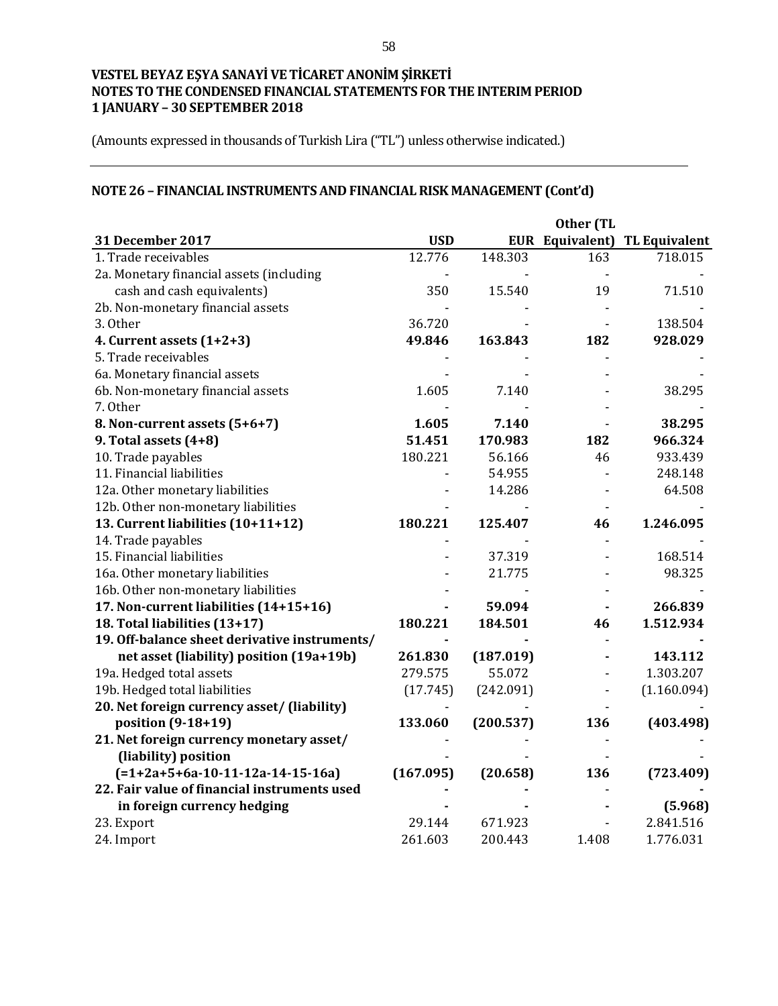(Amounts expressed in thousands of Turkish Lira ("TL") unless otherwise indicated.)

# **NOTE 26 – FINANCIAL INSTRUMENTS AND FINANCIAL RISK MANAGEMENT (Cont'd)**

|                                               |            |           | Other (TL |                                      |
|-----------------------------------------------|------------|-----------|-----------|--------------------------------------|
| 31 December 2017                              | <b>USD</b> |           |           | <b>EUR Equivalent) TL Equivalent</b> |
| 1. Trade receivables                          | 12.776     | 148.303   | 163       | 718.015                              |
| 2a. Monetary financial assets (including      |            |           |           |                                      |
| cash and cash equivalents)                    | 350        | 15.540    | 19        | 71.510                               |
| 2b. Non-monetary financial assets             |            |           |           |                                      |
| 3. Other                                      | 36.720     |           |           | 138.504                              |
| 4. Current assets $(1+2+3)$                   | 49.846     | 163.843   | 182       | 928.029                              |
| 5. Trade receivables                          |            |           |           |                                      |
| 6a. Monetary financial assets                 |            |           |           |                                      |
| 6b. Non-monetary financial assets             | 1.605      | 7.140     |           | 38.295                               |
| 7. Other                                      |            |           |           |                                      |
| 8. Non-current assets (5+6+7)                 | 1.605      | 7.140     |           | 38.295                               |
| 9. Total assets (4+8)                         | 51.451     | 170.983   | 182       | 966.324                              |
| 10. Trade payables                            | 180.221    | 56.166    | 46        | 933.439                              |
| 11. Financial liabilities                     |            | 54.955    |           | 248.148                              |
| 12a. Other monetary liabilities               |            | 14.286    |           | 64.508                               |
| 12b. Other non-monetary liabilities           |            |           |           |                                      |
| 13. Current liabilities (10+11+12)            | 180.221    | 125.407   | 46        | 1.246.095                            |
| 14. Trade payables                            |            |           |           |                                      |
| 15. Financial liabilities                     |            | 37.319    |           | 168.514                              |
| 16a. Other monetary liabilities               |            | 21.775    |           | 98.325                               |
| 16b. Other non-monetary liabilities           |            |           |           |                                      |
| 17. Non-current liabilities (14+15+16)        |            | 59.094    |           | 266.839                              |
| 18. Total liabilities (13+17)                 | 180.221    | 184.501   | 46        | 1.512.934                            |
| 19. Off-balance sheet derivative instruments/ |            |           |           |                                      |
| net asset (liability) position (19a+19b)      | 261.830    | (187.019) |           | 143.112                              |
| 19a. Hedged total assets                      | 279.575    | 55.072    |           | 1.303.207                            |
| 19b. Hedged total liabilities                 | (17.745)   | (242.091) |           | (1.160.094)                          |
| 20. Net foreign currency asset/ (liability)   |            |           |           |                                      |
| position (9-18+19)                            | 133.060    | (200.537) | 136       | (403.498)                            |
| 21. Net foreign currency monetary asset/      |            |           |           |                                      |
| (liability) position                          |            |           |           |                                      |
| $(=1+2a+5+6a-10-11-12a-14-15-16a)$            | (167.095)  | (20.658)  | 136       | (723.409)                            |
| 22. Fair value of financial instruments used  |            |           |           |                                      |
| in foreign currency hedging                   |            |           |           | (5.968)                              |
| 23. Export                                    | 29.144     | 671.923   |           | 2.841.516                            |
| 24. Import                                    | 261.603    | 200.443   | 1.408     | 1.776.031                            |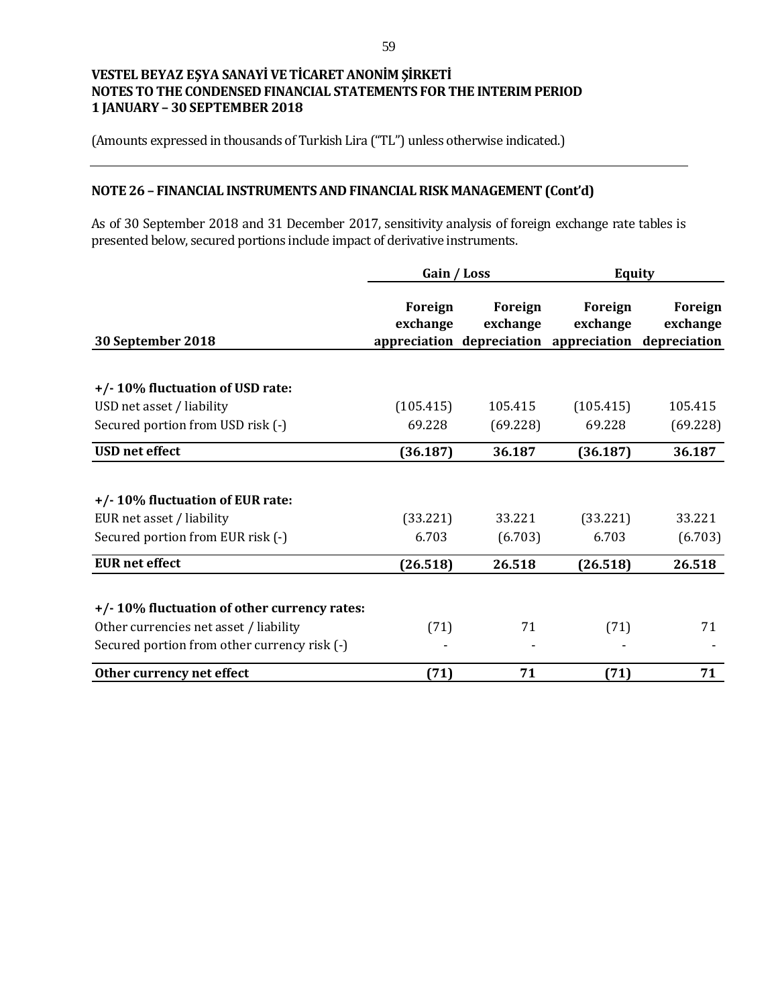(Amounts expressed in thousands of Turkish Lira ("TL") unless otherwise indicated.)

# **NOTE 26 – FINANCIAL INSTRUMENTS AND FINANCIAL RISK MANAGEMENT (Cont'd)**

As of 30 September 2018 and 31 December 2017, sensitivity analysis of foreign exchange rate tables is presented below, secured portions include impact of derivative instruments.

|                                              | Gain / Loss         |                     |                                                                            | <b>Equity</b>       |  |
|----------------------------------------------|---------------------|---------------------|----------------------------------------------------------------------------|---------------------|--|
| 30 September 2018                            | Foreign<br>exchange | Foreign<br>exchange | Foreign<br>exchange<br>appreciation depreciation appreciation depreciation | Foreign<br>exchange |  |
|                                              |                     |                     |                                                                            |                     |  |
| +/-10% fluctuation of USD rate:              |                     |                     |                                                                            |                     |  |
| USD net asset / liability                    | (105.415)           | 105.415             | (105.415)                                                                  | 105.415             |  |
| Secured portion from USD risk (-)            | 69.228              | (69.228)            | 69.228                                                                     | (69.228)            |  |
| <b>USD</b> net effect                        | (36.187)            | 36.187              | (36.187)                                                                   | 36.187              |  |
|                                              |                     |                     |                                                                            |                     |  |
| +/-10% fluctuation of EUR rate:              |                     |                     |                                                                            |                     |  |
| EUR net asset / liability                    | (33.221)            | 33.221              | (33.221)                                                                   | 33.221              |  |
| Secured portion from EUR risk (-)            | 6.703               | (6.703)             | 6.703                                                                      | (6.703)             |  |
| <b>EUR</b> net effect                        | (26.518)            | 26.518              | (26.518)                                                                   | 26.518              |  |
|                                              |                     |                     |                                                                            |                     |  |
| +/-10% fluctuation of other currency rates:  |                     |                     |                                                                            |                     |  |
| Other currencies net asset / liability       | (71)                | 71                  | (71)                                                                       | 71                  |  |
| Secured portion from other currency risk (-) |                     |                     |                                                                            |                     |  |
| Other currency net effect                    | (71)                | 71                  | (71)                                                                       | 71                  |  |